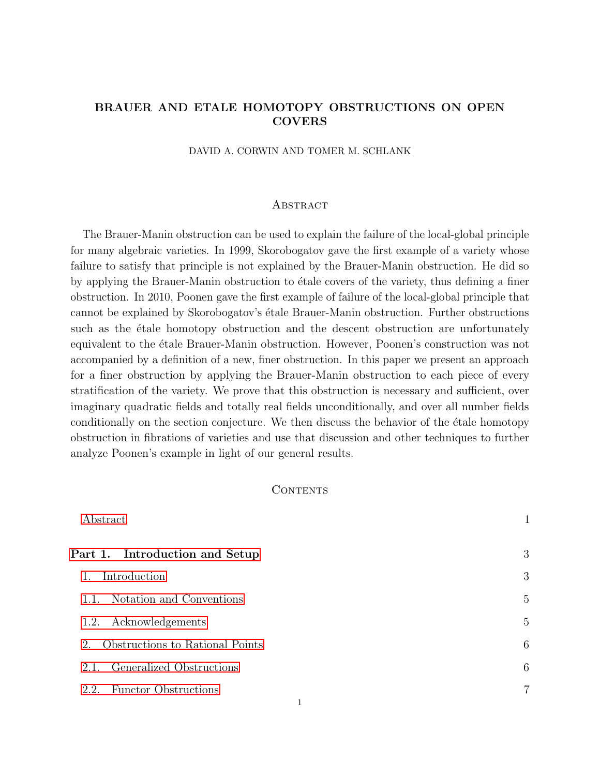# BRAUER AND ETALE HOMOTOPY OBSTRUCTIONS ON OPEN **COVERS**

DAVID A. CORWIN AND TOMER M. SCHLANK

#### <span id="page-0-0"></span>**ABSTRACT**

The Brauer-Manin obstruction can be used to explain the failure of the local-global principle for many algebraic varieties. In 1999, Skorobogatov gave the first example of a variety whose failure to satisfy that principle is not explained by the Brauer-Manin obstruction. He did so by applying the Brauer-Manin obstruction to étale covers of the variety, thus defining a finer obstruction. In 2010, Poonen gave the first example of failure of the local-global principle that cannot be explained by Skorobogatov's étale Brauer-Manin obstruction. Further obstructions such as the etale homotopy obstruction and the descent obstruction are unfortunately equivalent to the étale Brauer-Manin obstruction. However, Poonen's construction was not accompanied by a definition of a new, finer obstruction. In this paper we present an approach for a finer obstruction by applying the Brauer-Manin obstruction to each piece of every stratification of the variety. We prove that this obstruction is necessary and sufficient, over imaginary quadratic fields and totally real fields unconditionally, and over all number fields conditionally on the section conjecture. We then discuss the behavior of the etale homotopy obstruction in fibrations of varieties and use that discussion and other techniques to further analyze Poonen's example in light of our general results.

## CONTENTS

|      | Abstract                        |                |
|------|---------------------------------|----------------|
|      | Part 1. Introduction and Setup  | 3              |
| 1.   | Introduction                    | 3              |
| 1.1. | Notation and Conventions        | 5              |
| 1.2. | Acknowledgements                | 5              |
| 2.   | Obstructions to Rational Points | 6              |
| 2.1. | Generalized Obstructions        | 6              |
| 2.2. | <b>Functor Obstructions</b>     | $\overline{7}$ |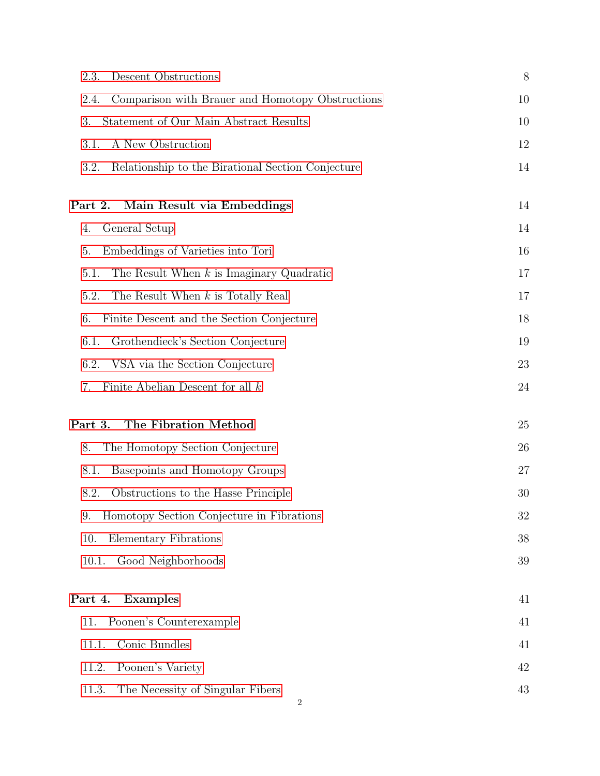| Descent Obstructions<br>2.3.                                  | 8  |
|---------------------------------------------------------------|----|
| Comparison with Brauer and Homotopy Obstructions<br>2.4.      | 10 |
| Statement of Our Main Abstract Results<br>3.                  | 10 |
| A New Obstruction<br>3.1.                                     | 12 |
| 3.2.<br>Relationship to the Birational Section Conjecture     | 14 |
| Main Result via Embeddings<br>Part 2.                         | 14 |
| General Setup<br>4.                                           | 14 |
| 5.<br>Embeddings of Varieties into Tori                       | 16 |
| 5.1.<br>The Result When $k$ is Imaginary Quadratic            | 17 |
| 5.2.<br>The Result When $k$ is Totally Real                   | 17 |
| 6.<br>Finite Descent and the Section Conjecture               | 18 |
| Grothendieck's Section Conjecture<br>6.1.                     | 19 |
| 6.2.<br>VSA via the Section Conjecture                        | 23 |
| Finite Abelian Descent for all $k$<br>7.                      | 24 |
| The Fibration Method<br>Part 3.                               | 25 |
| 8.<br>The Homotopy Section Conjecture                         | 26 |
| Basepoints and Homotopy Groups<br>8.1.                        | 27 |
| Obstructions to the Hasse Principle<br>8.2.                   | 30 |
| Homotopy Section Conjecture in Fibrations<br>9.               | 32 |
| Elementary Fibrations<br>10.                                  | 38 |
| Good Neighborhoods<br>10.1.                                   | 39 |
| Part 4.<br>Examples                                           | 41 |
| Poonen's Counterexample<br>11.                                | 41 |
| Conic Bundles<br>11.1.                                        | 41 |
| 11.2.<br>Poonen's Variety                                     | 42 |
| 11.3.<br>The Necessity of Singular Fibers<br>$\boldsymbol{2}$ | 43 |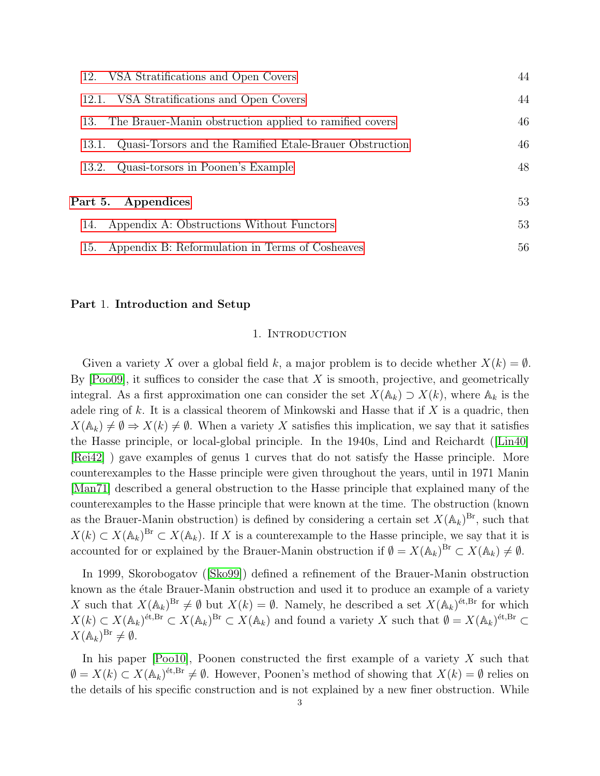| 12. VSA Stratifications and Open Covers                          | 44 |
|------------------------------------------------------------------|----|
| VSA Stratifications and Open Covers<br>12.1.                     | 44 |
| The Brauer-Manin obstruction applied to ramified covers<br>13.   | 46 |
| Quasi-Torsors and the Ramified Etale-Brauer Obstruction<br>13.1. | 46 |
| Quasi-torsors in Poonen's Example<br>13.2.                       | 48 |
| 53<br>Part 5. Appendices                                         |    |
| Appendix A: Obstructions Without Functors<br>14.                 | 53 |
| Appendix B: Reformulation in Terms of Cosheaves<br>15.           | 56 |

#### <span id="page-2-1"></span><span id="page-2-0"></span>Part 1. Introduction and Setup

#### 1. INTRODUCTION

Given a variety X over a global field k, a major problem is to decide whether  $X(k) = \emptyset$ . By  $[Pool9]$ , it suffices to consider the case that  $X$  is smooth, projective, and geometrically integral. As a first approximation one can consider the set  $X(\mathbb{A}_k) \supset X(k)$ , where  $\mathbb{A}_k$  is the adele ring of  $k$ . It is a classical theorem of Minkowski and Hasse that if  $X$  is a quadric, then  $X(\mathbb{A}_k) \neq \emptyset \Rightarrow X(k) \neq \emptyset$ . When a variety X satisfies this implication, we say that it satisfies the Hasse principle, or local-global principle. In the 1940s, Lind and Reichardt([\[Lin40\]](#page-59-1) [\[Rei42\]](#page-59-2) ) gave examples of genus 1 curves that do not satisfy the Hasse principle. More counterexamples to the Hasse principle were given throughout the years, until in 1971 Manin [\[Man71\]](#page-59-3) described a general obstruction to the Hasse principle that explained many of the counterexamples to the Hasse principle that were known at the time. The obstruction (known as the Brauer-Manin obstruction) is defined by considering a certain set  $X(\mathbb{A}_k)^{Br}$ , such that  $X(k) \subset X(\mathbb{A}_k)^{Br} \subset X(\mathbb{A}_k)$ . If X is a counterexample to the Hasse principle, we say that it is accounted for or explained by the Brauer-Manin obstruction if  $\emptyset = X(\mathbb{A}_k)^{Br} \subset X(\mathbb{A}_k) \neq \emptyset$ .

In 1999, Skorobogatov([\[Sko99\]](#page-59-4)) defined a refinement of the Brauer-Manin obstruction known as the étale Brauer-Manin obstruction and used it to produce an example of a variety X such that  $X(\mathbb{A}_k)^{Br} \neq \emptyset$  but  $X(k) = \emptyset$ . Namely, he described a set  $X(\mathbb{A}_k)^{\text{\'et},Br}$  for which  $X(k) \subset X(\mathbb{A}_k)^{\text{\'et}, \text{Br}} \subset X(\mathbb{A}_k)^{\text{Br}} \subset X(\mathbb{A}_k)$  and found a variety X such that  $\emptyset = X(\mathbb{A}_k)^{\text{\'et}, \text{Br}} \subset X(\mathbb{A}_k)$  $X(\mathbb{A}_k)^{\mathrm{Br}} \neq \emptyset.$ 

In his paper  $[Pool0]$ , Poonen constructed the first example of a variety X such that  $\emptyset = X(k) \subset X(\mathbb{A}_k)^{4k, \text{Br}} \neq \emptyset$ . However, Poonen's method of showing that  $X(k) = \emptyset$  relies on the details of his specific construction and is not explained by a new finer obstruction. While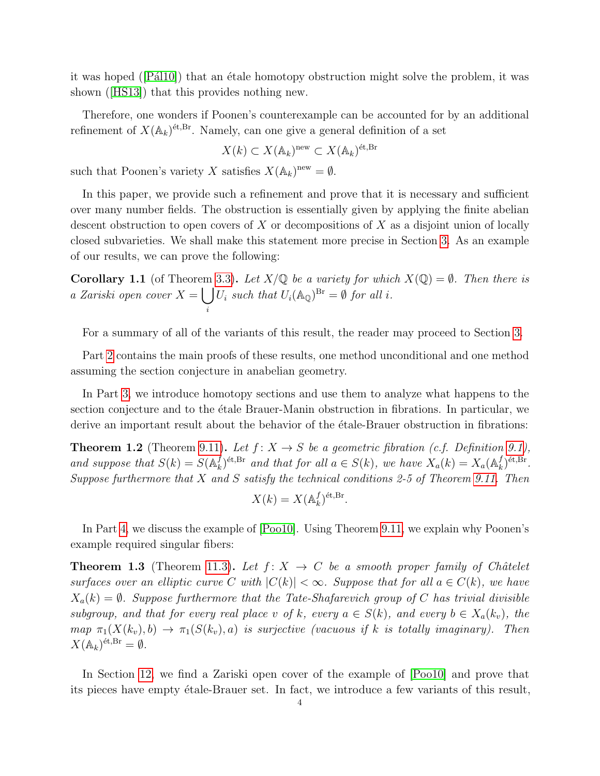itwas hoped ( $[Pá110]$ ) that an étale homotopy obstruction might solve the problem, it was shown([\[HS13\]](#page-58-0)) that this provides nothing new.

Therefore, one wonders if Poonen's counterexample can be accounted for by an additional refinement of  $X(\mathbb{A}_k)^{\text{\'et},Br}$ . Namely, can one give a general definition of a set

$$
X(k) \subset X(\mathbb{A}_k)^{\text{new}} \subset X(\mathbb{A}_k)^{\text{\'et}, \text{Br}}
$$

such that Poonen's variety X satisfies  $X(\mathbb{A}_k)^{new} = \emptyset$ .

In this paper, we provide such a refinement and prove that it is necessary and sufficient over many number fields. The obstruction is essentially given by applying the finite abelian descent obstruction to open covers of  $X$  or decompositions of  $X$  as a disjoint union of locally closed subvarieties. We shall make this statement more precise in Section [3.](#page-9-1) As an example of our results, we can prove the following:

**Corollary 1.1** (of Theorem [3.3\)](#page-10-0). Let  $X/\mathbb{Q}$  be a variety for which  $X(\mathbb{Q}) = \emptyset$ . Then there is a Zariski open cover  $X = \begin{bmatrix} \end{bmatrix}$ i  $U_i$  such that  $U_i(\mathbb{A}_{\mathbb{Q}})^{\text{Br}} = \emptyset$  for all i.

For a summary of all of the variants of this result, the reader may proceed to Section [3.](#page-9-1)

Part [2](#page-13-1) contains the main proofs of these results, one method unconditional and one method assuming the section conjecture in anabelian geometry.

In Part [3,](#page-24-0) we introduce homotopy sections and use them to analyze what happens to the section conjecture and to the etale Brauer-Manin obstruction in fibrations. In particular, we derive an important result about the behavior of the etale-Brauer obstruction in fibrations:

**Theorem 1.2** (Theorem [9.11\)](#page-35-0). Let  $f: X \to S$  be a geometric fibration (c.f. Definition [9.1\)](#page-31-1), and suppose that  $S(k) = S(\mathbb{A}_k^f)$  $\mathcal{L}_k^{f}$ )<sup>ét,Br</sup> and that for all  $a \in S(k)$ , we have  $X_a(k) = X_a(\mathbb{A}_k^f)$  $_{k}^{f})^{\mathrm{\acute{e}t},\mathrm{Br}}$  . Suppose furthermore that  $X$  and  $S$  satisfy the technical conditions 2-5 of Theorem [9.11.](#page-35-0) Then

$$
X(k) = X(\mathbb{A}_k^f)^{\text{\'et}, \text{Br}}.
$$

In Part [4,](#page-40-0) we discuss the example of [\[Poo10\]](#page-59-5). Using Theorem [9.11,](#page-35-0) we explain why Poonen's example required singular fibers:

**Theorem 1.3** (Theorem [11.3\)](#page-42-1). Let  $f: X \rightarrow C$  be a smooth proper family of Châtelet surfaces over an elliptic curve C with  $|C(k)| < \infty$ . Suppose that for all  $a \in C(k)$ , we have  $X_a(k) = \emptyset$ . Suppose furthermore that the Tate-Shafarevich group of C has trivial divisible subgroup, and that for every real place v of k, every  $a \in S(k)$ , and every  $b \in X_a(k_v)$ , the map  $\pi_1(X(k_v), b) \to \pi_1(S(k_v), a)$  is surjective (vacuous if k is totally imaginary). Then  $X(\mathbb{A}_k)^{\text{\'et}, \text{Br}} = \emptyset.$ 

In Section [12,](#page-43-0) we find a Zariski open cover of the example of [\[Poo10\]](#page-59-5) and prove that its pieces have empty étale-Brauer set. In fact, we introduce a few variants of this result,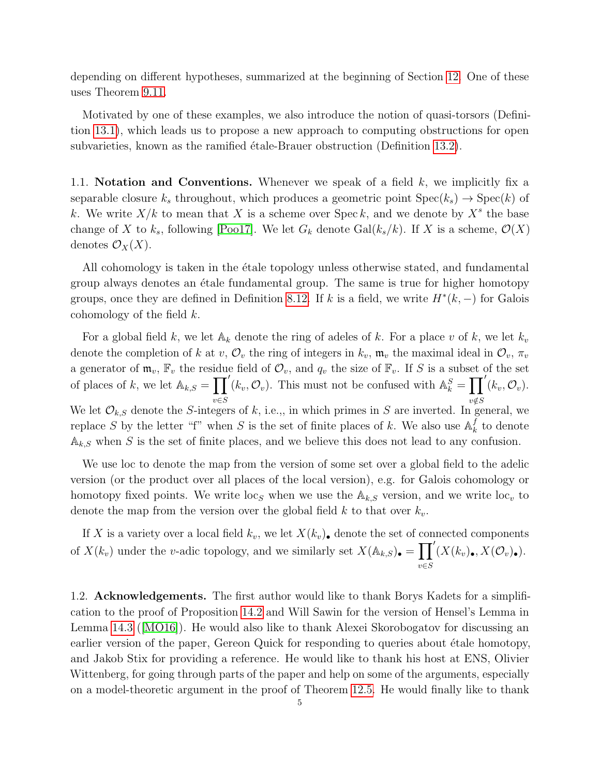depending on different hypotheses, summarized at the beginning of Section [12.](#page-43-0) One of these uses Theorem [9.11.](#page-35-0)

Motivated by one of these examples, we also introduce the notion of quasi-torsors (Definition [13.1\)](#page-45-2), which leads us to propose a new approach to computing obstructions for open subvarieties, known as the ramified étale-Brauer obstruction (Definition [13.2\)](#page-46-0).

<span id="page-4-0"></span>1.1. Notation and Conventions. Whenever we speak of a field  $k$ , we implicitly fix a separable closure  $k_s$  throughout, which produces a geometric point  $Spec(k_s) \rightarrow Spec(k)$  of k. We write  $X/k$  to mean that X is a scheme over Speck, and we denote by  $X^s$  the base change of X to  $k_s$ , following [\[Poo17\]](#page-59-7). We let  $G_k$  denote Gal $(k_s/k)$ . If X is a scheme,  $\mathcal{O}(X)$ denotes  $\mathcal{O}_X(X)$ .

All cohomology is taken in the etale topology unless otherwise stated, and fundamental group always denotes an étale fundamental group. The same is true for higher homotopy groups, once they are defined in Definition [8.12.](#page-27-0) If k is a field, we write  $H^*(k, -)$  for Galois cohomology of the field  $k$ .

For a global field k, we let  $A_k$  denote the ring of adeles of k. For a place v of k, we let  $k_v$ denote the completion of k at v,  $\mathcal{O}_v$  the ring of integers in  $k_v$ ,  $\mathfrak{m}_v$ , the maximal ideal in  $\mathcal{O}_v$ ,  $\pi_v$ a generator of  $\mathfrak{m}_v$ ,  $\mathbb{F}_v$  the residue field of  $\mathcal{O}_v$ , and  $q_v$  the size of  $\mathbb{F}_v$ . If S is a subset of the set of places of k, we let  $\mathbb{A}_{k,S} = \prod'(k_v, \mathcal{O}_v)$ . This must not be confused with  $\mathbb{A}_k^S = \prod'(k_v, \mathcal{O}_v)$ . We let  $\mathcal{O}_{k,S}$  denote the S-integers of k, i.e.,, in which primes in S are inverted. In general, we replace S by the letter "f" when S is the set of finite places of k. We also use  $\mathbb{A}_k^f$  $\frac{J}{k}$  to denote  $A_{k,S}$  when S is the set of finite places, and we believe this does not lead to any confusion.

We use loc to denote the map from the version of some set over a global field to the adelic version (or the product over all places of the local version), e.g. for Galois cohomology or homotopy fixed points. We write  $\log s$  when we use the  $\mathbb{A}_{k,S}$  version, and we write  $\log_{v}$  to denote the map from the version over the global field  $k$  to that over  $k_v$ .

If X is a variety over a local field  $k_v$ , we let  $X(k_v)$ , denote the set of connected components of  $X(k_v)$  under the v-adic topology, and we similarly set  $X(\mathbb{A}_{k,S})$ . v∈S  $'\left(X(k_v)_{\bullet}, X(\mathcal{O}_v)_{\bullet}\right).$ 

<span id="page-4-1"></span>1.2. Acknowledgements. The first author would like to thank Borys Kadets for a simplification to the proof of Proposition [14.2](#page-53-0) and Will Sawin for the version of Hensel's Lemma in Lemma [14.3](#page-54-0) ([\[MO16\]](#page-58-1)). He would also like to thank Alexei Skorobogatov for discussing an earlier version of the paper, Gereon Quick for responding to queries about étale homotopy, and Jakob Stix for providing a reference. He would like to thank his host at ENS, Olivier Wittenberg, for going through parts of the paper and help on some of the arguments, especially on a model-theoretic argument in the proof of Theorem [12.5.](#page-44-0) He would finally like to thank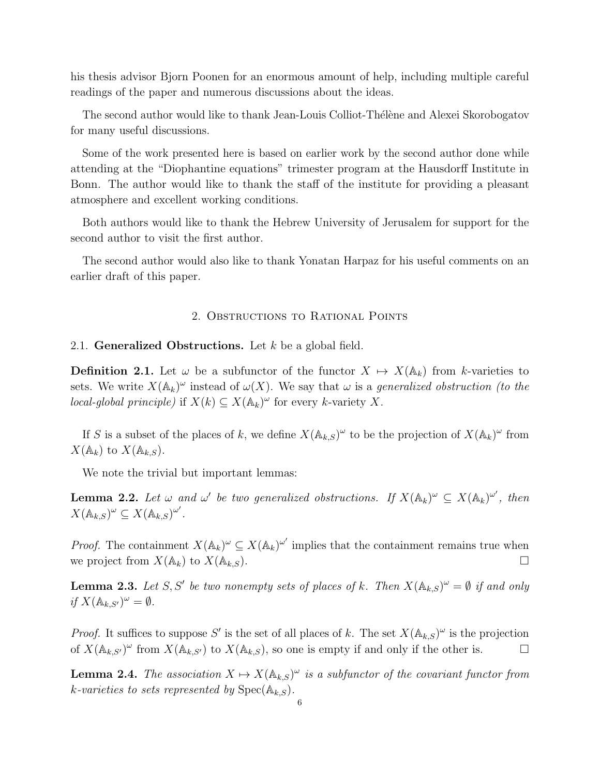his thesis advisor Bjorn Poonen for an enormous amount of help, including multiple careful readings of the paper and numerous discussions about the ideas.

The second author would like to thank Jean-Louis Colliot-Thélène and Alexei Skorobogatov for many useful discussions.

Some of the work presented here is based on earlier work by the second author done while attending at the "Diophantine equations" trimester program at the Hausdorff Institute in Bonn. The author would like to thank the staff of the institute for providing a pleasant atmosphere and excellent working conditions.

Both authors would like to thank the Hebrew University of Jerusalem for support for the second author to visit the first author.

The second author would also like to thank Yonatan Harpaz for his useful comments on an earlier draft of this paper.

#### 2. Obstructions to Rational Points

#### <span id="page-5-1"></span><span id="page-5-0"></span>2.1. Generalized Obstructions. Let  $k$  be a global field.

**Definition 2.1.** Let  $\omega$  be a subfunctor of the functor  $X \mapsto X(\mathbb{A}_k)$  from k-varieties to sets. We write  $X(\mathbb{A}_k)^\omega$  instead of  $\omega(X)$ . We say that  $\omega$  is a generalized obstruction (to the local-global principle) if  $X(k) \subseteq X(\mathbb{A}_k)^\omega$  for every k-variety X.

If S is a subset of the places of k, we define  $X(\mathbb{A}_{k,S})^{\omega}$  to be the projection of  $X(\mathbb{A}_{k})^{\omega}$  from  $X(\mathbb{A}_k)$  to  $X(\mathbb{A}_{k,S})$ .

We note the trivial but important lemmas:

<span id="page-5-2"></span>**Lemma 2.2.** Let  $\omega$  and  $\omega'$  be two generalized obstructions. If  $X(\mathbb{A}_k)^\omega \subseteq X(\mathbb{A}_k)^{\omega'}$ , then  $X(\mathbb{A}_{k,S})^{\omega} \subseteq X(\mathbb{A}_{k,S})^{\omega'}$ .

*Proof.* The containment  $X(\mathbb{A}_k)^\omega \subseteq X(\mathbb{A}_k)^\omega$  implies that the containment remains true when we project from  $X(\mathbb{A}_k)$  to  $X(\mathbb{A}_{k,S})$ .

<span id="page-5-3"></span>**Lemma 2.3.** Let S, S' be two nonempty sets of places of k. Then  $X(\mathbb{A}_{k,S})^{\omega} = \emptyset$  if and only if  $X(\mathbb{A}_{k,S'})^{\omega} = \emptyset$ .

*Proof.* It suffices to suppose S' is the set of all places of k. The set  $X(\mathbb{A}_{k,S})^{\omega}$  is the projection of  $X(\mathbb{A}_{k,S'})^{\omega}$  from  $X(\mathbb{A}_{k,S'})$  to  $X(\mathbb{A}_{k,S})$ , so one is empty if and only if the other is.

**Lemma 2.4.** The association  $X \mapsto X(\mathbb{A}_{k,S})^{\omega}$  is a subfunctor of the covariant functor from k-varieties to sets represented by  $\mathrm{Spec}(\mathbb{A}_{k,S})$ .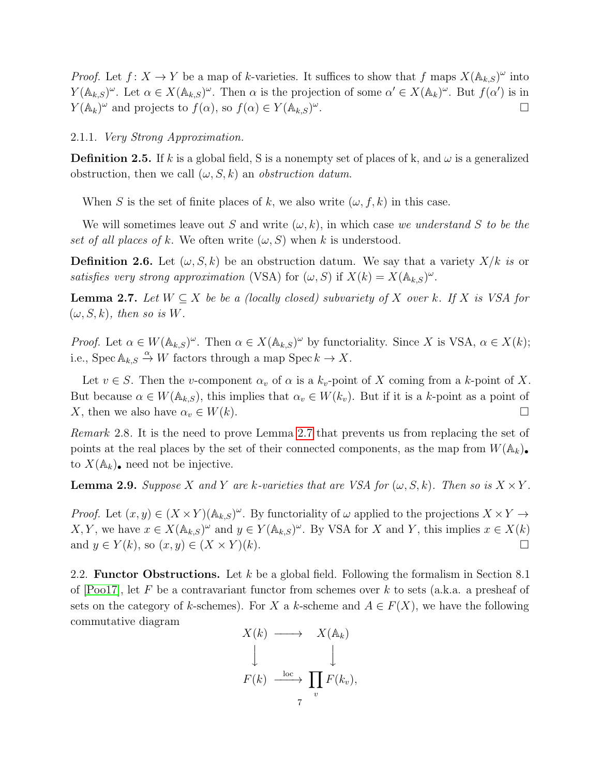*Proof.* Let  $f: X \to Y$  be a map of k-varieties. It suffices to show that f maps  $X(\mathbb{A}_{k,S})^{\omega}$  into  $Y(\mathbb{A}_{k,S})^{\omega}$ . Let  $\alpha \in X(\mathbb{A}_{k,S})^{\omega}$ . Then  $\alpha$  is the projection of some  $\alpha' \in X(\mathbb{A}_{k})^{\omega}$ . But  $f(\alpha')$  is in  $Y(\mathbb{A}_k)^\omega$  and projects to  $f(\alpha)$ , so  $f(\alpha) \in Y(\mathbb{A}_{k,S})^\omega$ .

## 2.1.1. Very Strong Approximation.

**Definition 2.5.** If k is a global field, S is a nonempty set of places of k, and  $\omega$  is a generalized obstruction, then we call  $(\omega, S, k)$  an *obstruction datum*.

When S is the set of finite places of k, we also write  $(\omega, f, k)$  in this case.

We will sometimes leave out S and write  $(\omega, k)$ , in which case we understand S to be the set of all places of k. We often write  $(\omega, S)$  when k is understood.

**Definition 2.6.** Let  $(\omega, S, k)$  be an obstruction datum. We say that a variety  $X/k$  is or satisfies very strong approximation (VSA) for  $(\omega, S)$  if  $X(k) = X(\mathbb{A}_{k,S})^{\omega}$ .

<span id="page-6-1"></span>**Lemma 2.7.** Let  $W \subseteq X$  be be a (locally closed) subvariety of X over k. If X is VSA for  $(\omega, S, k)$ , then so is W.

*Proof.* Let  $\alpha \in W(\mathbb{A}_{k,S})^{\omega}$ . Then  $\alpha \in X(\mathbb{A}_{k,S})^{\omega}$  by functoriality. Since X is VSA,  $\alpha \in X(k)$ ; i.e.,  $Spec \mathbb{A}_{k,S} \stackrel{\alpha}{\to} W$  factors through a map  $Spec k \to X$ .

Let  $v \in S$ . Then the v-component  $\alpha_v$  of  $\alpha$  is a  $k_v$ -point of X coming from a k-point of X. But because  $\alpha \in W(\mathbb{A}_{k,S})$ , this implies that  $\alpha_v \in W(k_v)$ . But if it is a k-point as a point of X, then we also have  $\alpha_v \in W(k)$ .

Remark 2.8. It is the need to prove Lemma [2.7](#page-6-1) that prevents us from replacing the set of points at the real places by the set of their connected components, as the map from  $W(\mathbb{A}_k)$ . to  $X(\mathbb{A}_k)$ , need not be injective.

<span id="page-6-2"></span>**Lemma 2.9.** Suppose X and Y are k-varieties that are VSA for  $(\omega, S, k)$ . Then so is  $X \times Y$ .

*Proof.* Let  $(x, y) \in (X \times Y)(\mathbb{A}_{k,S})^{\omega}$ . By functoriality of  $\omega$  applied to the projections  $X \times Y \to Y$ X, Y, we have  $x \in X(\mathbb{A}_{k,S})^{\omega}$  and  $y \in Y(\mathbb{A}_{k,S})^{\omega}$ . By VSA for X and Y, this implies  $x \in X(k)$ and  $y \in Y(k)$ , so  $(x, y) \in (X \times Y)(k)$ .

<span id="page-6-0"></span>2.2. **Functor Obstructions.** Let  $k$  be a global field. Following the formalism in Section 8.1 of  $[Pool7]$ , let F be a contravariant functor from schemes over k to sets (a.k.a. a presheaf of sets on the category of k-schemes). For X a k-scheme and  $A \in F(X)$ , we have the following commutative diagram

$$
X(k) \longrightarrow X(\mathbb{A}_k)
$$
  

$$
\downarrow \qquad \qquad \downarrow
$$
  

$$
F(k) \xrightarrow{\text{loc}} \prod_v F(k_v),
$$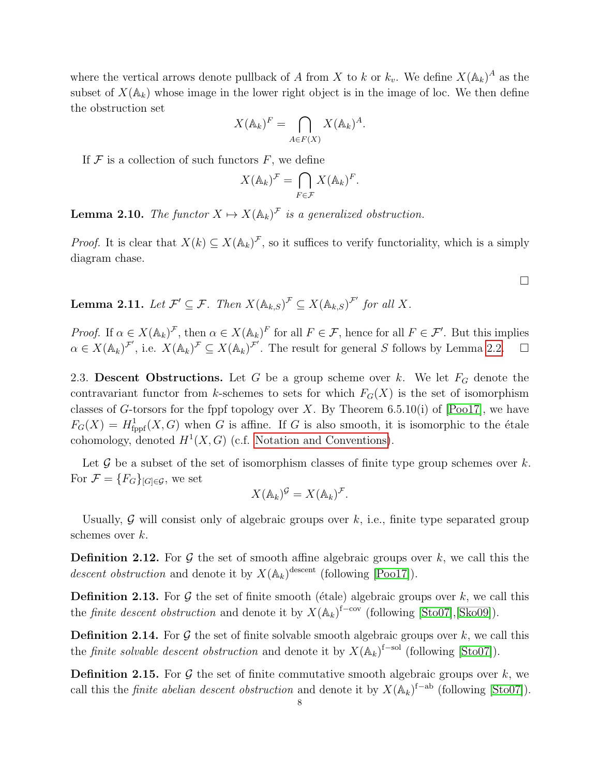where the vertical arrows denote pullback of A from X to k or  $k_v$ . We define  $X(\mathbb{A}_k)^A$  as the subset of  $X(\mathbb{A}_k)$  whose image in the lower right object is in the image of loc. We then define the obstruction set

$$
X(\mathbb{A}_k)^F = \bigcap_{A \in F(X)} X(\mathbb{A}_k)^A.
$$

If  $\mathcal F$  is a collection of such functors  $F$ , we define

$$
X(\mathbb{A}_k)^{\mathcal{F}} = \bigcap_{F \in \mathcal{F}} X(\mathbb{A}_k)^F.
$$

<span id="page-7-3"></span>**Lemma 2.10.** The functor  $X \mapsto X(\mathbb{A}_k)^{\mathcal{F}}$  is a generalized obstruction.

*Proof.* It is clear that  $X(k) \subseteq X(\mathbb{A}_k)^{\mathcal{F}}$ , so it suffices to verify functoriality, which is a simply diagram chase.

<span id="page-7-2"></span>**Lemma 2.11.** Let  $\mathcal{F}' \subseteq \mathcal{F}$ . Then  $X(\mathbb{A}_{k,S})^{\mathcal{F}} \subseteq X(\mathbb{A}_{k,S})^{\mathcal{F}'}$  for all X.

*Proof.* If  $\alpha \in X(\mathbb{A}_k)^{\mathcal{F}}$ , then  $\alpha \in X(\mathbb{A}_k)^{\mathcal{F}}$  for all  $F \in \mathcal{F}$ , hence for all  $F \in \mathcal{F}'$ . But this implies  $\alpha \in X(\mathbb{A}_k)^{\mathcal{F}'},$  i.e.  $X(\mathbb{A}_k)^{\mathcal{F}} \subseteq X(\mathbb{A}_k)^{\mathcal{F}'}.$  The result for general S follows by Lemma [2.2.](#page-5-2)  $\square$ 

<span id="page-7-0"></span>2.3. Descent Obstructions. Let G be a group scheme over k. We let  $F_G$  denote the contravariant functor from k-schemes to sets for which  $F_G(X)$  is the set of isomorphism classes of G-torsors for the fppf topology over X. By Theorem 6.5.10(i) of  $[Pool7]$ , we have  $F_G(X) = H^1_{\text{fppf}}(X, G)$  when G is affine. If G is also smooth, it is isomorphic to the étale cohomology, denoted  $H^1(X, G)$  (c.f. [Notation and Conventions\)](#page-4-0).

Let  $\mathcal G$  be a subset of the set of isomorphism classes of finite type group schemes over  $k$ . For  $\mathcal{F} = \{F_G\}_{[G]\in\mathcal{G}}$ , we set

$$
X(\mathbb{A}_k)^{\mathcal{G}} = X(\mathbb{A}_k)^{\mathcal{F}}.
$$

Usually,  $\mathcal G$  will consist only of algebraic groups over  $k$ , i.e., finite type separated group schemes over k.

**Definition 2.12.** For  $\mathcal G$  the set of smooth affine algebraic groups over  $k$ , we call this the descent obstruction and denote it by  $X(\mathbb{A}_k)$ <sup>descent</sup> (following [\[Poo17\]](#page-59-7)).

<span id="page-7-1"></span>**Definition 2.13.** For  $\mathcal G$  the set of finite smooth (étale) algebraic groups over k, we call this the *finite descent obstruction* and denote it by  $X(\mathbb{A}_k)^{f-\text{cov}}$  (following [\[Sto07\]](#page-59-8), [\[Sko09\]](#page-59-9)).

**Definition 2.14.** For  $\mathcal G$  the set of finite solvable smooth algebraic groups over k, we call this the *finite solvable descent obstruction* and denote it by  $X(\mathbb{A}_k)^{f-sol}$  (following [\[Sto07\]](#page-59-8)).

**Definition 2.15.** For  $\mathcal G$  the set of finite commutative smooth algebraic groups over  $k$ , we call this the *finite abelian descent obstruction* and denote it by  $X(\mathbb{A}_k)^{f-ab}$  (following [\[Sto07\]](#page-59-8)).

 $\Box$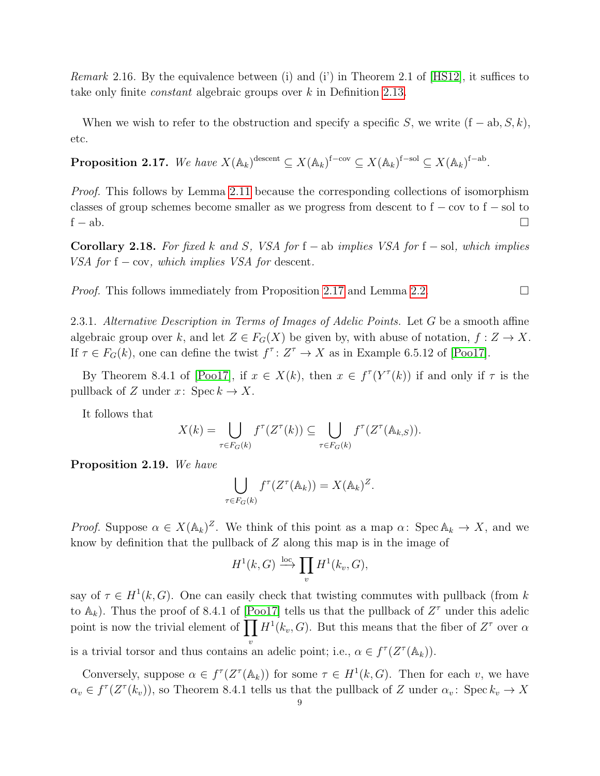Remark 2.16. By the equivalence between (i) and (i') in Theorem 2.1 of [\[HS12\]](#page-58-2), it suffices to take only finite constant algebraic groups over k in Definition [2.13.](#page-7-1)

When we wish to refer to the obstruction and specify a specific S, we write  $(f - ab, S, k)$ , etc.

<span id="page-8-0"></span>Proposition 2.17. We have  $X(\mathbb{A}_k)^{\text{descent}} \subseteq X(\mathbb{A}_k)^{\text{f-cov}} \subseteq X(\mathbb{A}_k)^{\text{f-sol}} \subseteq X(\mathbb{A}_k)^{\text{f-ab}}$ .

*Proof.* This follows by Lemma [2.11](#page-7-2) because the corresponding collections of isomorphism classes of group schemes become smaller as we progress from descent to  $f - cov$  to  $f - sol$  to  $f - ab$ .

Corollary 2.18. For fixed k and S, VSA for f – ab implies VSA for f – sol, which implies VSA for  $f - cov$ , which implies VSA for descent.

*Proof.* This follows immediately from Proposition [2.17](#page-8-0) and Lemma [2.2.](#page-5-2)

<span id="page-8-1"></span>2.3.1. Alternative Description in Terms of Images of Adelic Points. Let G be a smooth affine algebraic group over k, and let  $Z \in F_G(X)$  be given by, with abuse of notation,  $f: Z \to X$ . If  $\tau \in F_G(k)$ , one can define the twist  $f^{\tau} : Z^{\tau} \to X$  as in Example 6.5.12 of [\[Poo17\]](#page-59-7).

By Theorem 8.4.1 of [\[Poo17\]](#page-59-7), if  $x \in X(k)$ , then  $x \in f^{\tau}(Y^{\tau}(k))$  if and only if  $\tau$  is the pullback of Z under  $x: \text{Spec } k \to X$ .

It follows that

$$
X(k) = \bigcup_{\tau \in F_G(k)} f^{\tau}(Z^{\tau}(k)) \subseteq \bigcup_{\tau \in F_G(k)} f^{\tau}(Z^{\tau}(\mathbb{A}_{k,S})).
$$

Proposition 2.19. We have

$$
\bigcup_{\tau \in F_G(k)} f^{\tau}(Z^{\tau}(\mathbb{A}_k)) = X(\mathbb{A}_k)^Z.
$$

*Proof.* Suppose  $\alpha \in X(\mathbb{A}_k)^Z$ . We think of this point as a map  $\alpha: \operatorname{Spec} \mathbb{A}_k \to X$ , and we know by definition that the pullback of  $Z$  along this map is in the image of

$$
H^1(k, G) \xrightarrow{\mathrm{loc}} \prod_v H^1(k_v, G),
$$

say of  $\tau \in H^1(k, G)$ . One can easily check that twisting commutes with pullback (from k to  $\mathbb{A}_k$ ). Thus the proof of 8.4.1 of [\[Poo17\]](#page-59-7) tells us that the pullback of  $Z^{\tau}$  under this adelic point is now the trivial element of  $\prod H^1(k_v, G)$ . But this means that the fiber of  $Z^{\tau}$  over  $\alpha$ is a trivial torsor and thus contains an adelic point; i.e.,  $\alpha \in f^{\tau}(Z^{\tau}(\mathbb{A}_k)).$ 

Conversely, suppose  $\alpha \in f^{\tau}(Z^{\tau}(\mathbb{A}_k))$  for some  $\tau \in H^1(k, G)$ . Then for each v, we have  $\alpha_v \in f^{\tau}(Z^{\tau}(k_v))$ , so Theorem 8.4.1 tells us that the pullback of Z under  $\alpha_v$ : Spec  $k_v \to X$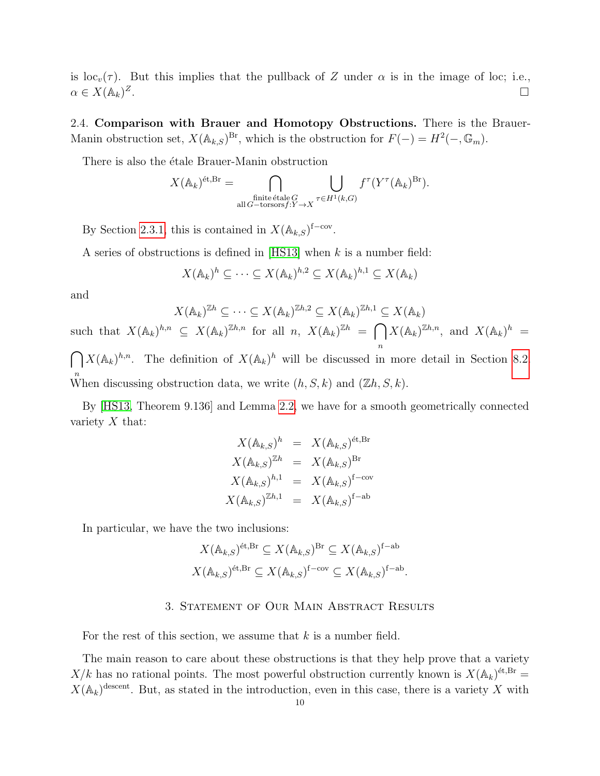is loc<sub>v</sub>(τ). But this implies that the pullback of Z under  $\alpha$  is in the image of loc; i.e.,  $\alpha \in X(\mathbb{A}_k)^Z$ .<br>1990 - Johann Stein, Amerikaansk politiker († 1905)

<span id="page-9-0"></span>2.4. Comparison with Brauer and Homotopy Obstructions. There is the Brauer-Manin obstruction set,  $X(\mathbb{A}_{k,S})^{\text{Br}}$ , which is the obstruction for  $F(-) = H^2(-,\mathbb{G}_m)$ .

There is also the étale Brauer-Manin obstruction

$$
X(\mathbb{A}_k)^{\text{\'et}, \text{Br}} = \bigcap_{\substack{\text{finite étale }G\\ \text{all }G-\text{torsors}f:Y\to X}} \bigcup_{\tau\in H^1(k,G)} f^\tau(Y^\tau(\mathbb{A}_k)^{\text{Br}}).
$$

By Section [2.3.1,](#page-8-1) this is contained in  $X(\mathbb{A}_{k,S})^{\mathsf{f-cov}}$ .

A series of obstructions is defined in [\[HS13\]](#page-58-0) when k is a number field:

$$
X(\mathbb{A}_k)^h \subseteq \cdots \subseteq X(\mathbb{A}_k)^{h,2} \subseteq X(\mathbb{A}_k)^{h,1} \subseteq X(\mathbb{A}_k)
$$

and

 $X(\mathbb{A}_k)^{\mathbb{Z}h} \subseteq \cdots \subseteq X(\mathbb{A}_k)^{\mathbb{Z}h,2} \subseteq X(\mathbb{A}_k)^{\mathbb{Z}h,1} \subseteq X(\mathbb{A}_k)$ such that  $X(\mathbb{A}_k)^{h,n} \subseteq X(\mathbb{A}_k)^{\mathbb{Z}h,n}$  for all  $n, X(\mathbb{A}_k)^{\mathbb{Z}h} = \bigcap X(\mathbb{A}_k)^{\mathbb{Z}h,n}$ , and  $X(\mathbb{A}_k)^h =$ n  $\bigcap X(\mathbb{A}_k)^{h,n}$ . The definition of  $X(\mathbb{A}_k)^h$  will be discussed in more detail in Section [8.2.](#page-29-0) <sup>n</sup><br>When discussing obstruction data, we write  $(h, S, k)$  and  $(\mathbb{Z}h, S, k)$ .

By [\[HS13,](#page-58-0) Theorem 9.136] and Lemma [2.2,](#page-5-2) we have for a smooth geometrically connected variety  $X$  that:

$$
X(\mathbb{A}_{k,S})^h = X(\mathbb{A}_{k,S})^{\text{\'et}, \text{Br}}
$$
  

$$
X(\mathbb{A}_{k,S})^{\mathbb{Z}h} = X(\mathbb{A}_{k,S})^{\text{Br}}
$$
  

$$
X(\mathbb{A}_{k,S})^{h,1} = X(\mathbb{A}_{k,S})^{\text{f-cov}}
$$
  

$$
X(\mathbb{A}_{k,S})^{\mathbb{Z}h,1} = X(\mathbb{A}_{k,S})^{\text{f-ab}}
$$

In particular, we have the two inclusions:

$$
X(\mathbb{A}_{k,S})^{\text{\'et}, \text{Br}} \subseteq X(\mathbb{A}_{k,S})^{\text{Br}} \subseteq X(\mathbb{A}_{k,S})^{\text{f-ab}}
$$
  

$$
X(\mathbb{A}_{k,S})^{\text{\'et}, \text{Br}} \subseteq X(\mathbb{A}_{k,S})^{\text{f-cov}} \subseteq X(\mathbb{A}_{k,S})^{\text{f-ab}}.
$$

#### 3. Statement of Our Main Abstract Results

<span id="page-9-1"></span>For the rest of this section, we assume that  $k$  is a number field.

The main reason to care about these obstructions is that they help prove that a variety  $X/k$  has no rational points. The most powerful obstruction currently known is  $X(\mathbb{A}_k)^{\text{\'et,Br}} =$  $X(\mathbb{A}_k)^{\text{descent}}$ . But, as stated in the introduction, even in this case, there is a variety X with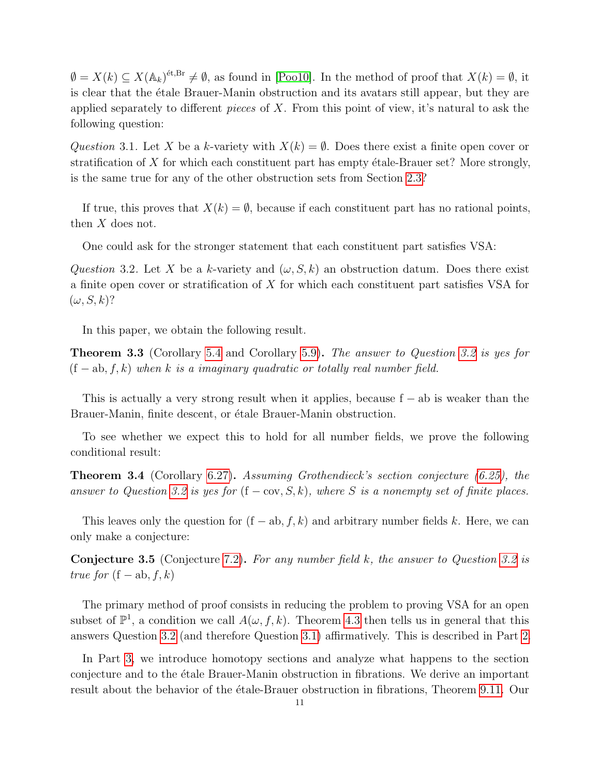$\emptyset = X(k) \subseteq X(\mathbb{A}_k)^{2k}$ ,  $\exists k \in \mathbb{N}$ , as found in [\[Poo10\]](#page-59-5). In the method of proof that  $X(k) = \emptyset$ , it is clear that the etale Brauer-Manin obstruction and its avatars still appear, but they are applied separately to different pieces of X. From this point of view, it's natural to ask the following question:

<span id="page-10-2"></span>Question 3.1. Let X be a k-variety with  $X(k) = \emptyset$ . Does there exist a finite open cover or stratification of X for which each constituent part has empty  $\acute{e}$ tale-Brauer set? More strongly, is the same true for any of the other obstruction sets from Section [2.3?](#page-7-0)

If true, this proves that  $X(k) = \emptyset$ , because if each constituent part has no rational points, then  $X$  does not.

One could ask for the stronger statement that each constituent part satisfies VSA:

<span id="page-10-1"></span>Question 3.2. Let X be a k-variety and  $(\omega, S, k)$  an obstruction datum. Does there exist a finite open cover or stratification of X for which each constituent part satisfies VSA for  $(\omega, S, k)$ ?

In this paper, we obtain the following result.

<span id="page-10-0"></span>**Theorem 3.3** (Corollary [5.4](#page-16-2) and Corollary [5.9\)](#page-17-1). The answer to Question [3.2](#page-10-1) is yes for  $(f - ab, f, k)$  when k is a imaginary quadratic or totally real number field.

This is actually a very strong result when it applies, because  $f - ab$  is weaker than the Brauer-Manin, finite descent, or étale Brauer-Manin obstruction.

To see whether we expect this to hold for all number fields, we prove the following conditional result:

<span id="page-10-3"></span>Theorem 3.4 (Corollary [6.27\)](#page-23-1). Assuming Grothendieck's section conjecture [\(6.25\)](#page-22-1), the answer to Question [3.2](#page-10-1) is yes for  $(f - cov, S, k)$ , where S is a nonempty set of finite places.

This leaves only the question for  $(f - ab, f, k)$  and arbitrary number fields k. Here, we can only make a conjecture:

Conjecture 3.5 (Conjecture [7.2\)](#page-23-2). For any number field k, the answer to Question [3.2](#page-10-1) is true for  $(f - ab, f, k)$ 

The primary method of proof consists in reducing the problem to proving VSA for an open subset of  $\mathbb{P}^1$ , a condition we call  $A(\omega, f, k)$ . Theorem [4.3](#page-14-0) then tells us in general that this answers Question [3.2](#page-10-1) (and therefore Question [3.1\)](#page-10-2) affirmatively. This is described in Part [2.](#page-13-1)

In Part [3,](#page-24-0) we introduce homotopy sections and analyze what happens to the section conjecture and to the étale Brauer-Manin obstruction in fibrations. We derive an important result about the behavior of the etale-Brauer obstruction in fibrations, Theorem [9.11.](#page-35-0) Our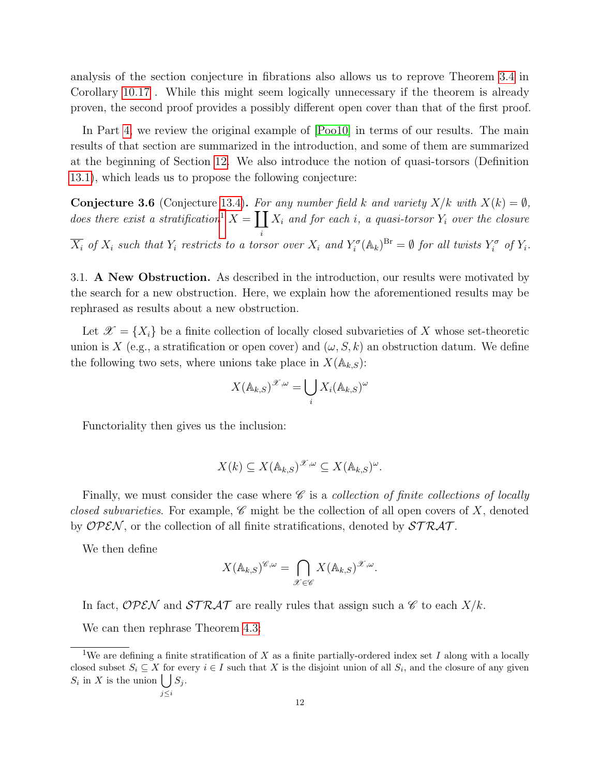analysis of the section conjecture in fibrations also allows us to reprove Theorem [3.4](#page-10-3) in Corollary [10.17](#page-39-0) . While this might seem logically unnecessary if the theorem is already proven, the second proof provides a possibly different open cover than that of the first proof.

In Part [4,](#page-40-0) we review the original example of [\[Poo10\]](#page-59-5) in terms of our results. The main results of that section are summarized in the introduction, and some of them are summarized at the beginning of Section [12.](#page-43-0) We also introduce the notion of quasi-torsors (Definition [13.1\)](#page-45-2), which leads us to propose the following conjecture:

**Conjecture 3.6** (Conjecture [13.4\)](#page-47-1). For any number field k and variety  $X/k$  with  $X(k) = \emptyset$ , does there exist a stratification<sup>[1](#page-11-1)</sup>  $X = \prod X_i$  and for each i, a quasi-torsor  $Y_i$  over the closure i  $\overline{X_i}$  of  $X_i$  such that  $Y_i$  restricts to a torsor over  $X_i$  and  $Y_i^{\sigma}(\mathbb{A}_k)^{Br} = \emptyset$  for all twists  $Y_i^{\sigma}$  of  $Y_i$ .

<span id="page-11-0"></span>3.1. A New Obstruction. As described in the introduction, our results were motivated by the search for a new obstruction. Here, we explain how the aforementioned results may be rephrased as results about a new obstruction.

Let  $\mathscr{X} = \{X_i\}$  be a finite collection of locally closed subvarieties of X whose set-theoretic union is X (e.g., a stratification or open cover) and  $(\omega, S, k)$  an obstruction datum. We define the following two sets, where unions take place in  $X(\mathbb{A}_{k,S})$ :

$$
X(\mathbb{A}_{k,S})^{\mathscr{X},\omega} = \bigcup_i X_i(\mathbb{A}_{k,S})^{\omega}
$$

Functoriality then gives us the inclusion:

$$
X(k) \subseteq X(\mathbb{A}_{k,S})^{\mathscr{X},\omega} \subseteq X(\mathbb{A}_{k,S})^{\omega}.
$$

Finally, we must consider the case where  $\mathscr C$  is a *collection of finite collections of locally* closed subvarieties. For example,  $\mathscr C$  might be the collection of all open covers of X, denoted by OPEN, or the collection of all finite stratifications, denoted by  $STRAT$ .

We then define

$$
X(\mathbb{A}_{k,S})^{\mathscr{C},\omega} = \bigcap_{\mathscr{X}\in\mathscr{C}} X(\mathbb{A}_{k,S})^{\mathscr{X},\omega}.
$$

In fact, OPEN and  $STRAT$  are really rules that assign such a  $\mathscr C$  to each  $X/k$ .

We can then rephrase Theorem [4.3:](#page-14-0)

<span id="page-11-1"></span><sup>&</sup>lt;sup>1</sup>We are defining a finite stratification of X as a finite partially-ordered index set I along with a locally closed subset  $S_i \subseteq X$  for every  $i \in I$  such that X is the disjoint union of all  $S_i$ , and the closure of any given  $S_i$  in X is the union  $\bigcup S_j$ . j≤i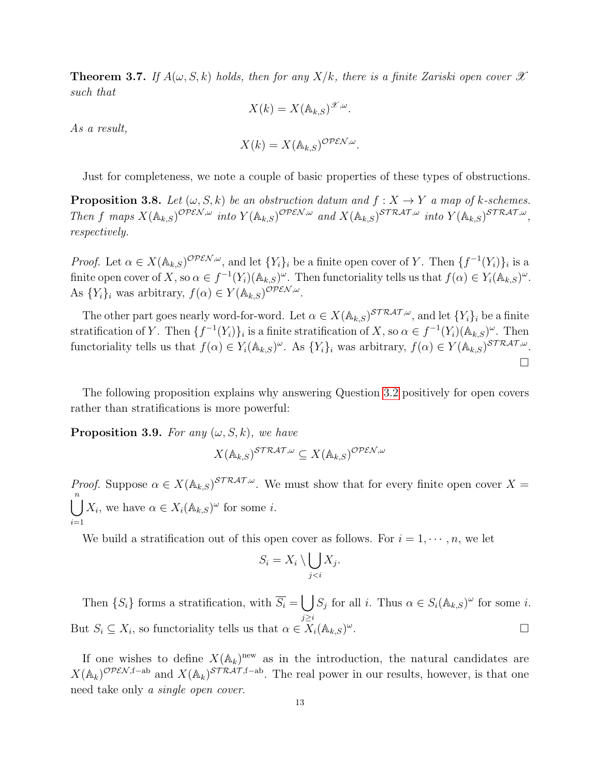**Theorem 3.7.** If  $A(\omega, S, k)$  holds, then for any  $X/k$ , there is a finite Zariski open cover  $\mathscr X$ such that

$$
X(k) = X(\mathbb{A}_{k,S})^{\mathscr{X},\omega}.
$$

As a result,

$$
X(k) = X(\mathbb{A}_{k,S})^{\mathcal{OPEN},\omega}.
$$

Just for completeness, we note a couple of basic properties of these types of obstructions.

<span id="page-12-0"></span>**Proposition 3.8.** Let  $(\omega, S, k)$  be an obstruction datum and  $f : X \to Y$  a map of k-schemes. Then f maps  $X(\mathbb{A}_{k,S})^{\mathcal{OPEN},\omega}$  into  $Y(\mathbb{A}_{k,S})^{\mathcal{OPEN},\omega}$  and  $X(\mathbb{A}_{k,S})^{\mathcal{STRAT},\omega}$  into  $Y(\mathbb{A}_{k,S})^{\mathcal{STRAT},\omega}$ , respectively.

*Proof.* Let  $\alpha \in X(\mathbb{A}_{k,S})^{\text{OPEN},\omega}$ , and let  $\{Y_i\}_i$  be a finite open cover of Y. Then  $\{f^{-1}(Y_i)\}_i$  is a finite open cover of X, so  $\alpha \in f^{-1}(Y_i)(\mathbb{A}_{k,S})^{\omega}$ . Then functoriality tells us that  $f(\alpha) \in Y_i(\mathbb{A}_{k,S})^{\omega}$ . As  $\{Y_i\}_i$  was arbitrary,  $f(\alpha) \in Y(\mathbb{A}_{k,S})^{\text{OPEN},\omega}$ .

The other part goes nearly word-for-word. Let  $\alpha \in X(\mathbb{A}_{k,S})^{\text{STRAT},\omega}$ , and let  $\{Y_i\}_i$  be a finite stratification of Y. Then  $\{f^{-1}(Y_i)\}_i$  is a finite stratification of X, so  $\alpha \in f^{-1}(Y_i)(\mathbb{A}_{k,S})^{\omega}$ . Then functoriality tells us that  $f(\alpha) \in Y_i(\mathbb{A}_{k,S})^\omega$ . As  $\{Y_i\}_i$  was arbitrary,  $f(\alpha) \in Y(\mathbb{A}_{k,S})^{STRAT,\omega}$ .  $\Box$ 

The following proposition explains why answering Question [3.2](#page-10-1) positively for open covers rather than stratifications is more powerful:

**Proposition 3.9.** For any  $(\omega, S, k)$ , we have

$$
X(\mathbb{A}_{k,S})^{\mathcal{STRAT},\omega} \subseteq X(\mathbb{A}_{k,S})^{\mathcal{OPEN},\omega}
$$

*Proof.* Suppose  $\alpha \in X(\mathbb{A}_{k,S})^{STRAT,\omega}$ . We must show that for every finite open cover  $X =$  $\bigcup_{i=1}^{n} X_i$ , we have  $\alpha \in X_i(\mathbb{A}_{k,S})^\omega$  for some *i*.  $i=1$ 

We build a stratification out of this open cover as follows. For  $i = 1, \dots, n$ , we let

$$
S_i = X_i \setminus \bigcup_{j < i} X_j.
$$

Then  $\{S_i\}$  forms a stratification, with  $\overline{S_i} = \bigcup S_j$  for all i. Thus  $\alpha \in S_i(\mathbb{A}_{k,S})^\omega$  for some i. j≥i But  $S_i \subseteq X_i$ , so functoriality tells us that  $\alpha \in X_i(\mathbb{A}_{k,S})^\omega$ . В последните последните под на приема с последните се приема с последните се приема с последните си<mark>ста с</mark>е пр<br>В последните се приема с последните се приема с приема с приема с приема с приема с приема с приема с приема

If one wishes to define  $X(\mathbb{A}_k)$ <sup>new</sup> as in the introduction, the natural candidates are  $X(\mathbb{A}_k)^{\mathcal{OPEN},\mathsf{f-ab}}$  and  $X(\mathbb{A}_k)^{\mathcal{STRAT},\mathsf{f-ab}}$ . The real power in our results, however, is that one need take only a single open cover.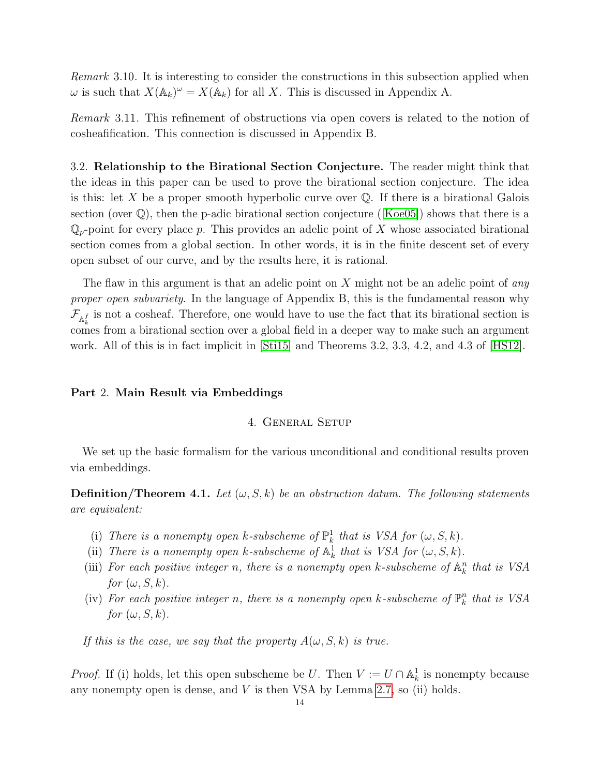Remark 3.10. It is interesting to consider the constructions in this subsection applied when  $\omega$  is such that  $X(\mathbb{A}_k)^\omega = X(\mathbb{A}_k)$  for all X. This is discussed in Appendix A.

Remark 3.11. This refinement of obstructions via open covers is related to the notion of cosheafification. This connection is discussed in Appendix B.

<span id="page-13-0"></span>3.2. Relationship to the Birational Section Conjecture. The reader might think that the ideas in this paper can be used to prove the birational section conjecture. The idea is this: let X be a proper smooth hyperbolic curve over  $\mathbb Q$ . If there is a birational Galois section(over  $\mathbb{Q}$ ), then the p-adic birational section conjecture ([\[Koe05\]](#page-59-10)) shows that there is a  $\mathbb{Q}_p$ -point for every place p. This provides an adelic point of X whose associated birational section comes from a global section. In other words, it is in the finite descent set of every open subset of our curve, and by the results here, it is rational.

The flaw in this argument is that an adelic point on X might not be an adelic point of *any* proper open subvariety. In the language of Appendix B, this is the fundamental reason why  $\mathcal{F}_{\mathbb{A}_{k}^{f}}$  is not a cosheaf. Therefore, one would have to use the fact that its birational section is comes from a birational section over a global field in a deeper way to make such an argument work. All of this is in fact implicit in [\[Sti15\]](#page-59-11) and Theorems 3.2, 3.3, 4.2, and 4.3 of [\[HS12\]](#page-58-2).

### <span id="page-13-2"></span><span id="page-13-1"></span>Part 2. Main Result via Embeddings

## 4. General Setup

We set up the basic formalism for the various unconditional and conditional results proven via embeddings.

<span id="page-13-3"></span>**Definition/Theorem 4.1.** Let  $(\omega, S, k)$  be an obstruction datum. The following statements are equivalent:

- (i) There is a nonempty open k-subscheme of  $\mathbb{P}^1_k$  that is VSA for  $(\omega, S, k)$ .
- (ii) There is a nonempty open k-subscheme of  $\mathbb{A}^1_k$  that is VSA for  $(\omega, S, k)$ .
- (iii) For each positive integer n, there is a nonempty open k-subscheme of  $\mathbb{A}_k^n$  that is VSA for  $(\omega, S, k)$ .
- (iv) For each positive integer n, there is a nonempty open k-subscheme of  $\mathbb{P}_k^n$  that is VSA for  $(\omega, S, k)$ .

If this is the case, we say that the property  $A(\omega, S, k)$  is true.

*Proof.* If (i) holds, let this open subscheme be U. Then  $V := U \cap \mathbb{A}^1_k$  is nonempty because any nonempty open is dense, and  $V$  is then VSA by Lemma [2.7,](#page-6-1) so (ii) holds.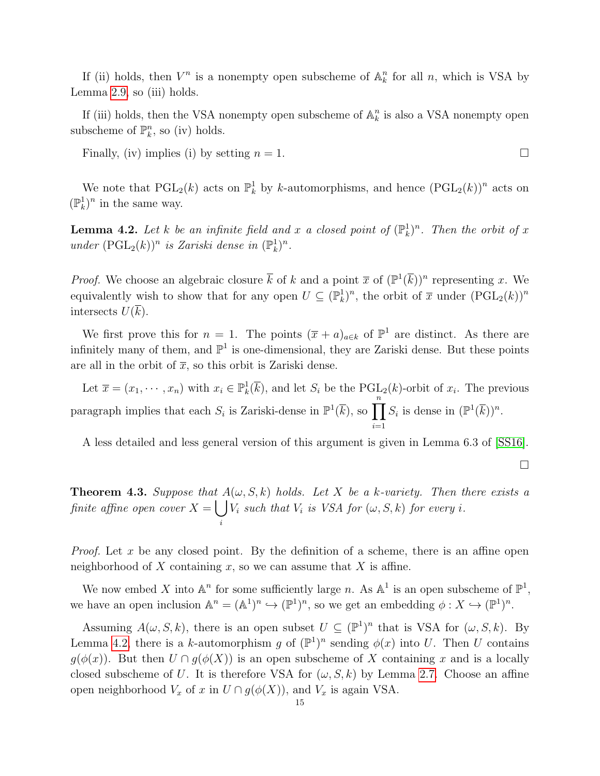If (ii) holds, then  $V^n$  is a nonempty open subscheme of  $\mathbb{A}_k^n$  for all n, which is VSA by Lemma [2.9,](#page-6-2) so (iii) holds.

If (iii) holds, then the VSA nonempty open subscheme of  $\mathbb{A}_k^n$  is also a VSA nonempty open subscheme of  $\mathbb{P}_k^n$ , so (iv) holds.

Finally, (iv) implies (i) by setting  $n = 1$ .

We note that  $\text{PGL}_2(k)$  acts on  $\mathbb{P}^1_k$  by k-automorphisms, and hence  $(\text{PGL}_2(k))^n$  acts on  $(\mathbb{P}^1_k)^n$  in the same way.

<span id="page-14-1"></span>**Lemma 4.2.** Let k be an infinite field and x a closed point of  $(\mathbb{P}_k^1)^n$ . Then the orbit of x under  $(\text{PGL}_2(k))^n$  is Zariski dense in  $(\mathbb{P}_k^1)^n$ .

*Proof.* We choose an algebraic closure  $\bar{k}$  of k and a point  $\bar{x}$  of  $(\mathbb{P}^1(\bar{k}))^n$  representing x. We equivalently wish to show that for any open  $U \subseteq (\mathbb{P}_k^1)^n$ , the orbit of  $\overline{x}$  under  $(PGL_2(k))^n$ intersects  $U(k)$ .

We first prove this for  $n = 1$ . The points  $(\bar{x} + a)_{a \in k}$  of  $\mathbb{P}^1$  are distinct. As there are infinitely many of them, and  $\mathbb{P}^1$  is one-dimensional, they are Zariski dense. But these points are all in the orbit of  $\bar{x}$ , so this orbit is Zariski dense.

Let  $\overline{x} = (x_1, \dots, x_n)$  with  $x_i \in \mathbb{P}_k^1(\overline{k})$ , and let  $S_i$  be the PGL<sub>2</sub>(*k*)-orbit of  $x_i$ . The previous paragraph implies that each  $S_i$  is Zariski-dense in  $\mathbb{P}^1(\overline{k})$ , so  $\prod^n$  $i=1$  $S_i$  is dense in  $(\mathbb{P}^1(\overline{k}))^n$ .

A less detailed and less general version of this argument is given in Lemma 6.3 of [\[SS16\]](#page-59-12).

<span id="page-14-0"></span>**Theorem 4.3.** Suppose that  $A(\omega, S, k)$  holds. Let X be a k-variety. Then there exists a finite affine open cover  $X = \begin{bmatrix} \end{bmatrix}$  $V_i$  such that  $V_i$  is VSA for  $(\omega, S, k)$  for every i.

*Proof.* Let x be any closed point. By the definition of a scheme, there is an affine open neighborhood of X containing x, so we can assume that X is affine.

i

We now embed X into  $\mathbb{A}^n$  for some sufficiently large n. As  $\mathbb{A}^1$  is an open subscheme of  $\mathbb{P}^1$ , we have an open inclusion  $\mathbb{A}^n = (\mathbb{A}^1)^n \hookrightarrow (\mathbb{P}^1)^n$ , so we get an embedding  $\phi: X \hookrightarrow (\mathbb{P}^1)^n$ .

Assuming  $A(\omega, S, k)$ , there is an open subset  $U \subseteq (\mathbb{P}^1)^n$  that is VSA for  $(\omega, S, k)$ . By Lemma [4.2,](#page-14-1) there is a k-automorphism g of  $(\mathbb{P}^1)^n$  sending  $\phi(x)$  into U. Then U contains  $g(\phi(x))$ . But then  $U \cap g(\phi(X))$  is an open subscheme of X containing x and is a locally closed subscheme of U. It is therefore VSA for  $(\omega, S, k)$  by Lemma [2.7.](#page-6-1) Choose an affine open neighborhood  $V_x$  of x in  $U \cap g(\phi(X))$ , and  $V_x$  is again VSA.

 $\Box$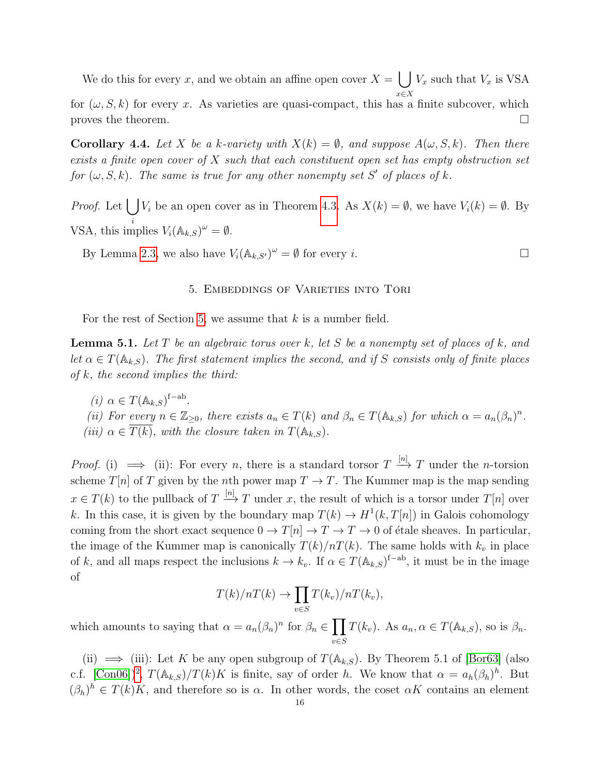We do this for every x, and we obtain an affine open cover  $X = \left[ \begin{array}{c} \end{array} \right] V_x$  such that  $V_x$  is VSA x∈X

for  $(\omega, S, k)$  for every x. As varieties are quasi-compact, this has a finite subcover, which proves the theorem.  $\Box$ 

**Corollary 4.4.** Let X be a k-variety with  $X(k) = \emptyset$ , and suppose  $A(\omega, S, k)$ . Then there exists a finite open cover of  $X$  such that each constituent open set has empty obstruction set for  $(\omega, S, k)$ . The same is true for any other nonempty set S' of places of k.

*Proof.* Let  $\bigcup V_i$  be an open cover as in Theorem [4.3.](#page-14-0) As  $X(k) = \emptyset$ , we have  $V_i(k) = \emptyset$ . By VSA, this implies  $V_i(\mathbb{A}_{k,S})^{\omega} = \emptyset$ .

<span id="page-15-0"></span>By Lemma [2.3,](#page-5-3) we also have  $V_i(\mathbb{A}_{k,S'})^{\omega} = \emptyset$  for every *i*.

#### 5. Embeddings of Varieties into Tori

For the rest of Section [5,](#page-15-0) we assume that  $k$  is a number field.

<span id="page-15-1"></span>**Lemma 5.1.** Let T be an algebraic torus over k, let S be a nonempty set of places of k, and let  $\alpha \in T(\mathbb{A}_{k,S})$ . The first statement implies the second, and if S consists only of finite places of  $k$ , the second implies the third:

(*i*)  $\alpha \in T(\mathbb{A}_{k,S})^{\text{f-ab}}$ . (ii) For every  $n \in \mathbb{Z}_{\geq 0}$ , there exists  $a_n \in T(k)$  and  $\beta_n \in T(\mathbb{A}_{k,S})$  for which  $\alpha = a_n(\beta_n)^n$ . (iii)  $\alpha \in \overline{T(k)}$ , with the closure taken in  $T(\mathbb{A}_{k,S})$ .

*Proof.* (i)  $\implies$  (ii): For every *n*, there is a standard torsor  $T \stackrel{[n]}{\longrightarrow} T$  under the *n*-torsion scheme  $T[n]$  of T given by the nth power map  $T \to T$ . The Kummer map is the map sending  $x \in T(k)$  to the pullback of  $T \stackrel{[n]}{\longrightarrow} T$  under x, the result of which is a torsor under  $T[n]$  over k. In this case, it is given by the boundary map  $T(k) \to H^1(k, T[n])$  in Galois cohomology coming from the short exact sequence  $0 \to T[n] \to T \to T \to 0$  of étale sheaves. In particular, the image of the Kummer map is canonically  $T(k)/nT(k)$ . The same holds with  $k_v$  in place of k, and all maps respect the inclusions  $k \to k_v$ . If  $\alpha \in T(\mathbb{A}_{k,S})^{\text{f-ab}}$ , it must be in the image of

$$
T(k)/nT(k) \to \prod_{v \in S} T(k_v)/nT(k_v),
$$

which amounts to saying that  $\alpha = a_n(\beta_n)^n$  for  $\beta_n \in \prod$ v∈S  $T(k_v)$ . As  $a_n, \alpha \in T(\mathbb{A}_{k,S})$ , so is  $\beta_n$ .

(ii)  $\implies$  (iii): Let K be any open subgroup of  $T(\mathbb{A}_{k,S})$ . By Theorem 5.1 of [\[Bor63\]](#page-58-3) (also c.f.  $[Con06])^2$  $[Con06])^2$ ,  $T(\mathbb{A}_{k,S})/T(k)K$  is finite, say of order h. We know that  $\alpha = a_h(\beta_h)^h$ . But  $(\beta_h)^h \in T(k)K$ , and therefore so is  $\alpha$ . In other words, the coset  $\alpha K$  contains an element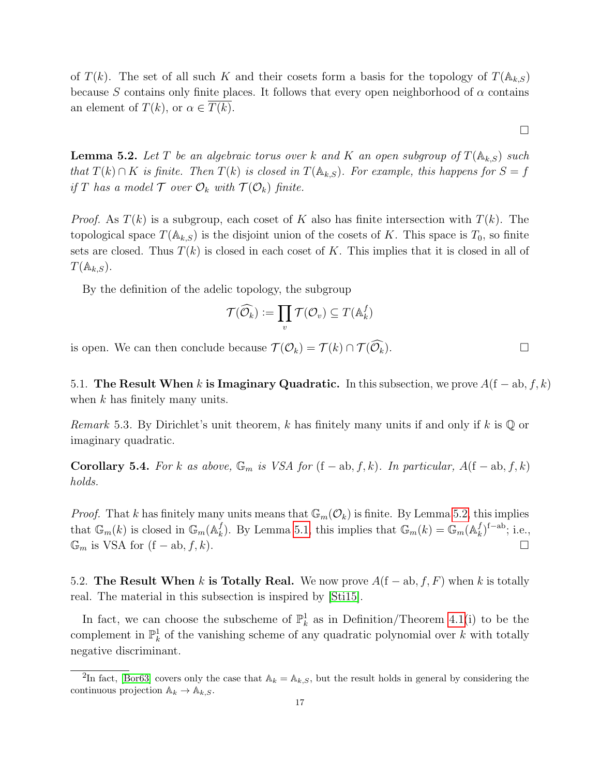of  $T(k)$ . The set of all such K and their cosets form a basis for the topology of  $T(\mathbb{A}_{k,S})$ because S contains only finite places. It follows that every open neighborhood of  $\alpha$  contains an element of  $T(k)$ , or  $\alpha \in T(k)$ .

 $\Box$ 

<span id="page-16-4"></span>**Lemma 5.2.** Let T be an algebraic torus over k and K an open subgroup of  $T(\mathbb{A}_{k,S})$  such that  $T(k) \cap K$  is finite. Then  $T(k)$  is closed in  $T(\mathbb{A}_{k,S})$ . For example, this happens for  $S = f$ if T has a model  $\mathcal T$  over  $\mathcal O_k$  with  $\mathcal T(\mathcal O_k)$  finite.

*Proof.* As  $T(k)$  is a subgroup, each coset of K also has finite intersection with  $T(k)$ . The topological space  $T(\mathbb{A}_{k,S})$  is the disjoint union of the cosets of K. This space is  $T_0$ , so finite sets are closed. Thus  $T(k)$  is closed in each coset of K. This implies that it is closed in all of  $T(\mathbb{A}_{k,S}).$ 

By the definition of the adelic topology, the subgroup

$$
\mathcal{T}(\widehat{\mathcal{O}_k}) := \prod_v \mathcal{T}(\mathcal{O}_v) \subseteq T(\mathbb{A}_k^f)
$$

is open. We can then conclude because  $\mathcal{T}(\mathcal{O}_k) = \mathcal{T}(k) \cap \mathcal{T}(\widehat{\mathcal{O}_k})$ .

<span id="page-16-0"></span>5.1. The Result When k is Imaginary Quadratic. In this subsection, we prove  $A(f - ab, f, k)$ when  $k$  has finitely many units.

*Remark* 5.3. By Dirichlet's unit theorem, k has finitely many units if and only if k is  $\mathbb{Q}$  or imaginary quadratic.

<span id="page-16-2"></span>Corollary 5.4. For k as above,  $\mathbb{G}_m$  is VSA for  $(f - ab, f, k)$ . In particular,  $A(f - ab, f, k)$ holds.

*Proof.* That k has finitely many units means that  $\mathbb{G}_m(\mathcal{O}_k)$  is finite. By Lemma [5.2,](#page-16-4) this implies that  $\mathbb{G}_m(k)$  is closed in  $\mathbb{G}_m(\mathbb{A}_k^f)$  $\mathcal{F}_k^f$ ). By Lemma [5.1,](#page-15-1) this implies that  $\mathbb{G}_m(k) = \mathbb{G}_m(\mathbb{A}_k^f)$  $_{k}^{f}$ )<sup>f-ab</sup>; i.e.,  $\mathbb{G}_m$  is VSA for  $(f - ab, f, k)$ .

<span id="page-16-1"></span>5.2. The Result When k is Totally Real. We now prove  $A(f - ab, f, F)$  when k is totally real. The material in this subsection is inspired by [\[Sti15\]](#page-59-11).

In fact, we can choose the subscheme of  $\mathbb{P}^1_k$  as in Definition/Theorem [4.1\(](#page-13-3)i) to be the complement in  $\mathbb{P}^1_k$  of the vanishing scheme of any quadratic polynomial over k with totally negative discriminant.

<span id="page-16-3"></span><sup>&</sup>lt;sup>2</sup>In fact, [\[Bor63\]](#page-58-3) covers only the case that  $\mathbb{A}_k = \mathbb{A}_{k,S}$ , but the result holds in general by considering the continuous projection  $\mathbb{A}_k \to \mathbb{A}_{k,S}$ .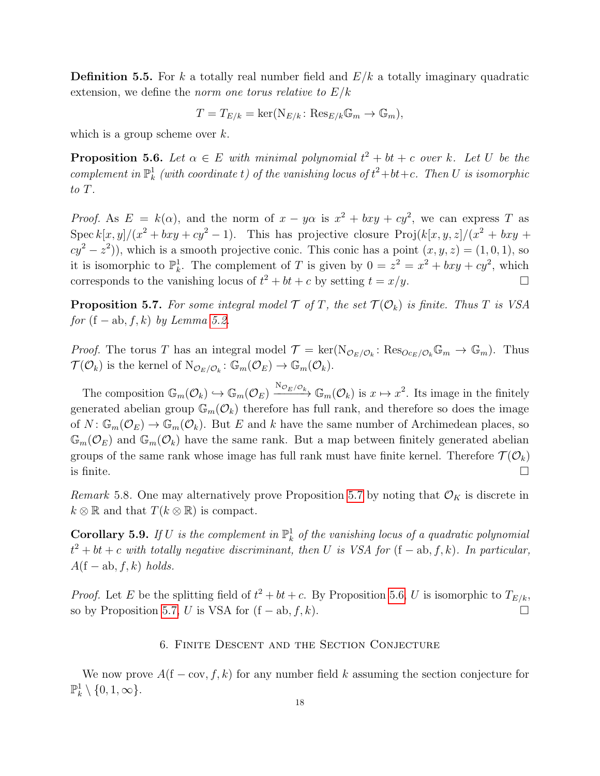**Definition 5.5.** For k a totally real number field and  $E/k$  a totally imaginary quadratic extension, we define the *norm* one torus relative to  $E/k$ 

$$
T = T_{E/k} = \ker(\mathrm{N}_{E/k} : \mathrm{Res}_{E/k} \mathbb{G}_m \to \mathbb{G}_m),
$$

which is a group scheme over  $k$ .

<span id="page-17-3"></span>**Proposition 5.6.** Let  $\alpha \in E$  with minimal polynomial  $t^2 + bt + c$  over k. Let U be the complement in  $\mathbb{P}^1_k$  (with coordinate t) of the vanishing locus of  $t^2+bt+c$ . Then U is isomorphic to T.

*Proof.* As  $E = k(\alpha)$ , and the norm of  $x - y\alpha$  is  $x^2 + bxy + cy^2$ , we can express T as Spec  $k[x, y]/(x^2 + bxy + cy^2 - 1)$ . This has projective closure  $Proj(k[x, y, z]/(x^2 + bxy + cxy))$  $cy^2 - z^2$ ), which is a smooth projective conic. This conic has a point  $(x, y, z) = (1, 0, 1)$ , so it is isomorphic to  $\mathbb{P}_k^1$ . The complement of T is given by  $0 = z^2 = x^2 + bxy + cy^2$ , which corresponds to the vanishing locus of  $t^2 + bt + c$  by setting  $t = x/y$ .

<span id="page-17-2"></span>**Proposition 5.7.** For some integral model  $\mathcal{T}$  of  $T$ , the set  $\mathcal{T}(\mathcal{O}_k)$  is finite. Thus  $T$  is VSA for  $(f - ab, f, k)$  by Lemma [5.2.](#page-16-4)

*Proof.* The torus T has an integral model  $\mathcal{T} = \ker(\mathrm{N}_{\mathcal{O}_E/\mathcal{O}_k}: \mathrm{Res}_{Oc_E/\mathcal{O}_k}\mathbb{G}_m \to \mathbb{G}_m)$ . Thus  $\mathcal{T}(\mathcal{O}_k)$  is the kernel of  $\mathrm{N}_{\mathcal{O}_E/\mathcal{O}_k} \colon \mathbb{G}_m(\mathcal{O}_E) \to \mathbb{G}_m(\mathcal{O}_k)$ .

The composition  $\mathbb{G}_m(\mathcal{O}_k) \hookrightarrow \mathbb{G}_m(\mathcal{O}_E) \xrightarrow{\mathrm{N}_{\mathcal{O}_E/\mathcal{O}_k}} \mathbb{G}_m(\mathcal{O}_k)$  is  $x \mapsto x^2$ . Its image in the finitely generated abelian group  $\mathbb{G}_m(\mathcal{O}_k)$  therefore has full rank, and therefore so does the image of  $N: \mathbb{G}_m(\mathcal{O}_E) \to \mathbb{G}_m(\mathcal{O}_k)$ . But E and k have the same number of Archimedean places, so  $\mathbb{G}_m(\mathcal{O}_E)$  and  $\mathbb{G}_m(\mathcal{O}_k)$  have the same rank. But a map between finitely generated abelian groups of the same rank whose image has full rank must have finite kernel. Therefore  $\mathcal{T}(\mathcal{O}_k)$ is finite.  $\Box$ 

Remark 5.8. One may alternatively prove Proposition [5.7](#page-17-2) by noting that  $\mathcal{O}_K$  is discrete in  $k \otimes \mathbb{R}$  and that  $T(k \otimes \mathbb{R})$  is compact.

<span id="page-17-1"></span>**Corollary 5.9.** If U is the complement in  $\mathbb{P}^1_k$  of the vanishing locus of a quadratic polynomial  $t^2 + bt + c$  with totally negative discriminant, then U is VSA for  $(f - ab, f, k)$ . In particular,  $A(f - ab, f, k)$  holds.

<span id="page-17-0"></span>*Proof.* Let E be the splitting field of  $t^2 + bt + c$ . By Proposition [5.6,](#page-17-3) U is isomorphic to  $T_{E/k}$ , so by Proposition [5.7,](#page-17-2) U is VSA for  $(f - ab, f, k)$ .

### 6. Finite Descent and the Section Conjecture

We now prove  $A(f - \text{cov}, f, k)$  for any number field k assuming the section conjecture for  $\mathbb{P}_k^1 \setminus \{0, 1, \infty\}.$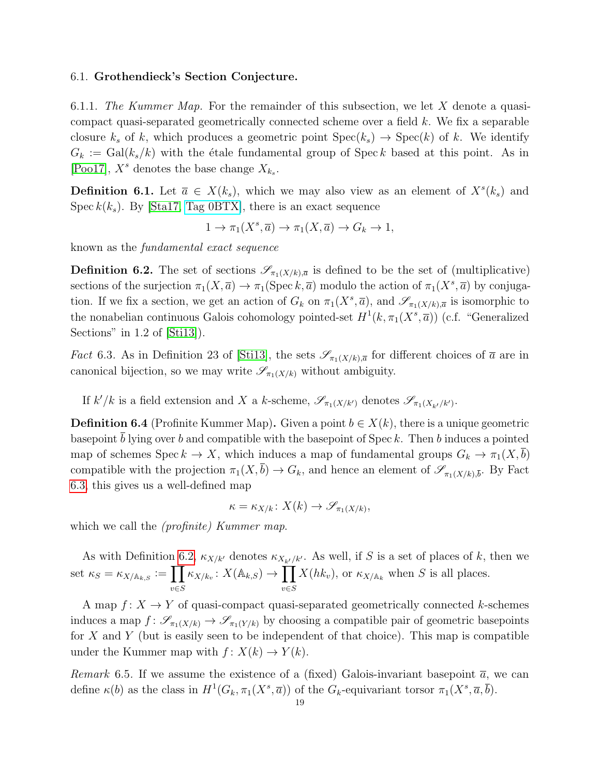#### <span id="page-18-0"></span>6.1. Grothendieck's Section Conjecture.

6.1.1. The Kummer Map. For the remainder of this subsection, we let X denote a quasicompact quasi-separated geometrically connected scheme over a field k. We fix a separable closure  $k<sub>s</sub>$  of k, which produces a geometric point  $Spec(k<sub>s</sub>) \rightarrow Spec(k)$  of k. We identify  $G_k := \text{Gal}(k_s/k)$  with the étale fundamental group of Spec k based at this point. As in [\[Poo17\]](#page-59-7),  $X^s$  denotes the base change  $X_{k_s}$ .

**Definition 6.1.** Let  $\bar{a} \in X(k_s)$ , which we may also view as an element of  $X^s(k_s)$  and Spec  $k(k<sub>s</sub>)$ . By [\[Sta17,](#page-59-13) [Tag 0BTX\]](http://stacks.math.columbia.edu/tag/0BTX), there is an exact sequence

$$
1 \to \pi_1(X^s, \overline{a}) \to \pi_1(X, \overline{a}) \to G_k \to 1,
$$

known as the fundamental exact sequence

<span id="page-18-2"></span>**Definition 6.2.** The set of sections  $\mathscr{S}_{\pi_1(X/k),\bar{a}}$  is defined to be the set of (multiplicative) sections of the surjection  $\pi_1(X, \overline{a}) \to \pi_1(\text{Spec } k, \overline{a})$  modulo the action of  $\pi_1(X^s, \overline{a})$  by conjugation. If we fix a section, we get an action of  $G_k$  on  $\pi_1(X^s, \overline{a})$ , and  $\mathscr{S}_{\pi_1(X/k), \overline{a}}$  is isomorphic to the nonabelian continuous Galois cohomology pointed-set  $H^1(k, \pi_1(X^s, \overline{a}))$  (c.f. "Generalized Sections" in 1.2 of [\[Sti13\]](#page-59-14)).

<span id="page-18-1"></span>*Fact* 6.3. As in Definition 23 of [\[Sti13\]](#page-59-14), the sets  $\mathscr{S}_{\pi_1(X/k),\bar{\alpha}}$  for different choices of  $\bar{a}$  are in canonical bijection, so we may write  $\mathscr{S}_{\pi_1(X/k)}$  without ambiguity.

If  $k'/k$  is a field extension and X a k-scheme,  $\mathscr{S}_{\pi_1(X/k')}$  denotes  $\mathscr{S}_{\pi_1(X_{k'}/k')}$ .

<span id="page-18-3"></span>**Definition 6.4** (Profinite Kummer Map). Given a point  $b \in X(k)$ , there is a unique geometric basepoint b lying over b and compatible with the basepoint of  $Spec k$ . Then b induces a pointed map of schemes Spec  $k \to X$ , which induces a map of fundamental groups  $G_k \to \pi_1(X, \overline{b})$ compatible with the projection  $\pi_1(X, \bar{b}) \to G_k$ , and hence an element of  $\mathscr{S}_{\pi_1(X/k), \bar{b}}$ . By Fact [6.3,](#page-18-1) this gives us a well-defined map

$$
\kappa = \kappa_{X/k} : X(k) \to \mathscr{S}_{\pi_1(X/k)},
$$

which we call the *(profinite)* Kummer map.

As with Definition [6.2,](#page-18-2)  $\kappa_{X/k'}$  denotes  $\kappa_{X_{k'}/k'}$ . As well, if S is a set of places of k, then we set  $\kappa_S = \kappa_{X/\mathbb{A}_{k,S}} := \prod$ v∈S  $\kappa_{X/k_v} \colon X(\mathbb{A}_{k,S}) \to \prod$ v∈S  $X(hk_v)$ , or  $\kappa_{X/\mathbb{A}_k}$  when S is all places.

A map  $f: X \to Y$  of quasi-compact quasi-separated geometrically connected k-schemes induces a map  $f: \mathscr{S}_{\pi_1(X/k)} \to \mathscr{S}_{\pi_1(Y/k)}$  by choosing a compatible pair of geometric basepoints for  $X$  and  $Y$  (but is easily seen to be independent of that choice). This map is compatible under the Kummer map with  $f: X(k) \to Y(k)$ .

Remark 6.5. If we assume the existence of a (fixed) Galois-invariant basepoint  $\bar{a}$ , we can define  $\kappa(b)$  as the class in  $H^1(G_k, \pi_1(X^s, \overline{a}))$  of the  $G_k$ -equivariant torsor  $\pi_1(X^s, \overline{a}, \overline{b})$ .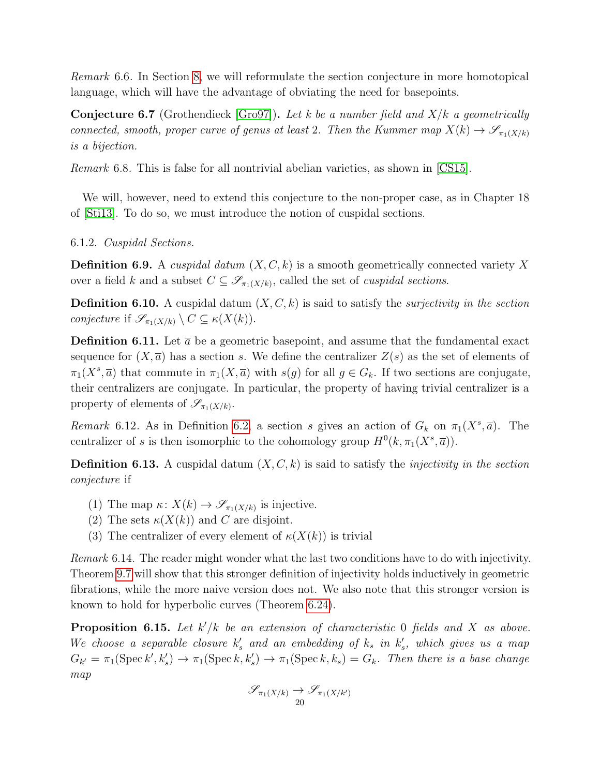Remark 6.6. In Section [8,](#page-25-0) we will reformulate the section conjecture in more homotopical language, which will have the advantage of obviating the need for basepoints.

<span id="page-19-1"></span>**Conjecture 6.7** (Grothendieck [\[Gro97\]](#page-58-5)). Let k be a number field and  $X/k$  a geometrically connected, smooth, proper curve of genus at least 2. Then the Kummer map  $X(k) \to \mathscr{S}_{\pi_1(X/k)}$ is a bijection.

Remark 6.8. This is false for all nontrivial abelian varieties, as shown in [\[CS15\]](#page-58-6).

We will, however, need to extend this conjecture to the non-proper case, as in Chapter 18 of [\[Sti13\]](#page-59-14). To do so, we must introduce the notion of cuspidal sections.

6.1.2. Cuspidal Sections.

<span id="page-19-2"></span>**Definition 6.9.** A cuspidal datum  $(X, C, k)$  is a smooth geometrically connected variety X over a field k and a subset  $C \subseteq \mathscr{S}_{\pi_1(X/k)}$ , called the set of *cuspidal sections*.

<span id="page-19-3"></span>**Definition 6.10.** A cuspidal datum  $(X, C, k)$  is said to satisfy the *surjectivity in the section* conjecture if  $\mathscr{S}_{\pi_1(X/k)} \setminus C \subseteq \kappa(X(k)).$ 

**Definition 6.11.** Let  $\bar{a}$  be a geometric basepoint, and assume that the fundamental exact sequence for  $(X,\overline{a})$  has a section s. We define the centralizer  $Z(s)$  as the set of elements of  $\pi_1(X^s, \overline{a})$  that commute in  $\pi_1(X, \overline{a})$  with  $s(g)$  for all  $g \in G_k$ . If two sections are conjugate, their centralizers are conjugate. In particular, the property of having trivial centralizer is a property of elements of  $\mathscr{S}_{\pi_1(X/k)}$ .

Remark 6.12. As in Definition [6.2,](#page-18-2) a section s gives an action of  $G_k$  on  $\pi_1(X^s, \overline{a})$ . The centralizer of s is then isomorphic to the cohomology group  $H^0(k, \pi_1(X^s, \overline{a}))$ .

<span id="page-19-4"></span>**Definition 6.13.** A cuspidal datum  $(X, C, k)$  is said to satisfy the *injectivity in the section* conjecture if

- (1) The map  $\kappa: X(k) \to \mathscr{S}_{\pi_1(X/k)}$  is injective.
- (2) The sets  $\kappa(X(k))$  and C are disjoint.
- (3) The centralizer of every element of  $\kappa(X(k))$  is trivial

Remark 6.14. The reader might wonder what the last two conditions have to do with injectivity. Theorem [9.7](#page-34-0) will show that this stronger definition of injectivity holds inductively in geometric fibrations, while the more naive version does not. We also note that this stronger version is known to hold for hyperbolic curves (Theorem [6.24\)](#page-22-2).

<span id="page-19-0"></span>**Proposition 6.15.** Let  $k'/k$  be an extension of characteristic 0 fields and X as above. We choose a separable closure  $k'_s$  and an embedding of  $k_s$  in  $k'_s$ , which gives us a map  $G_{k'} = \pi_1(\text{Spec } k', k_s') \rightarrow \pi_1(\text{Spec } k, k_s') \rightarrow \pi_1(\text{Spec } k, k_s) = G_k$ . Then there is a base change map

$$
\mathscr{S}_{\pi_1(X/k)} \to \mathscr{S}_{\pi_1(X/k')}
$$
20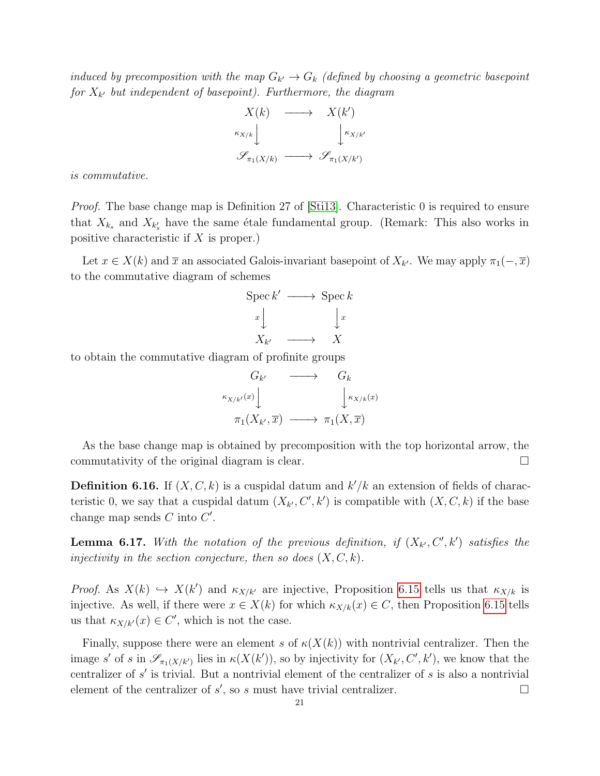induced by precomposition with the map  $G_{k'} \to G_k$  (defined by choosing a geometric basepoint for  $X_{k'}$  but independent of basepoint). Furthermore, the diagram

$$
X(k) \longrightarrow X(k')
$$
  
\n
$$
\downarrow \kappa_{X/k}
$$
  
\n
$$
\downarrow \kappa_{X/k'}
$$
  
\n
$$
\mathscr{S}_{\pi_1(X/k)} \longrightarrow \mathscr{S}_{\pi_1(X/k')}
$$

is commutative.

Proof. The base change map is Definition 27 of [\[Sti13\]](#page-59-14). Characteristic 0 is required to ensure that  $X_{k_s}$  and  $X_{k'_s}$  have the same étale fundamental group. (Remark: This also works in positive characteristic if  $X$  is proper.)

Let  $x \in X(k)$  and  $\overline{x}$  an associated Galois-invariant basepoint of  $X_{k'}$ . We may apply  $\pi_1(-, \overline{x})$ to the commutative diagram of schemes



to obtain the commutative diagram of profinite groups

$$
G_{k'} \longrightarrow G_k
$$
  

$$
\pi_1(X_{k'}, \overline{x}) \longrightarrow \pi_1(X, \overline{x})
$$

As the base change map is obtained by precomposition with the top horizontal arrow, the commutativity of the original diagram is clear.  $\Box$ 

<span id="page-20-0"></span>**Definition 6.16.** If  $(X, C, k)$  is a cuspidal datum and  $k'/k$  an extension of fields of characteristic 0, we say that a cuspidal datum  $(X_{k'}, C', k')$  is compatible with  $(X, C, k)$  if the base change map sends  $C$  into  $C'$ .

<span id="page-20-1"></span>**Lemma 6.17.** With the notation of the previous definition, if  $(X_{k'}, C', k')$  satisfies the injectivity in the section conjecture, then so does  $(X, C, k)$ .

Proof. As  $X(k) \hookrightarrow X(k')$  and  $\kappa_{X/k'}$  are injective, Proposition [6.15](#page-19-0) tells us that  $\kappa_{X/k}$  is injective. As well, if there were  $x \in X(k)$  for which  $\kappa_{X/k}(x) \in C$ , then Proposition [6.15](#page-19-0) tells us that  $\kappa_{X/k'}(x) \in C'$ , which is not the case.

Finally, suppose there were an element s of  $\kappa(X(k))$  with nontrivial centralizer. Then the image s' of s in  $\mathscr{S}_{\pi_1(X/k')}$  lies in  $\kappa(X(k'))$ , so by injectivity for  $(X_{k'}, C', k')$ , we know that the centralizer of  $s'$  is trivial. But a nontrivial element of the centralizer of  $s$  is also a nontrivial element of the centralizer of  $s'$ , so s must have trivial centralizer.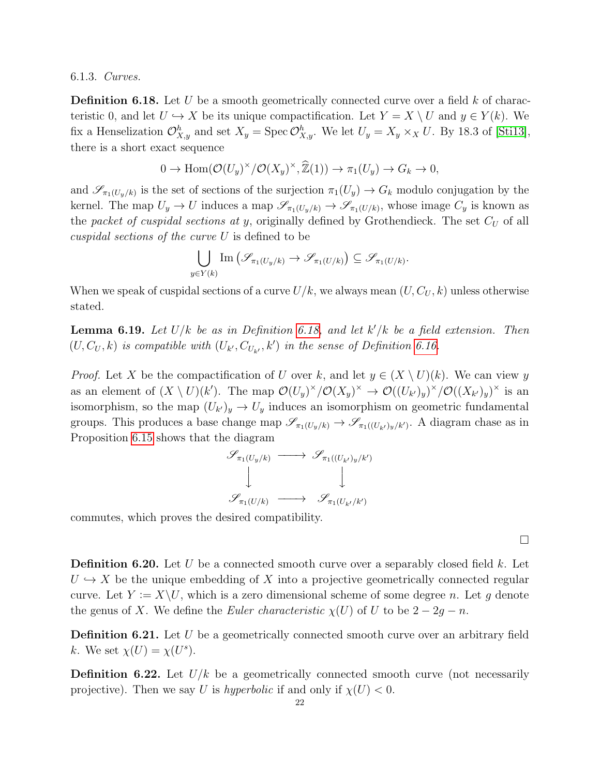6.1.3. Curves.

<span id="page-21-0"></span>**Definition 6.18.** Let U be a smooth geometrically connected curve over a field k of characteristic 0, and let  $U \hookrightarrow X$  be its unique compactification. Let  $Y = X \setminus U$  and  $y \in Y(k)$ . We fix a Henselization  $\mathcal{O}_{X,y}^h$  and set  $X_y = \text{Spec } \mathcal{O}_{X,y}^h$ . We let  $U_y = X_y \times_X U$ . By 18.3 of [\[Sti13\]](#page-59-14), there is a short exact sequence

$$
0 \to \operatorname{Hom}(\mathcal{O}(U_y)^\times/\mathcal{O}(X_y)^\times, \widehat{\mathbb{Z}}(1)) \to \pi_1(U_y) \to G_k \to 0,
$$

and  $\mathscr{S}_{\pi_1(U_y/k)}$  is the set of sections of the surjection  $\pi_1(U_y) \to G_k$  modulo conjugation by the kernel. The map  $U_y \to U$  induces a map  $\mathscr{S}_{\pi_1(U_y/k)} \to \mathscr{S}_{\pi_1(U/k)}$ , whose image  $C_y$  is known as the packet of cuspidal sections at y, originally defined by Grothendieck. The set  $C_U$  of all cuspidal sections of the curve  $U$  is defined to be

$$
\bigcup_{y \in Y(k)} \text{Im} \left( \mathscr{S}_{\pi_1(U_y/k)} \to \mathscr{S}_{\pi_1(U/k)} \right) \subseteq \mathscr{S}_{\pi_1(U/k)}.
$$

When we speak of cuspidal sections of a curve  $U/k$ , we always mean  $(U, C_U, k)$  unless otherwise stated.

<span id="page-21-1"></span>**Lemma 6.19.** Let  $U/k$  be as in Definition [6.18,](#page-21-0) and let  $k'/k$  be a field extension. Then  $(U, C_U, k)$  is compatible with  $(U_{k'}, C_{U_{k'}, k'})$  in the sense of Definition [6.16.](#page-20-0)

*Proof.* Let X be the compactification of U over k, and let  $y \in (X \setminus U)(k)$ . We can view y as an element of  $(X \setminus U)(k')$ . The map  $\mathcal{O}(U_y)^{\times}/\mathcal{O}(X_y)^{\times} \to \mathcal{O}((U_{k'})_y)^{\times}/\mathcal{O}((X_{k'})_y)^{\times}$  is an isomorphism, so the map  $(U_{k'})_y \to U_y$  induces an isomorphism on geometric fundamental groups. This produces a base change map  $\mathscr{S}_{\pi_1(U_y/k)} \to \mathscr{S}_{\pi_1((U_{k'})_y/k')}$ . A diagram chase as in Proposition [6.15](#page-19-0) shows that the diagram

$$
\begin{array}{ccc}\mathscr{S}_{\pi_1(U_y/k)} & \longrightarrow & \mathscr{S}_{\pi_1((U_{k'})_y/k')}\\ \downarrow & & \downarrow\\ \mathscr{S}_{\pi_1(U/k)} & \longrightarrow & \mathscr{S}_{\pi_1(U_{k'}/k')}\\ \end{array}
$$

commutes, which proves the desired compatibility.

 $\Box$ 

**Definition 6.20.** Let U be a connected smooth curve over a separably closed field k. Let  $U \hookrightarrow X$  be the unique embedding of X into a projective geometrically connected regular curve. Let  $Y := X \setminus U$ , which is a zero dimensional scheme of some degree n. Let g denote the genus of X. We define the Euler characteristic  $\chi(U)$  of U to be  $2 - 2g - n$ .

**Definition 6.21.** Let  $U$  be a geometrically connected smooth curve over an arbitrary field k. We set  $\chi(U) = \chi(U^s)$ .

<span id="page-21-2"></span>**Definition 6.22.** Let  $U/k$  be a geometrically connected smooth curve (not necessarily projective). Then we say U is hyperbolic if and only if  $\chi(U) < 0$ .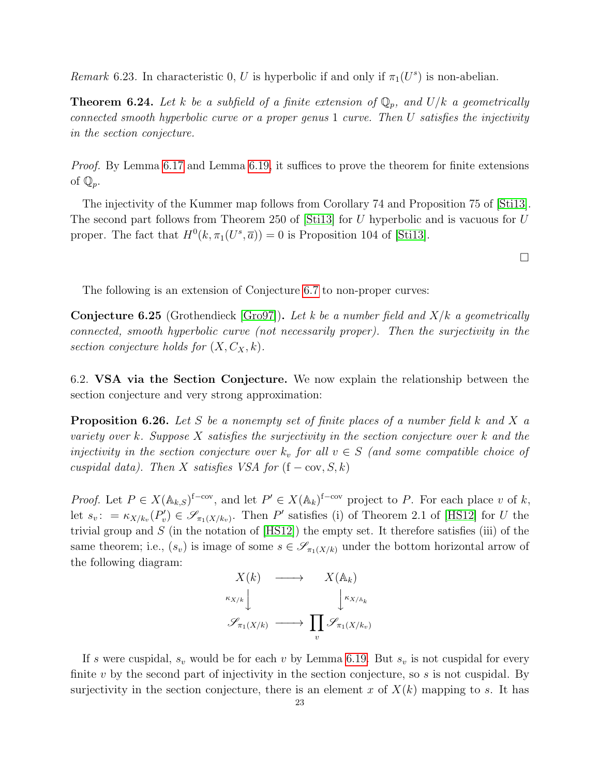Remark 6.23. In characteristic 0, U is hyperbolic if and only if  $\pi_1(U^s)$  is non-abelian.

<span id="page-22-2"></span>**Theorem 6.24.** Let k be a subfield of a finite extension of  $\mathbb{Q}_p$ , and  $U/k$  a geometrically connected smooth hyperbolic curve or a proper genus 1 curve. Then U satisfies the injectivity in the section conjecture.

Proof. By Lemma [6.17](#page-20-1) and Lemma [6.19,](#page-21-1) it suffices to prove the theorem for finite extensions of  $\mathbb{Q}_p$ .

The injectivity of the Kummer map follows from Corollary 74 and Proposition 75 of [\[Sti13\]](#page-59-14). The second part follows from Theorem 250 of [\[Sti13\]](#page-59-14) for U hyperbolic and is vacuous for U proper. The fact that  $H^0(k, \pi_1(U^s, \overline{a})) = 0$  is Proposition 104 of [\[Sti13\]](#page-59-14).

 $\Box$ 

The following is an extension of Conjecture [6.7](#page-19-1) to non-proper curves:

<span id="page-22-1"></span>**Conjecture 6.25** (Grothendieck [\[Gro97\]](#page-58-5)). Let k be a number field and  $X/k$  a geometrically connected, smooth hyperbolic curve (not necessarily proper). Then the surjectivity in the section conjecture holds for  $(X, C_X, k)$ .

<span id="page-22-0"></span>6.2. VSA via the Section Conjecture. We now explain the relationship between the section conjecture and very strong approximation:

<span id="page-22-3"></span>**Proposition 6.26.** Let S be a nonempty set of finite places of a number field k and X a variety over k. Suppose  $X$  satisfies the surjectivity in the section conjecture over  $k$  and the injectivity in the section conjecture over  $k_v$  for all  $v \in S$  (and some compatible choice of cuspidal data). Then X satisfies VSA for  $(f - cov, S, k)$ 

*Proof.* Let  $P \in X(\mathbb{A}_{k,S})^{\text{f-cov}}$ , and let  $P' \in X(\mathbb{A}_{k})^{\text{f-cov}}$  project to P. For each place v of k, let  $s_v$ :  $= \kappa_{X/k_v}(P'_v) \in \mathscr{S}_{\pi_1(X/k_v)}$ . Then P' satisfies (i) of Theorem 2.1 of [\[HS12\]](#page-58-2) for U the trivial group and  $S$  (in the notation of  $[HS12]$ ) the empty set. It therefore satisfies (iii) of the same theorem; i.e.,  $(s_v)$  is image of some  $s \in \mathscr{S}_{\pi_1(X/k)}$  under the bottom horizontal arrow of the following diagram:



If s were cuspidal,  $s_v$  would be for each v by Lemma [6.19.](#page-21-1) But  $s_v$  is not cuspidal for every finite  $v$  by the second part of injectivity in the section conjecture, so  $s$  is not cuspidal. By surjectivity in the section conjecture, there is an element x of  $X(k)$  mapping to s. It has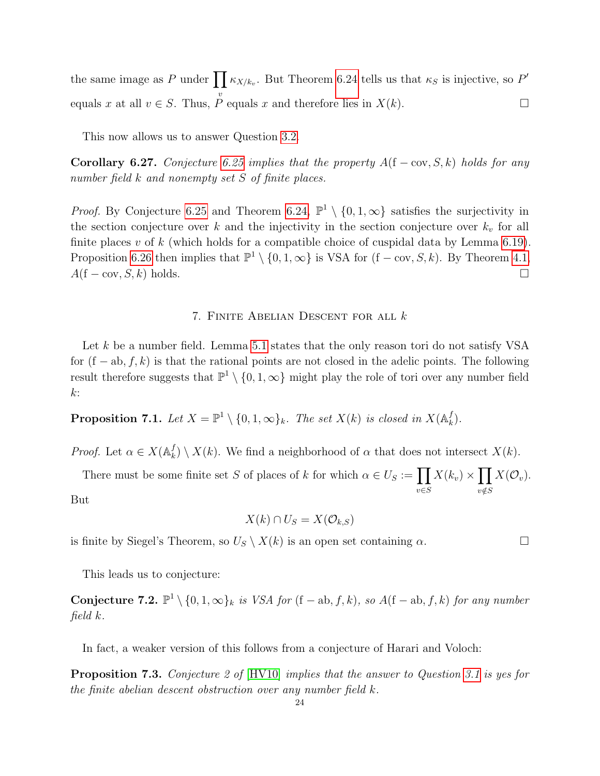the same image as P under  $\prod_{k \in K/k_v} k$ . But Theorem [6.24](#page-22-2) tells us that  $\kappa_S$  is injective, so P' equals x at all  $v \in S$ . Thus,  $\overline{P}$  equals x and therefore lies in  $X(k)$ .

This now allows us to answer Question [3.2.](#page-10-1)

<span id="page-23-1"></span>Corollary 6.27. Conjecture [6.25](#page-22-1) implies that the property  $A(f - cov, S, k)$  holds for any number field k and nonempty set S of finite places.

*Proof.* By Conjecture [6.25](#page-22-1) and Theorem [6.24,](#page-22-2)  $\mathbb{P}^1 \setminus \{0, 1, \infty\}$  satisfies the surjectivity in the section conjecture over k and the injectivity in the section conjecture over  $k_v$  for all finite places  $v$  of  $k$  (which holds for a compatible choice of cuspidal data by Lemma [6.19\)](#page-21-1). Proposition [6.26](#page-22-3) then implies that  $\mathbb{P}^1 \setminus \{0, 1, \infty\}$  is VSA for  $(f - cov, S, k)$ . By Theorem [4.1,](#page-13-3)  $A(f - \text{cov}, S, k)$  holds.

#### 7. Finite Abelian Descent for all k

<span id="page-23-0"></span>Let k be a number field. Lemma [5.1](#page-15-1) states that the only reason tori do not satisfy VSA for  $(f - ab, f, k)$  is that the rational points are not closed in the adelic points. The following result therefore suggests that  $\mathbb{P}^1 \setminus \{0, 1, \infty\}$  might play the role of tori over any number field  $k$ :

**Proposition 7.1.** Let  $X = \mathbb{P}^1 \setminus \{0, 1, \infty\}_k$ . The set  $X(k)$  is closed in  $X(\mathbb{A}_k^f)$  $_{k}^{J}).$ 

*Proof.* Let  $\alpha \in X(\mathbb{A}_k^f)$  $\mathcal{L}_k^f$   $\setminus$   $X(k)$ . We find a neighborhood of  $\alpha$  that does not intersect  $X(k)$ .

There must be some finite set S of places of k for which  $\alpha \in U_S := \prod$ v∈S  $X(k_v) \times \prod$  $v {\notin} S$  $X(\mathcal{O}_v)$ . But

$$
X(k) \cap U_S = X(\mathcal{O}_{k,S})
$$

is finite by Siegel's Theorem, so  $U_S \setminus X(k)$  is an open set containing  $\alpha$ .

This leads us to conjecture:

<span id="page-23-2"></span>**Conjecture 7.2.**  $\mathbb{P}^1 \setminus \{0, 1, \infty\}_k$  is VSA for (f − ab, f, k), so A(f − ab, f, k) for any number field k.

In fact, a weaker version of this follows from a conjecture of Harari and Voloch:

**Proposition 7.3.** Conjecture 2 of [\[HV10\]](#page-59-15) implies that the answer to Question [3.1](#page-10-2) is yes for the finite abelian descent obstruction over any number field k.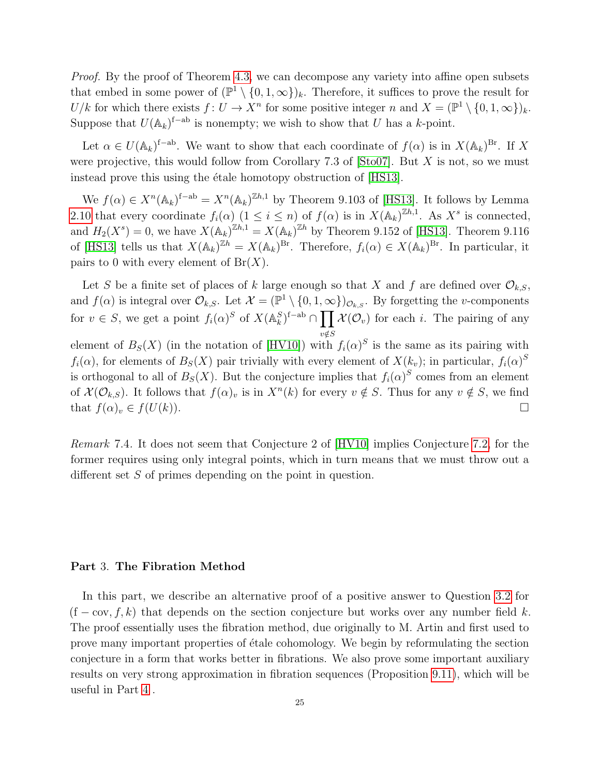Proof. By the proof of Theorem [4.3,](#page-14-0) we can decompose any variety into affine open subsets that embed in some power of  $(\mathbb{P}^1 \setminus \{0, 1, \infty\})_k$ . Therefore, it suffices to prove the result for  $U/k$  for which there exists  $f: U \to X^n$  for some positive integer n and  $X = (\mathbb{P}^1 \setminus \{0, 1, \infty\})_k$ . Suppose that  $U(\mathbb{A}_k)^{f-ab}$  is nonempty; we wish to show that U has a k-point.

Let  $\alpha \in U(\mathbb{A}_k)^{f-ab}$ . We want to show that each coordinate of  $f(\alpha)$  is in  $X(\mathbb{A}_k)^{Br}$ . If X were projective, this would follow from Corollary 7.3 of [\[Sto07\]](#page-59-8). But  $X$  is not, so we must instead prove this using the étale homotopy obstruction of [\[HS13\]](#page-58-0).

We  $f(\alpha) \in X^n(\mathbb{A}_k)^{f-ab} = X^n(\mathbb{A}_k)^{\mathbb{Z}h,1}$  by Theorem 9.103 of [\[HS13\]](#page-58-0). It follows by Lemma [2.10](#page-7-3) that every coordinate  $f_i(\alpha)$   $(1 \leq i \leq n)$  of  $f(\alpha)$  is in  $X(\mathbb{A}_k)^{\mathbb{Z}h,1}$ . As  $X^s$  is connected, and  $H_2(X^s) = 0$ , we have  $X(\mathbb{A}_k)^{\mathbb{Z}h,1} = X(\mathbb{A}_k)^{\mathbb{Z}h}$  by Theorem 9.152 of [\[HS13\]](#page-58-0). Theorem 9.116 of [\[HS13\]](#page-58-0) tells us that  $X(\mathbb{A}_k)^{\mathbb{Z}^h} = X(\mathbb{A}_k)^{\text{Br}}$ . Therefore,  $f_i(\alpha) \in X(\mathbb{A}_k)^{\text{Br}}$ . In particular, it pairs to 0 with every element of  $Br(X)$ .

Let S be a finite set of places of k large enough so that X and f are defined over  $\mathcal{O}_{k,S}$ , and  $f(\alpha)$  is integral over  $\mathcal{O}_{k,S}$ . Let  $\mathcal{X} = (\mathbb{P}^1 \setminus \{0,1,\infty\})_{\mathcal{O}_{k,S}}$ . By forgetting the *v*-components for  $v \in S$ , we get a point  $f_i(\alpha)^S$  of  $X(\mathbb{A}_k^S)^{f-ab} \cap \prod \mathcal{X}(\mathcal{O}_v)$  for each i. The pairing of any  $v {\notin} S$ element of  $B<sub>S</sub>(X)$  (in the notation of [\[HV10\]](#page-59-15)) with  $f<sub>i</sub>(\alpha)^S$  is the same as its pairing with  $f_i(\alpha)$ , for elements of  $B_s(X)$  pair trivially with every element of  $X(k_v)$ ; in particular,  $f_i(\alpha)^S$ is orthogonal to all of  $B_S(X)$ . But the conjecture implies that  $f_i(\alpha)^S$  comes from an element of  $\mathcal{X}(\mathcal{O}_{k,S})$ . It follows that  $f(\alpha)_v$  is in  $X^n(k)$  for every  $v \notin S$ . Thus for any  $v \notin S$ , we find that  $f(\alpha)_v \in f(U(k))$ .

Remark 7.4. It does not seem that Conjecture 2 of [\[HV10\]](#page-59-15) implies Conjecture [7.2,](#page-23-2) for the former requires using only integral points, which in turn means that we must throw out a different set S of primes depending on the point in question.

#### <span id="page-24-0"></span>Part 3. The Fibration Method

In this part, we describe an alternative proof of a positive answer to Question [3.2](#page-10-1) for  $(f - cov, f, k)$  that depends on the section conjecture but works over any number field k. The proof essentially uses the fibration method, due originally to M. Artin and first used to prove many important properties of étale cohomology. We begin by reformulating the section conjecture in a form that works better in fibrations. We also prove some important auxiliary results on very strong approximation in fibration sequences (Proposition [9.11\)](#page-35-0), which will be useful in Part [4](#page-40-0) .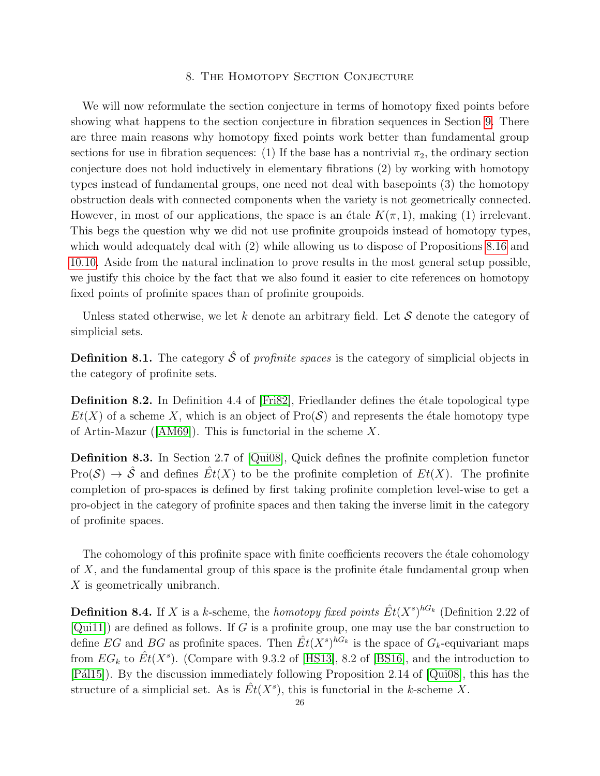## 8. The Homotopy Section Conjecture

<span id="page-25-0"></span>We will now reformulate the section conjecture in terms of homotopy fixed points before showing what happens to the section conjecture in fibration sequences in Section [9.](#page-31-0) There are three main reasons why homotopy fixed points work better than fundamental group sections for use in fibration sequences: (1) If the base has a nontrivial  $\pi_2$ , the ordinary section conjecture does not hold inductively in elementary fibrations (2) by working with homotopy types instead of fundamental groups, one need not deal with basepoints (3) the homotopy obstruction deals with connected components when the variety is not geometrically connected. However, in most of our applications, the space is an étale  $K(\pi, 1)$ , making (1) irrelevant. This begs the question why we did not use profinite groupoids instead of homotopy types, which would adequately deal with (2) while allowing us to dispose of Propositions [8.16](#page-27-1) and [10.10.](#page-38-1) Aside from the natural inclination to prove results in the most general setup possible, we justify this choice by the fact that we also found it easier to cite references on homotopy fixed points of profinite spaces than of profinite groupoids.

Unless stated otherwise, we let k denote an arbitrary field. Let  $S$  denote the category of simplicial sets.

**Definition 8.1.** The category  $\hat{\mathcal{S}}$  of profinite spaces is the category of simplicial objects in the category of profinite sets.

**Definition 8.2.** In Definition 4.4 of  $[Fix2]$ , Friedlander defines the étale topological type  $Et(X)$  of a scheme X, which is an object of  $Pro(\mathcal{S})$  and represents the étale homotopy type of Artin-Mazur([\[AM69\]](#page-58-8)). This is functorial in the scheme X.

<span id="page-25-1"></span>Definition 8.3. In Section 2.7 of [\[Qui08\]](#page-59-16), Quick defines the profinite completion functor  $Pro(\mathcal{S}) \to \hat{\mathcal{S}}$  and defines  $Et(X)$  to be the profinite completion of  $Et(X)$ . The profinite completion of pro-spaces is defined by first taking profinite completion level-wise to get a pro-object in the category of profinite spaces and then taking the inverse limit in the category of profinite spaces.

The cohomology of this profinite space with finite coefficients recovers the  $\epsilon$ tale cohomology of  $X$ , and the fundamental group of this space is the profinite etale fundamental group when X is geometrically unibranch.

**Definition 8.4.** If X is a k-scheme, the homotopy fixed points  $\hat{Et}(X^s)^{hG_k}$  (Definition 2.22 of  $[Quil1]$  are defined as follows. If G is a profinite group, one may use the bar construction to define EG and BG as profinite spaces. Then  $\hat{Et}(X^s)^{hG_k}$  is the space of  $G_k$ -equivariant maps from  $EG_k$  to  $\hat{Et}(X^s)$ . (Compare with 9.3.2 of [\[HS13\]](#page-58-0), 8.2 of [\[BS16\]](#page-58-9), and the introduction to [Pál15]). By the discussion immediately following Proposition 2.14 of [\[Qui08\]](#page-59-16), this has the structure of a simplicial set. As is  $\hat{Et}(X^s)$ , this is functorial in the k-scheme X.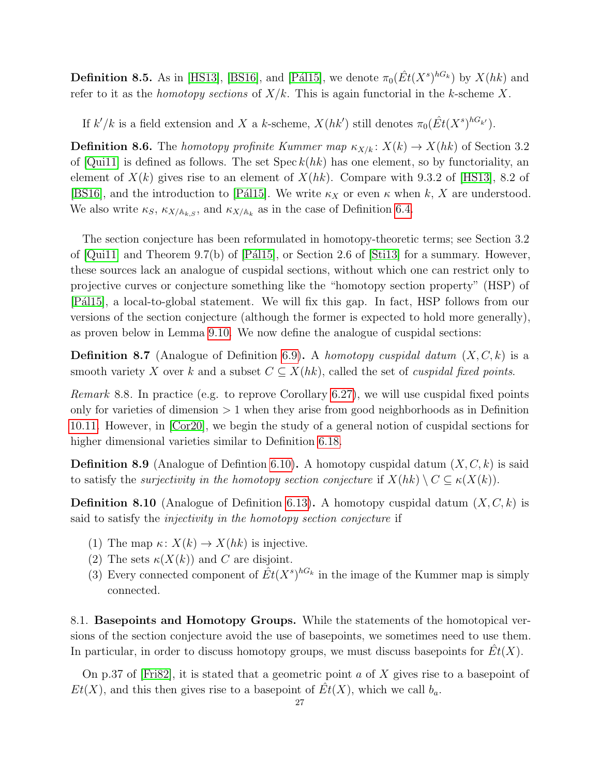**Definition 8.5.** As in [\[HS13\]](#page-58-0), [\[BS16\]](#page-58-9), and [Pál15], we denote  $\pi_0(\hat{Et}(X^s)^{hG_k})$  by  $X(hk)$  and refer to it as the *homotopy sections* of  $X/k$ . This is again functorial in the k-scheme X.

If  $k'/k$  is a field extension and X a k-scheme,  $X(hk')$  still denotes  $\pi_0(\hat{Et}(X^s)^{hG_{k'}})$ .

**Definition 8.6.** The homotopy profinite Kummer map  $\kappa_{X/k}: X(k) \to X(hk)$  of Section 3.2 of  $[Qui11]$  is defined as follows. The set  $Spec k(hk)$  has one element, so by functoriality, an element of  $X(k)$  gives rise to an element of  $X(hk)$ . Compare with 9.3.2 of [\[HS13\]](#page-58-0), 8.2 of [\[BS16\]](#page-58-9), and the introduction to [Pál15]. We write  $\kappa_X$  or even  $\kappa$  when k, X are understood. We also write  $\kappa_S$ ,  $\kappa_{X/\mathbb{A}_{k,S}}$ , and  $\kappa_{X/\mathbb{A}_k}$  as in the case of Definition [6.4.](#page-18-3)

The section conjecture has been reformulated in homotopy-theoretic terms; see Section 3.2 of  $[Qui11]$  and Theorem 9.7(b) of  $[P\acute{a}115]$ , or Section 2.6 of  $[Sti13]$  for a summary. However, these sources lack an analogue of cuspidal sections, without which one can restrict only to projective curves or conjecture something like the "homotopy section property" (HSP) of [Pál15], a local-to-global statement. We will fix this gap. In fact, HSP follows from our versions of the section conjecture (although the former is expected to hold more generally), as proven below in Lemma [9.10.](#page-35-1) We now define the analogue of cuspidal sections:

**Definition 8.7** (Analogue of Definition [6.9\)](#page-19-2). A homotopy cuspidal datum  $(X, C, k)$  is a smooth variety X over k and a subset  $C \subseteq X(hk)$ , called the set of *cuspidal fixed points*.

*Remark* 8.8. In practice (e.g. to reprove Corollary [6.27\)](#page-23-1), we will use cuspidal fixed points only for varieties of dimension  $> 1$  when they arise from good neighborhoods as in Definition [10.11.](#page-38-2) However, in [\[Cor20\]](#page-58-10), we begin the study of a general notion of cuspidal sections for higher dimensional varieties similar to Definition [6.18.](#page-21-0)

<span id="page-26-1"></span>**Definition 8.9** (Analogue of Defintion [6.10\)](#page-19-3). A homotopy cuspidal datum  $(X, C, k)$  is said to satisfy the *surjectivity in the homotopy section conjecture* if  $X(hk) \setminus C \subseteq \kappa(X(k))$ .

<span id="page-26-2"></span>**Definition 8.10** (Analogue of Definition [6.13\)](#page-19-4). A homotopy cuspidal datum  $(X, C, k)$  is said to satisfy the injectivity in the homotopy section conjecture if

- <span id="page-26-3"></span>(1) The map  $\kappa: X(k) \to X(hk)$  is injective.
- <span id="page-26-4"></span>(2) The sets  $\kappa(X(k))$  and C are disjoint.
- <span id="page-26-5"></span>(3) Every connected component of  $\hat{Et}(X^s)^{hG_k}$  in the image of the Kummer map is simply connected.

<span id="page-26-0"></span>8.1. Basepoints and Homotopy Groups. While the statements of the homotopical versions of the section conjecture avoid the use of basepoints, we sometimes need to use them. In particular, in order to discuss homotopy groups, we must discuss basepoints for  $Et(X)$ .

On p.37 of [\[Fri82\]](#page-58-7), it is stated that a geometric point  $a$  of  $X$  gives rise to a basepoint of  $Et(X)$ , and this then gives rise to a basepoint of  $Et(X)$ , which we call  $b<sub>a</sub>$ .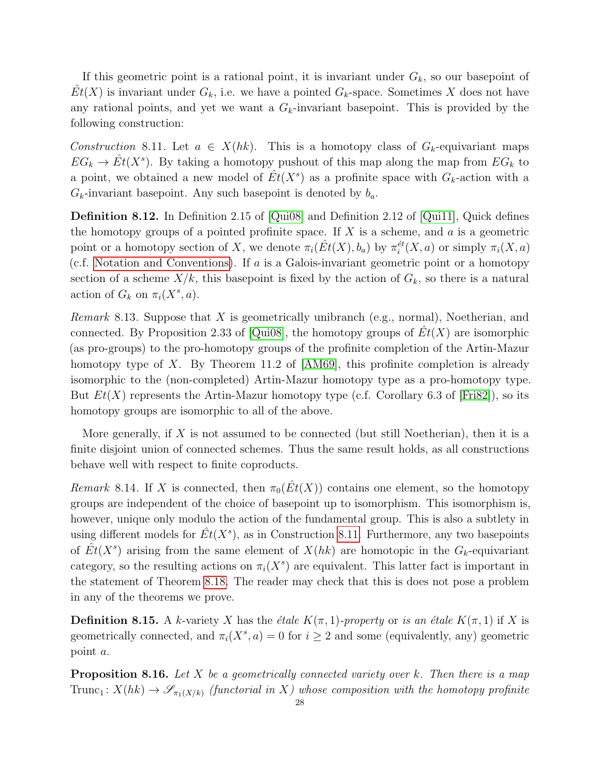If this geometric point is a rational point, it is invariant under  $G_k$ , so our basepoint of  $\hat{Et}(X)$  is invariant under  $G_k$ , i.e. we have a pointed  $G_k$ -space. Sometimes X does not have any rational points, and yet we want a  $G_k$ -invariant basepoint. This is provided by the following construction:

<span id="page-27-2"></span>Construction 8.11. Let  $a \in X(hk)$ . This is a homotopy class of  $G_k$ -equivariant maps  $EG_k \to \hat{Et}(X^s)$ . By taking a homotopy pushout of this map along the map from  $EG_k$  to a point, we obtained a new model of  $\hat{Et}(X^s)$  as a profinite space with  $G_k$ -action with a  $G_k$ -invariant basepoint. Any such basepoint is denoted by  $b_a$ .

<span id="page-27-0"></span>Definition 8.12. In Definition 2.15 of [\[Qui08\]](#page-59-16) and Definition 2.12 of [\[Qui11\]](#page-59-17), Quick defines the homotopy groups of a pointed profinite space. If  $X$  is a scheme, and  $a$  is a geometric point or a homotopy section of X, we denote  $\pi_i(\hat{Et}(X), b_a)$  by  $\pi_i^{\'et}(X, a)$  or simply  $\pi_i(X, a)$ (c.f. [Notation and Conventions\)](#page-4-0). If a is a Galois-invariant geometric point or a homotopy section of a scheme  $X/k$ , this basepoint is fixed by the action of  $G_k$ , so there is a natural action of  $G_k$  on  $\pi_i(X^s, a)$ .

<span id="page-27-4"></span>*Remark* 8.13. Suppose that  $X$  is geometrically unibranch (e.g., normal), Noetherian, and connected. By Proposition 2.33 of [\[Qui08\]](#page-59-16), the homotopy groups of  $Et(X)$  are isomorphic (as pro-groups) to the pro-homotopy groups of the profinite completion of the Artin-Mazur homotopy type of X. By Theorem 11.2 of  $[AM69]$ , this profinite completion is already isomorphic to the (non-completed) Artin-Mazur homotopy type as a pro-homotopy type. But  $Et(X)$  represents the Artin-Mazur homotopy type (c.f. Corollary 6.3 of [\[Fri82\]](#page-58-7)), so its homotopy groups are isomorphic to all of the above.

More generally, if X is not assumed to be connected (but still Noetherian), then it is a finite disjoint union of connected schemes. Thus the same result holds, as all constructions behave well with respect to finite coproducts.

<span id="page-27-3"></span>Remark 8.14. If X is connected, then  $\pi_0(\hat{Et}(X))$  contains one element, so the homotopy groups are independent of the choice of basepoint up to isomorphism. This isomorphism is, however, unique only modulo the action of the fundamental group. This is also a subtlety in using different models for  $\hat{Et}(X^s)$ , as in Construction [8.11.](#page-27-2) Furthermore, any two basepoints of  $\hat{Et}(X^s)$  arising from the same element of  $X(hk)$  are homotopic in the  $G_k$ -equivariant category, so the resulting actions on  $\pi_i(X^s)$  are equivalent. This latter fact is important in the statement of Theorem [8.18.](#page-28-0) The reader may check that this is does not pose a problem in any of the theorems we prove.

**Definition 8.15.** A k-variety X has the *étale*  $K(\pi, 1)$ -property or is an étale  $K(\pi, 1)$  if X is geometrically connected, and  $\pi_i(X^s, a) = 0$  for  $i \geq 2$  and some (equivalently, any) geometric point a.

<span id="page-27-1"></span>**Proposition 8.16.** Let X be a geometrically connected variety over k. Then there is a map Trunc<sub>1</sub>:  $X(hk) \to \mathscr{S}_{\pi_1(X/k)}$  (functorial in X) whose composition with the homotopy profinite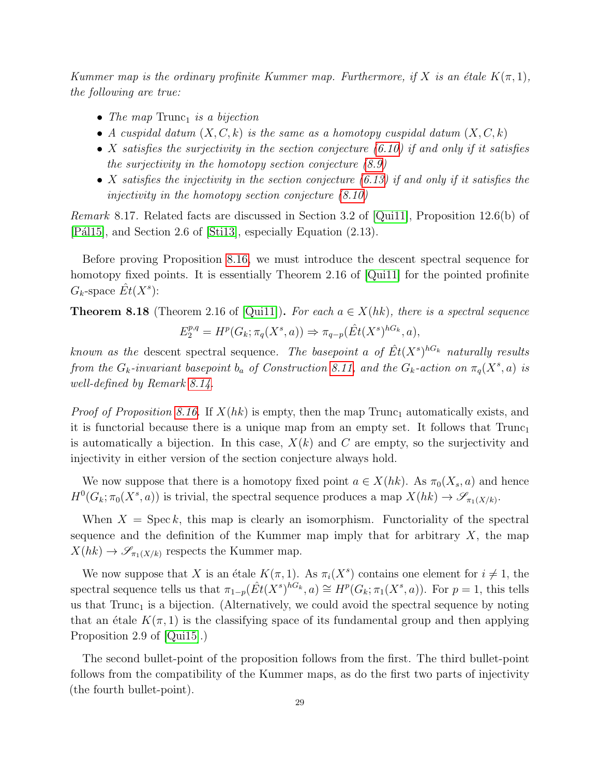Kummer map is the ordinary profinite Kummer map. Furthermore, if X is an étale  $K(\pi, 1)$ , the following are true:

- The map  $\text{Trunc}_1$  is a bijection
- A cuspidal datum  $(X, C, k)$  is the same as a homotopy cuspidal datum  $(X, C, k)$
- X satisfies the surjectivity in the section conjecture  $(6.10)$  if and only if it satisfies the surjectivity in the homotopy section conjecture  $(8.9)$
- X satisfies the injectivity in the section conjecture  $(6.13)$  if and only if it satisfies the injectivity in the homotopy section conjecture [\(8.10\)](#page-26-2)

Remark 8.17. Related facts are discussed in Section 3.2 of [\[Qui11\]](#page-59-17), Proposition 12.6(b) of [Pál15], and Section 2.6 of [\[Sti13\]](#page-59-14), especially Equation (2.13).

Before proving Proposition [8.16,](#page-27-1) we must introduce the descent spectral sequence for homotopy fixed points. It is essentially Theorem 2.16 of [\[Qui11\]](#page-59-17) for the pointed profinite  $G_k$ -space  $\hat{Et}(X^s)$ :

<span id="page-28-0"></span>**Theorem 8.18** (Theorem 2.16 of [\[Qui11\]](#page-59-17)). For each  $a \in X(hk)$ , there is a spectral sequence  $E_2^{p,q} = H^p(G_k; \pi_q(X^s, a)) \Rightarrow \pi_{q-p}(\hat{Et}(X^s)^{hG_k}, a),$ 

known as the descent spectral sequence. The basepoint a of  $\hat{Et}(X^s)^{hG_k}$  naturally results from the  $G_k$ -invariant basepoint  $b_a$  of Construction [8.11,](#page-27-2) and the  $G_k$ -action on  $\pi_q(X^s, a)$  is well-defined by Remark [8.14.](#page-27-3)

*Proof of Proposition [8.16.](#page-27-1)* If  $X(hk)$  is empty, then the map Trunc<sub>1</sub> automatically exists, and it is functorial because there is a unique map from an empty set. It follows that  $Trunc_1$ is automatically a bijection. In this case,  $X(k)$  and C are empty, so the surjectivity and injectivity in either version of the section conjecture always hold.

We now suppose that there is a homotopy fixed point  $a \in X(hk)$ . As  $\pi_0(X_s, a)$  and hence  $H^0(G_k; \pi_0(X^s, a))$  is trivial, the spectral sequence produces a map  $X(hk) \to \mathscr{S}_{\pi_1(X/k)}$ .

When  $X = \text{Spec } k$ , this map is clearly an isomorphism. Functoriality of the spectral sequence and the definition of the Kummer map imply that for arbitrary  $X$ , the map  $X(hk) \to \mathscr{S}_{\pi_1(X/k)}$  respects the Kummer map.

We now suppose that X is an étale  $K(\pi, 1)$ . As  $\pi_i(X^s)$  contains one element for  $i \neq 1$ , the spectral sequence tells us that  $\pi_{1-p}(\hat{Et}(X^s)^{hG_k},a) \cong H^p(G_k;\pi_1(X^s,a))$ . For  $p=1$ , this tells us that  $Trunc_1$  is a bijection. (Alternatively, we could avoid the spectral sequence by noting that an étale  $K(\pi, 1)$  is the classifying space of its fundamental group and then applying Proposition 2.9 of [\[Qui15\]](#page-59-19).)

The second bullet-point of the proposition follows from the first. The third bullet-point follows from the compatibility of the Kummer maps, as do the first two parts of injectivity (the fourth bullet-point).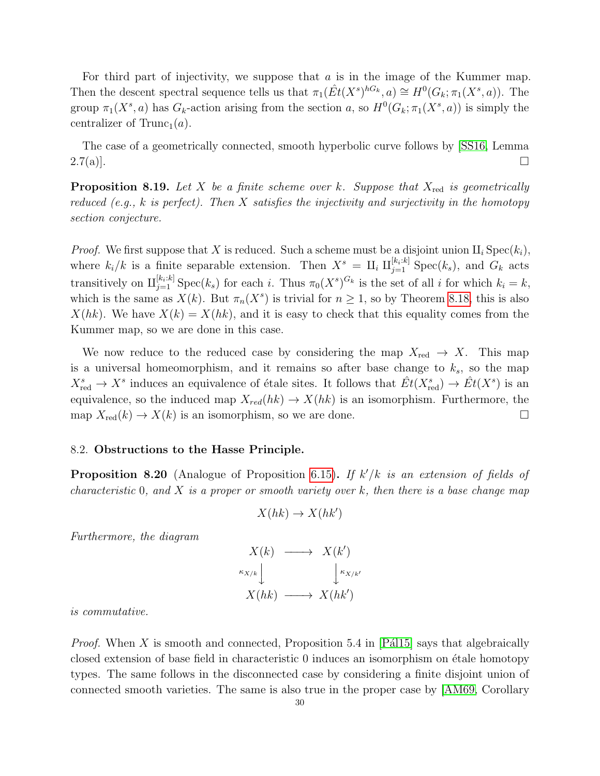For third part of injectivity, we suppose that  $a$  is in the image of the Kummer map. Then the descent spectral sequence tells us that  $\pi_1(\hat{Et}(X^s)^{hG_k},a) \cong H^0(G_k;\pi_1(X^s,a))$ . The group  $\pi_1(X^s, a)$  has  $G_k$ -action arising from the section a, so  $H^0(G_k; \pi_1(X^s, a))$  is simply the centralizer of  $Trunc_1(a)$ .

The case of a geometrically connected, smooth hyperbolic curve follows by [\[SS16,](#page-59-12) Lemma  $2.7(a)$ ].

**Proposition 8.19.** Let X be a finite scheme over k. Suppose that  $X_{\text{red}}$  is geometrically reduced (e.g.,  $k$  is perfect). Then  $X$  satisfies the injectivity and surjectivity in the homotopy section conjecture.

*Proof.* We first suppose that X is reduced. Such a scheme must be a disjoint union  $\text{II}_i$  Spec $(k_i)$ , where  $k_i/k$  is a finite separable extension. Then  $X^s = \Pi_i \Pi_{j=1}^{[k_i:k]}$  Spec $(k_s)$ , and  $G_k$  acts transitively on  $\text{II}_{j=1}^{[k_i:k]}$  Spec $(k_s)$  for each i. Thus  $\pi_0(X^s)^{G_k}$  is the set of all i for which  $k_i = k$ , which is the same as  $X(k)$ . But  $\pi_n(X^s)$  is trivial for  $n \geq 1$ , so by Theorem [8.18,](#page-28-0) this is also  $X(hk)$ . We have  $X(k) = X(hk)$ , and it is easy to check that this equality comes from the Kummer map, so we are done in this case.

We now reduce to the reduced case by considering the map  $X_{\text{red}} \to X$ . This map is a universal homeomorphism, and it remains so after base change to  $k_s$ , so the map  $X_{\text{red}}^s \to X^s$  induces an equivalence of étale sites. It follows that  $\hat{Et}(X_{\text{red}}^s) \to \hat{Et}(X^s)$  is an equivalence, so the induced map  $X_{red}(hk) \rightarrow X(hk)$  is an isomorphism. Furthermore, the map  $X_{\text{red}}(k) \to X(k)$  is an isomorphism, so we are done.

#### <span id="page-29-0"></span>8.2. Obstructions to the Hasse Principle.

<span id="page-29-1"></span>**Proposition 8.20** (Analogue of Proposition [6.15\)](#page-19-0). If  $k'/k$  is an extension of fields of characteristic 0, and X is a proper or smooth variety over k, then there is a base change map

$$
X(hk) \to X(hk')
$$

Furthermore, the diagram

 $X(k) \longrightarrow X(k')$  $\kappa_{X/k}$  $\int \kappa_{X/k'}$  $X(hk) \longrightarrow X(hk')$ 

is commutative.

*Proof.* When X is smooth and connected, Proposition 5.4 in [Pa $(115)$ ] says that algebraically closed extension of base field in characteristic 0 induces an isomorphism on étale homotopy types. The same follows in the disconnected case by considering a finite disjoint union of connected smooth varieties. The same is also true in the proper case by [\[AM69,](#page-58-8) Corollary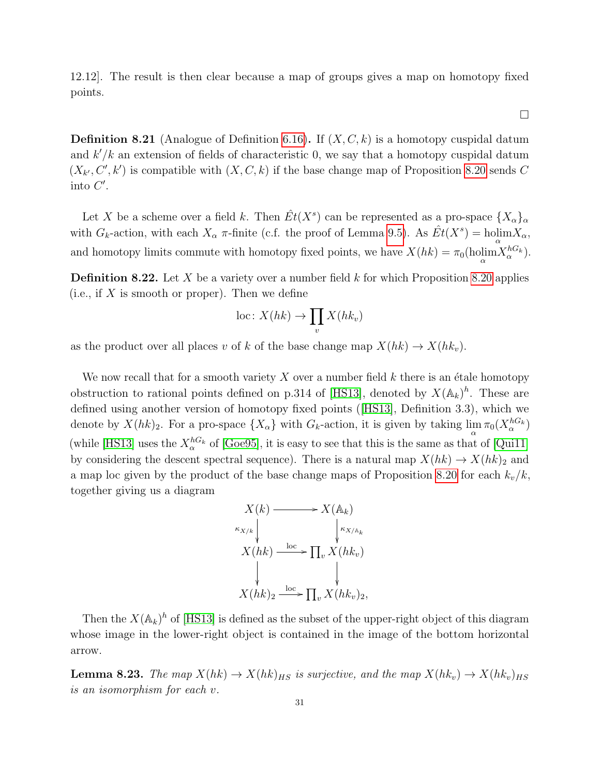12.12]. The result is then clear because a map of groups gives a map on homotopy fixed points.

 $\Box$ 

**Definition 8.21** (Analogue of Definition [6.16\)](#page-20-0). If  $(X, C, k)$  is a homotopy cuspidal datum and  $k'/k$  an extension of fields of characteristic 0, we say that a homotopy cuspidal datum  $(X_{k'}, C', k')$  is compatible with  $(X, C, k)$  if the base change map of Proposition [8.20](#page-29-1) sends C into  $C'$ .

Let X be a scheme over a field k. Then  $\hat{Et}(X^s)$  can be represented as a pro-space  $\{X_{\alpha}\}_{\alpha}$ with  $G_k$ -action, with each  $X_\alpha$  π-finite (c.f. the proof of Lemma [9.5\)](#page-32-0). As  $\hat{Et}(X^s) = \text{holim}_{\alpha} X_\alpha$ , and homotopy limits commute with homotopy fixed points, we have  $X(hk) = \pi_0(\text{holim} X_\alpha^{hG_k})$ .

<span id="page-30-1"></span>**Definition 8.22.** Let X be a variety over a number field k for which Proposition [8.20](#page-29-1) applies (i.e., if  $X$  is smooth or proper). Then we define

$$
\mathrm{loc}\colon X(hk)\to \prod_v X(hk_v)
$$

as the product over all places v of k of the base change map  $X(hk) \to X(hk_v)$ .

We now recall that for a smooth variety  $X$  over a number field  $k$  there is an étale homotopy obstruction to rational points defined on p.314 of [\[HS13\]](#page-58-0), denoted by  $X(\mathbb{A}_k)^h$ . These are defined using another version of homotopy fixed points([\[HS13\]](#page-58-0), Definition 3.3), which we denote by  $X(hk)_2$ . For a pro-space  $\{X_\alpha\}$  with  $G_k$ -action, it is given by taking  $\lim_{\alpha} \pi_0(X_{\alpha}^{hG_k})$ (while [\[HS13\]](#page-58-0) uses the  $X_\alpha^{hG_k}$  of [\[Goe95\]](#page-58-11), it is easy to see that this is the same as that of [\[Qui11\]](#page-59-17) by considering the descent spectral sequence). There is a natural map  $X(hk) \to X(hk)_{2}$  and a map loc given by the product of the base change maps of Proposition [8.20](#page-29-1) for each  $k_v/k$ , together giving us a diagram

$$
X(k) \longrightarrow X(\mathbb{A}_{k})
$$
  
\n
$$
K_{X/k} \downarrow \qquad \qquad \downarrow K_{X/\mathbb{A}_{k}}
$$
  
\n
$$
X(hk) \xrightarrow{\text{loc}} \prod_{v} X(hk_{v})
$$
  
\n
$$
X(hk)_{2} \xrightarrow{\text{loc}} \prod_{v} X(hk_{v})_{2},
$$

Then the  $X(\mathbb{A}_k)^h$  of [\[HS13\]](#page-58-0) is defined as the subset of the upper-right object of this diagram whose image in the lower-right object is contained in the image of the bottom horizontal arrow.

<span id="page-30-0"></span>**Lemma 8.23.** The map  $X(hk) \to X(hk)_{HS}$  is surjective, and the map  $X(hk_v) \to X(hk_v)_{HS}$ is an isomorphism for each v.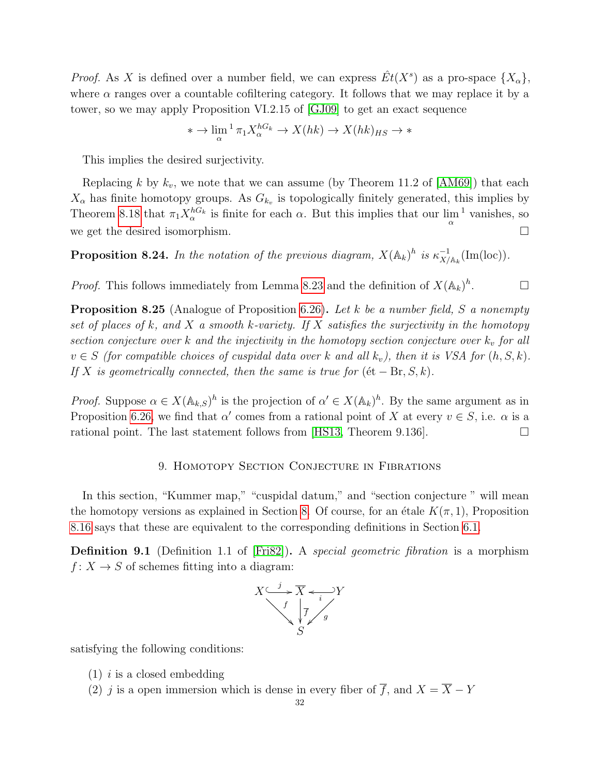*Proof.* As X is defined over a number field, we can express  $\hat{Et}(X^s)$  as a pro-space  $\{X_{\alpha}\},$ where  $\alpha$  ranges over a countable cofiltering category. It follows that we may replace it by a tower, so we may apply Proposition VI.2.15 of [\[GJ09\]](#page-58-12) to get an exact sequence

$$
* \to \lim_{\alpha} {}^{1} \pi_1 X_{\alpha}^{hG_k} \to X(hk) \to X(hk)_{HS} \to *
$$

This implies the desired surjectivity.

Replacing k by  $k_v$ , we note that we can assume (by Theorem 11.2 of  $[AM69]$ ) that each  $X_{\alpha}$  has finite homotopy groups. As  $G_{k_v}$  is topologically finitely generated, this implies by Theorem [8.18](#page-28-0) that  $\pi_1 X_\alpha^{hG_k}$  is finite for each  $\alpha$ . But this implies that our  $\lim_{\alpha}^{-1}$  vanishes, so we get the desired isomorphism.

**Proposition 8.24.** In the notation of the previous diagram,  $X(\mathbb{A}_k)^h$  is  $\kappa_{X/\mathbb{A}_k}^{-1}(\text{Im}(\text{loc}))$ .

*Proof.* This follows immediately from Lemma [8.23](#page-30-0) and the definition of  $X(\mathbb{A}_k)^h$  $\Box$ 

<span id="page-31-2"></span>**Proposition 8.25** (Analogue of Proposition [6.26\)](#page-22-3). Let k be a number field, S a nonempty set of places of k, and X a smooth k-variety. If X satisfies the surjectivity in the homotopy section conjecture over  $k$  and the injectivity in the homotopy section conjecture over  $k_v$  for all  $v \in S$  (for compatible choices of cuspidal data over k and all  $k_v$ ), then it is VSA for  $(h, S, k)$ . If X is geometrically connected, then the same is true for  $(\text{\'et} - \text{Br}, S, k)$ .

*Proof.* Suppose  $\alpha \in X(\mathbb{A}_{k,S})^h$  is the projection of  $\alpha' \in X(\mathbb{A}_k)^h$ . By the same argument as in Proposition [6.26,](#page-22-3) we find that  $\alpha'$  comes from a rational point of X at every  $v \in S$ , i.e.  $\alpha$  is a rational point. The last statement follows from [\[HS13,](#page-58-0) Theorem 9.136].

## 9. Homotopy Section Conjecture in Fibrations

<span id="page-31-0"></span>In this section, "Kummer map," "cuspidal datum," and "section conjecture" will mean the homotopy versions as explained in Section [8.](#page-25-0) Of course, for an étale  $K(\pi, 1)$ , Proposition [8.16](#page-27-1) says that these are equivalent to the corresponding definitions in Section [6.1.](#page-18-0)

<span id="page-31-1"></span>**Definition 9.1** (Definition 1.1 of [\[Fri82\]](#page-58-7)). A *special geometric fibration* is a morphism  $f: X \to S$  of schemes fitting into a diagram:



satisfying the following conditions:

- $(1)$  *i* is a closed embedding
- (2) j is a open immersion which is dense in every fiber of  $\overline{f}$ , and  $X = \overline{X} Y$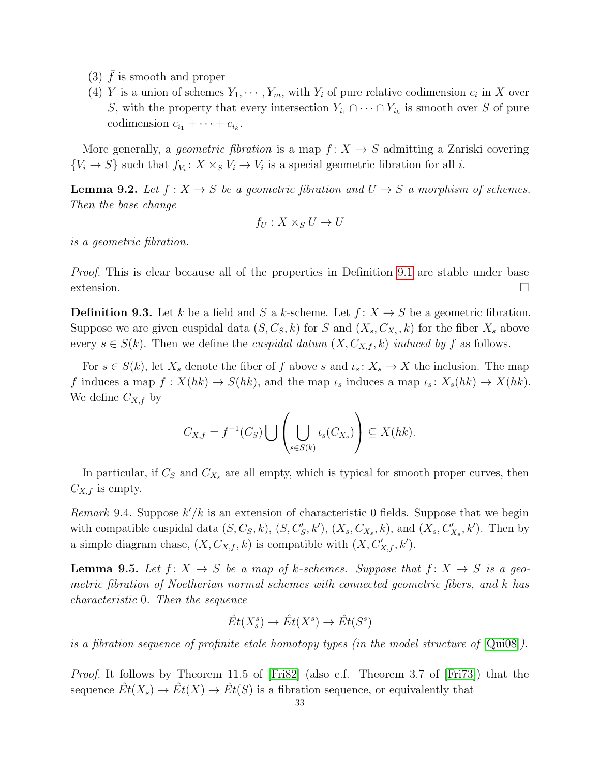- (3)  $\bar{f}$  is smooth and proper
- (4) Y is a union of schemes  $Y_1, \dots, Y_m$ , with  $Y_i$  of pure relative codimension  $c_i$  in  $\overline{X}$  over S, with the property that every intersection  $Y_{i_1} \cap \cdots \cap Y_{i_k}$  is smooth over S of pure codimension  $c_{i_1} + \cdots + c_{i_k}$ .

More generally, a *geometric fibration* is a map  $f: X \rightarrow S$  admitting a Zariski covering  ${V_i \rightarrow S}$  such that  $f_{V_i}: X \times_S V_i \rightarrow V_i$  is a special geometric fibration for all *i*.

<span id="page-32-1"></span>**Lemma 9.2.** Let  $f : X \to S$  be a geometric fibration and  $U \to S$  a morphism of schemes. Then the base change

$$
f_U: X \times_S U \to U
$$

is a geometric fibration.

Proof. This is clear because all of the properties in Definition [9.1](#page-31-1) are stable under base  $\Box$ extension.

<span id="page-32-2"></span>**Definition 9.3.** Let k be a field and S a k-scheme. Let  $f: X \rightarrow S$  be a geometric fibration. Suppose we are given cuspidal data  $(S, C_S, k)$  for S and  $(X_s, C_{X_s}, k)$  for the fiber  $X_s$  above every  $s \in S(k)$ . Then we define the *cuspidal datum*  $(X, C_{X,f}, k)$  *induced by f* as follows.

For  $s \in S(k)$ , let  $X_s$  denote the fiber of f above s and  $\iota_s : X_s \to X$  the inclusion. The map f induces a map  $f: X(hk) \to S(hk)$ , and the map  $\iota_s$  induces a map  $\iota_s: X_s(hk) \to X(hk)$ . We define  $C_{X,f}$  by

$$
C_{X,f} = f^{-1}(C_S) \bigcup \left( \bigcup_{s \in S(k)} \iota_s(C_{X_s}) \right) \subseteq X(hk).
$$

In particular, if  $C_s$  and  $C_{X_s}$  are all empty, which is typical for smooth proper curves, then  $C_{X,f}$  is empty.

<span id="page-32-3"></span>Remark 9.4. Suppose  $k'/k$  is an extension of characteristic 0 fields. Suppose that we begin with compatible cuspidal data  $(S, C_S, k)$ ,  $(S, C'_S, k')$ ,  $(X_s, C_{X_s}, k)$ , and  $(X_s, C'_{X_s}, k')$ . Then by a simple diagram chase,  $(X, C_{X,f}, k)$  is compatible with  $(X, C'_{X,f}, k')$ .

<span id="page-32-0"></span>**Lemma 9.5.** Let  $f: X \to S$  be a map of k-schemes. Suppose that  $f: X \to S$  is a geometric fibration of Noetherian normal schemes with connected geometric fibers, and k has characteristic 0. Then the sequence

$$
\hat{Et}(X_s^s) \to \hat{Et}(X^s) \to \hat{Et}(S^s)
$$

is a fibration sequence of profinite etale homotopy types (in the model structure of [\[Qui08\]](#page-59-16)).

Proof. It follows by Theorem 11.5 of [\[Fri82\]](#page-58-7) (also c.f. Theorem 3.7 of [\[Fri73\]](#page-58-13)) that the sequence  $\hat{Et}(X_s) \to \hat{Et}(X) \to \hat{Et}(S)$  is a fibration sequence, or equivalently that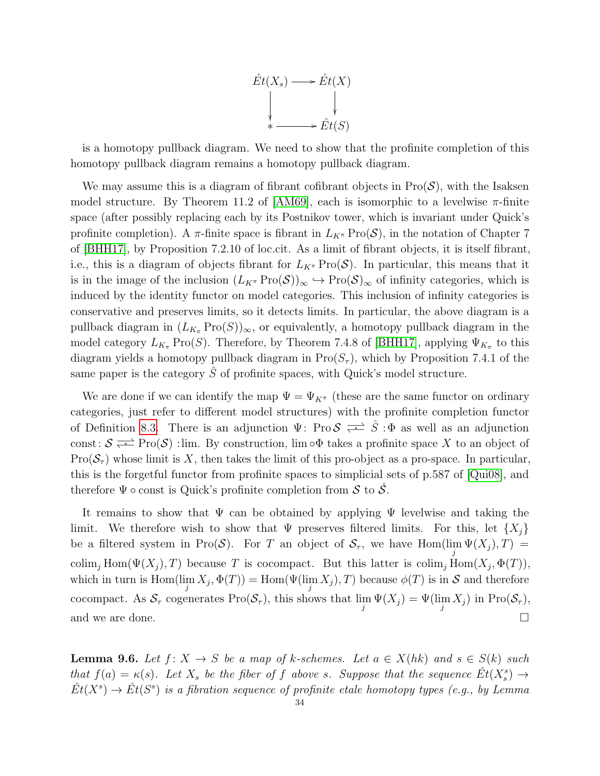

is a homotopy pullback diagram. We need to show that the profinite completion of this homotopy pullback diagram remains a homotopy pullback diagram.

We may assume this is a diagram of fibrant cofibrant objects in  $\text{Pro}(\mathcal{S})$ , with the Isaksen model structure. By Theorem 11.2 of [\[AM69\]](#page-58-8), each is isomorphic to a levelwise  $\pi$ -finite space (after possibly replacing each by its Postnikov tower, which is invariant under Quick's profinite completion). A  $\pi$ -finite space is fibrant in  $L_{K^{\pi}}\text{Pro}(\mathcal{S})$ , in the notation of Chapter 7 of [\[BHH17\]](#page-58-14), by Proposition 7.2.10 of loc.cit. As a limit of fibrant objects, it is itself fibrant, i.e., this is a diagram of objects fibrant for  $L_{K^{\pi}}\text{Pro}(\mathcal{S})$ . In particular, this means that it is in the image of the inclusion  $(L_{K^{\pi}}\text{Pro}(\mathcal{S}))_{\infty} \hookrightarrow \text{Pro}(\mathcal{S})_{\infty}$  of infinity categories, which is induced by the identity functor on model categories. This inclusion of infinity categories is conservative and preserves limits, so it detects limits. In particular, the above diagram is a pullback diagram in  $(L_{K_{\pi}}\text{Pro}(S))_{\infty}$ , or equivalently, a homotopy pullback diagram in the model category  $L_{K_{\pi}}$  Pro(S). Therefore, by Theorem 7.4.8 of [\[BHH17\]](#page-58-14), applying  $\Psi_{K_{\pi}}$  to this diagram yields a homotopy pullback diagram in  $\text{Pro}(S_{\tau})$ , which by Proposition 7.4.1 of the same paper is the category  $\hat{S}$  of profinite spaces, with Quick's model structure.

We are done if we can identify the map  $\Psi = \Psi_{K^{\pi}}$  (these are the same functor on ordinary categories, just refer to different model structures) with the profinite completion functor of Definition [8.3.](#page-25-1) There is an adjunction  $\Psi$ : Pro  $S \rightleftharpoons \hat{S} : \Phi$  as well as an adjunction const:  $S \rightleftarrows \text{Pro}(\mathcal{S})$  :lim. By construction, lim ∘ $\Phi$  takes a profinite space X to an object of  $\text{Pro}(\mathcal{S}_{\tau})$  whose limit is X, then takes the limit of this pro-object as a pro-space. In particular, this is the forgetful functor from profinite spaces to simplicial sets of p.587 of [\[Qui08\]](#page-59-16), and therefore  $\Psi \circ \text{const}$  is Quick's profinite completion from S to  $\mathcal{S}$ .

It remains to show that  $\Psi$  can be obtained by applying  $\Psi$  levelwise and taking the limit. We therefore wish to show that  $\Psi$  preserves filtered limits. For this, let  $\{X_i\}$ be a filtered system in Pro(S). For T an object of  $S_\tau$ , we have  $\text{Hom}(\lim_j \Psi(X_j), T) =$ colim<sub>j</sub> Hom( $\Psi(X_j)$ , T) because T is cocompact. But this latter is colim<sub>j</sub> Hom( $X_j$ ,  $\Phi(T)$ ), which in turn is  $\text{Hom}(\lim_j X_j, \Phi(T)) = \text{Hom}(\Psi(\lim_j X_j), T)$  because  $\phi(T)$  is in S and therefore cocompact. As  $S_\tau$  cogenerates  $\text{Pro}(\mathcal{S}_\tau)$ , this shows that  $\lim_j \Psi(X_j) = \Psi(\lim_j X_j)$  in  $\text{Pro}(\mathcal{S}_\tau)$ , and we are done.  $\Box$ 

<span id="page-33-0"></span>**Lemma 9.6.** Let  $f: X \to S$  be a map of k-schemes. Let  $a \in X(hk)$  and  $s \in S(k)$  such that  $f(a) = \kappa(s)$ . Let  $X_s$  be the fiber of f above s. Suppose that the sequence  $\hat{Et}(X_s^s) \to$  $\hat{Et}(X^s) \to \hat{Et}(S^s)$  is a fibration sequence of profinite etale homotopy types (e.g., by Lemma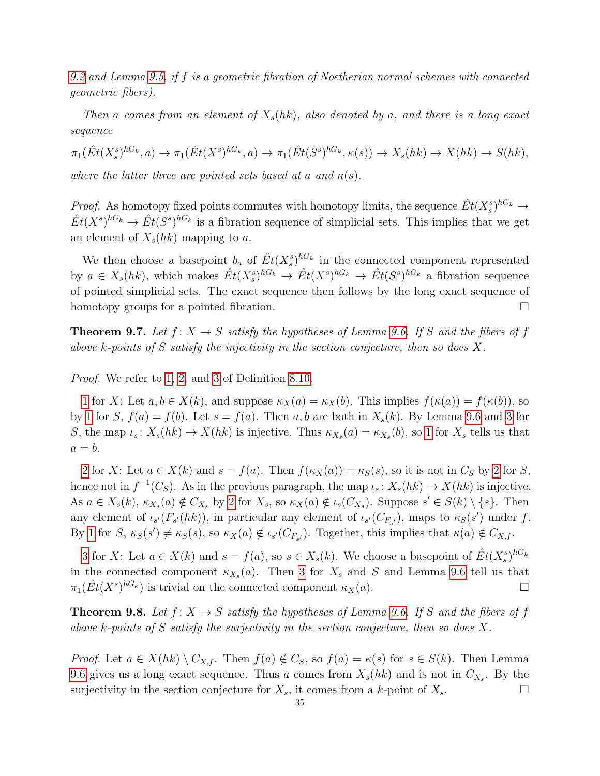[9.2](#page-32-1) and Lemma [9.5,](#page-32-0) if f is a geometric fibration of Noetherian normal schemes with connected geometric fibers).

Then a comes from an element of  $X_s(hk)$ , also denoted by a, and there is a long exact sequence

 $\pi_1(\hat{Et}(X_s^s)^{hG_k},a) \to \pi_1(\hat{Et}(X^s)^{hG_k},a) \to \pi_1(\hat{Et}(S^s)^{hG_k},\kappa(s)) \to X_s(hk) \to X(hk) \to S(hk),$ where the latter three are pointed sets based at a and  $\kappa(s)$ .

*Proof.* As homotopy fixed points commutes with homotopy limits, the sequence  $\hat{Et}(X_s^s)^{hG_k} \to$  $\hat{Et}(X^s)^{hG_k} \to \hat{Et}(S^s)^{hG_k}$  is a fibration sequence of simplicial sets. This implies that we get an element of  $X_s(hk)$  mapping to a.

We then choose a basepoint  $b_a$  of  $\hat{Et}(X_s^s)^{hG_k}$  in the connected component represented by  $a \in X_s(hk)$ , which makes  $\hat{Et}(X_s^s)^{hG_k} \to \hat{Et}(X^s)^{hG_k} \to \hat{Et}(S^s)^{hG_k}$  a fibration sequence of pointed simplicial sets. The exact sequence then follows by the long exact sequence of homotopy groups for a pointed fibration.

<span id="page-34-0"></span>**Theorem 9.7.** Let  $f: X \to S$  satisfy the hypotheses of Lemma [9.6.](#page-33-0) If S and the fibers of f above k-points of S satisfy the injectivity in the section conjecture, then so does X.

Proof. We refer to [1,](#page-26-3) [2,](#page-26-4) and [3](#page-26-5) of Definition [8.10.](#page-26-2)

[1](#page-26-3) for X: Let  $a, b \in X(k)$ , and suppose  $\kappa_X(a) = \kappa_X(b)$ . This implies  $f(\kappa(a)) = f(\kappa(b))$ , so by [1](#page-26-3) for S,  $f(a) = f(b)$ . Let  $s = f(a)$ . Then a, b are both in  $X_s(k)$ . By Lemma [9.6](#page-33-0) and [3](#page-26-5) for S, the map  $\iota_s: X_s(hk) \to X(hk)$  is injective. Thus  $\kappa_{X_s}(a) = \kappa_{X_s}(b)$ , so [1](#page-26-3) for  $X_s$  tells us that  $a = b$ .

[2](#page-26-4) for X: Let  $a \in X(k)$  and  $s = f(a)$ . Then  $f(\kappa_X(a)) = \kappa_S(s)$ , so it is not in  $C_S$  by [2](#page-26-4) for S, hence not in  $f^{-1}(C_s)$ . As in the previous paragraph, the map  $\iota_s \colon X_s(hk) \to X(hk)$  is injective. As  $a \in X_s(k)$ ,  $\kappa_{X_s}(a) \notin C_{X_s}$  by [2](#page-26-4) for  $X_s$ , so  $\kappa_X(a) \notin \iota_s(C_{X_s})$ . Suppose  $s' \in S(k) \setminus \{s\}$ . Then any element of  $\iota_{s'}(F_{s'}(hk))$ , in particular any element of  $\iota_{s'}(C_{F_{s'}})$ , maps to  $\kappa_{s}(s')$  under f. By [1](#page-26-3) for  $S$ ,  $\kappa_S(s') \neq \kappa_S(s)$ , so  $\kappa_X(a) \notin \iota_{s'}(C_{F_{s'}})$ . Together, this implies that  $\kappa(a) \notin C_{X,f}$ .

[3](#page-26-5) for X: Let  $a \in X(k)$  and  $s = f(a)$ , so  $s \in X_s(k)$ . We choose a basepoint of  $\hat{Et}(X_s^s)^{hG_k}$ in the connected component  $\kappa_{X_s}(a)$ . Then [3](#page-26-5) for  $X_s$  and S and Lemma [9.6](#page-33-0) tell us that  $\pi_1(\hat{Et}(X^s)^{hG_k})$  is trivial on the connected component  $\kappa_X(a)$ .

<span id="page-34-1"></span>**Theorem 9.8.** Let  $f: X \to S$  satisfy the hypotheses of Lemma [9.6.](#page-33-0) If S and the fibers of f above k-points of S satisfy the surjectivity in the section conjecture, then so does X.

*Proof.* Let  $a \in X(hk) \setminus C_{X,f}$ . Then  $f(a) \notin C_S$ , so  $f(a) = \kappa(s)$  for  $s \in S(k)$ . Then Lemma [9.6](#page-33-0) gives us a long exact sequence. Thus a comes from  $X_s(hk)$  and is not in  $C_{X_s}$ . By the surjectivity in the section conjecture for  $X_s$ , it comes from a k-point of  $X_s$ .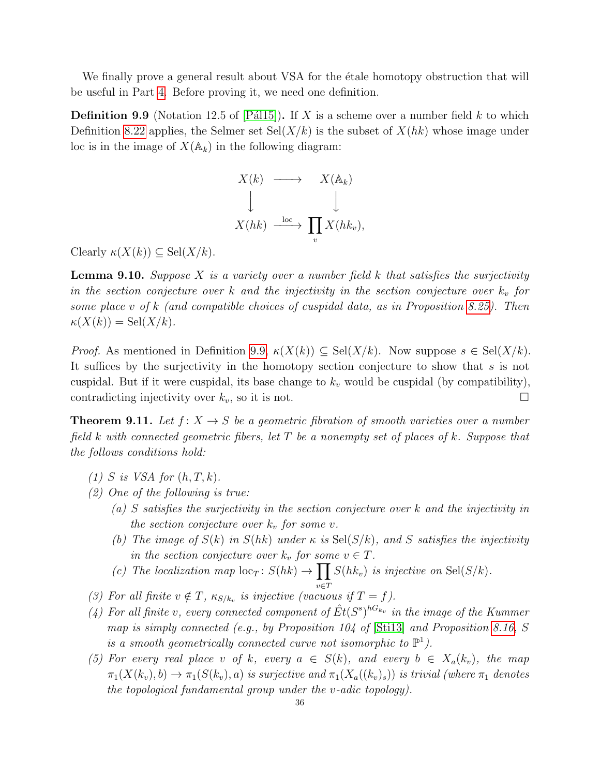We finally prove a general result about VSA for the etale homotopy obstruction that will be useful in Part [4.](#page-40-0) Before proving it, we need one definition.

<span id="page-35-2"></span>**Definition 9.9** (Notation 12.5 of  $[Pá115]$ ). If X is a scheme over a number field k to which Definition [8.22](#page-30-1) applies, the Selmer set  $\text{Sel}(X/k)$  is the subset of  $X(hk)$  whose image under loc is in the image of  $X(\mathbb{A}_k)$  in the following diagram:



Clearly  $\kappa(X(k)) \subseteq Sel(X/k)$ .

<span id="page-35-1"></span>**Lemma 9.10.** Suppose X is a variety over a number field k that satisfies the surjectivity in the section conjecture over k and the injectivity in the section conjecture over  $k_v$  for some place v of k (and compatible choices of cuspidal data, as in Proposition [8.25\)](#page-31-2). Then  $\kappa(X(k)) = \text{Sel}(X/k).$ 

*Proof.* As mentioned in Definition [9.9,](#page-35-2)  $\kappa(X(k)) \subseteq Sel(X/k)$ . Now suppose  $s \in Sel(X/k)$ . It suffices by the surjectivity in the homotopy section conjecture to show that s is not cuspidal. But if it were cuspidal, its base change to  $k_v$  would be cuspidal (by compatibility), contradicting injectivity over  $k_v$ , so it is not.

<span id="page-35-0"></span>**Theorem 9.11.** Let  $f: X \to S$  be a geometric fibration of smooth varieties over a number field k with connected geometric fibers, let  $T$  be a nonempty set of places of k. Suppose that the follows conditions hold:

- <span id="page-35-6"></span>(1) S is VSA for  $(h, T, k)$ .
- <span id="page-35-4"></span><span id="page-35-3"></span>(2) One of the following is true:
	- (a) S satisfies the surjectivity in the section conjecture over k and the injectivity in the section conjecture over  $k_v$  for some v.
	- (b) The image of  $S(k)$  in  $S(hk)$  under  $\kappa$  is  $\text{Sel}(S/k)$ , and S satisfies the injectivity in the section conjecture over  $k_v$  for some  $v \in T$ .
	- (c) The localization map  $\text{loc}_T : S(hk) \to \prod S(hk_v)$  is injective on  $\text{Sel}(S/k)$ . v∈T
- <span id="page-35-7"></span><span id="page-35-5"></span>(3) For all finite  $v \notin T$ ,  $\kappa_{S/k_v}$  is injective (vacuous if  $T = f$ ).
- <span id="page-35-8"></span>(4) For all finite v, every connected component of  $\hat{Et}(S^s)^{hG_{k_v}}$  in the image of the Kummer map is simply connected (e.g., by Proposition 104 of [\[Sti13\]](#page-59-14) and Proposition [8.16,](#page-27-1) S is a smooth geometrically connected curve not isomorphic to  $\mathbb{P}^1$ ).
- <span id="page-35-9"></span>(5) For every real place v of k, every  $a \in S(k)$ , and every  $b \in X_a(k_v)$ , the map  $\pi_1(X(k_v), b) \to \pi_1(S(k_v), a)$  is surjective and  $\pi_1(X_a((k_v)_s))$  is trivial (where  $\pi_1$  denotes the topological fundamental group under the v-adic topology).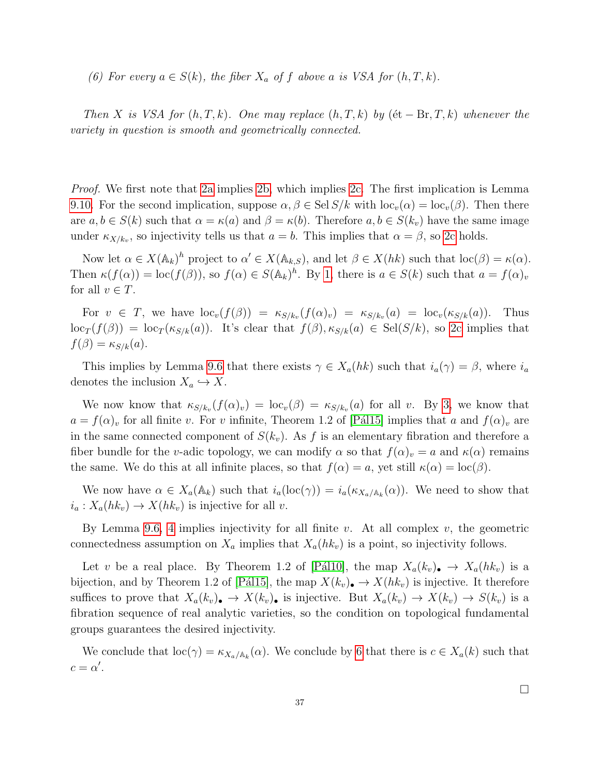<span id="page-36-0"></span>(6) For every  $a \in S(k)$ , the fiber  $X_a$  of f above a is VSA for  $(h, T, k)$ .

Then X is VSA for  $(h, T, k)$ . One may replace  $(h, T, k)$  by  $(\text{\'et} - \text{Br}, T, k)$  whenever the variety in question is smooth and geometrically connected.

*Proof.* We first note that [2a](#page-35-3) implies [2b,](#page-35-4) which implies [2c.](#page-35-5) The first implication is Lemma [9.10.](#page-35-1) For the second implication, suppose  $\alpha, \beta \in \text{Sel } S/k$  with  $\text{loc}_{v}(\alpha) = \text{loc}_{v}(\beta)$ . Then there are  $a, b \in S(k)$  such that  $\alpha = \kappa(a)$  and  $\beta = \kappa(b)$ . Therefore  $a, b \in S(k_v)$  have the same image under  $\kappa_{X/k_v}$ , so injectivity tells us that  $a = b$ . This implies that  $\alpha = \beta$ , so [2c](#page-35-5) holds.

Now let  $\alpha \in X(\mathbb{A}_k)^h$  project to  $\alpha' \in X(\mathbb{A}_{k,S})$ , and let  $\beta \in X(hk)$  such that  $\text{loc}(\beta) = \kappa(\alpha)$ . Then  $\kappa(f(\alpha)) = \text{loc}(f(\beta))$ , so  $f(\alpha) \in S(\mathbb{A}_k)^h$ . By [1,](#page-35-6) there is  $a \in S(k)$  such that  $a = f(\alpha)_v$ for all  $v \in T$ .

For  $v \in T$ , we have  $\text{loc}_{v}(f(\beta)) = \kappa_{S/k_{v}}(f(\alpha)_{v}) = \kappa_{S/k_{v}}(a) = \text{loc}_{v}(\kappa_{S/k}(a))$ . Thus  $\log_T(f(\beta)) = \log_T(\kappa_{S/k}(a))$ . It's clear that  $f(\beta), \kappa_{S/k}(a) \in \text{Sel}(S/k)$ , so [2c](#page-35-5) implies that  $f(\beta) = \kappa_{S/k}(a).$ 

This implies by Lemma [9.6](#page-33-0) that there exists  $\gamma \in X_a(hk)$  such that  $i_a(\gamma) = \beta$ , where  $i_a$ denotes the inclusion  $X_a \hookrightarrow X$ .

We now know that  $\kappa_{S/k_v}(f(\alpha)_v) = \text{loc}_v(\beta) = \kappa_{S/k_v}(a)$  for all v. By [3,](#page-35-7) we know that  $a = f(\alpha)_v$  for all finite v. For v infinite, Theorem 1.2 of [Pál15] implies that a and  $f(\alpha)_v$  are in the same connected component of  $S(k_v)$ . As f is an elementary fibration and therefore a fiber bundle for the v-adic topology, we can modify  $\alpha$  so that  $f(\alpha)_v = a$  and  $\kappa(\alpha)$  remains the same. We do this at all infinite places, so that  $f(\alpha) = a$ , yet still  $\kappa(\alpha) = \text{loc}(\beta)$ .

We now have  $\alpha \in X_a(\mathbb{A}_k)$  such that  $i_a(\text{loc}(\gamma)) = i_a(\kappa_{X_a/\mathbb{A}_k}(\alpha))$ . We need to show that  $i_a: X_a(hk_v) \to X(hk_v)$  is injective for all v.

By Lemma [9.6,](#page-33-0) [4](#page-35-8) implies injectivity for all finite  $v$ . At all complex  $v$ , the geometric connectedness assumption on  $X_a$  implies that  $X_a(hk_v)$  is a point, so injectivity follows.

Let v be a real place. By Theorem 1.2 of [Pál10], the map  $X_a(k_v)$   $\rightarrow X_a(hk_v)$  is a bijection, and by Theorem 1.2 of [Pál15], the map  $X(k_v)$   $\rightarrow X(hk_v)$  is injective. It therefore suffices to prove that  $X_a(k_v) \to X(k_v)$  is injective. But  $X_a(k_v) \to X(k_v) \to S(k_v)$  is a fibration sequence of real analytic varieties, so the condition on topological fundamental groups guarantees the desired injectivity.

We conclude that  $\text{loc}(\gamma) = \kappa_{X_a/\mathbb{A}_k}(\alpha)$ . We conclude by [6](#page-36-0) that there is  $c \in X_a(k)$  such that  $c = \alpha'.$ 

 $\Box$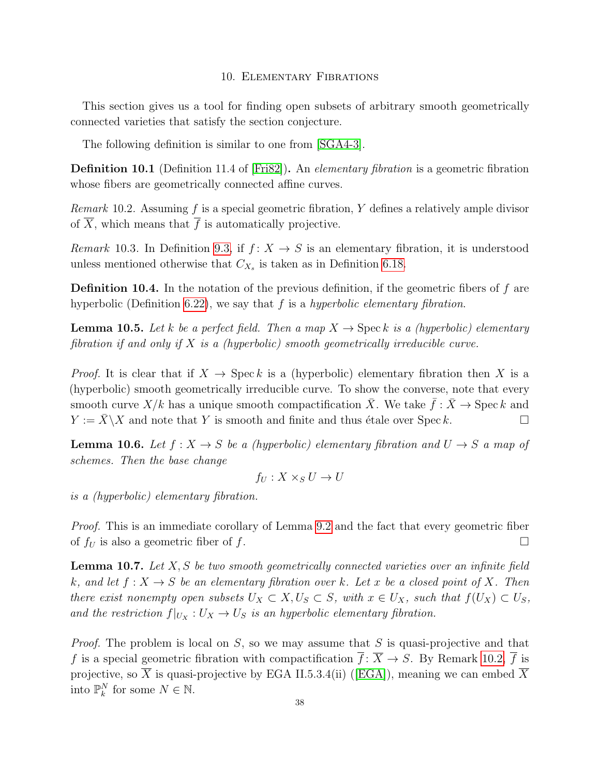#### 10. Elementary Fibrations

<span id="page-37-0"></span>This section gives us a tool for finding open subsets of arbitrary smooth geometrically connected varieties that satisfy the section conjecture.

The following definition is similar to one from [\[SGA4-3\]](#page-59-20).

**Definition 10.1** (Definition 11.4 of [\[Fri82\]](#page-58-7)). An *elementary fibration* is a geometric fibration whose fibers are geometrically connected affine curves.

<span id="page-37-1"></span>*Remark* 10.2. Assuming  $f$  is a special geometric fibration,  $Y$  defines a relatively ample divisor of  $\overline{X}$ , which means that  $\overline{f}$  is automatically projective.

Remark 10.3. In Definition [9.3,](#page-32-2) if  $f: X \to S$  is an elementary fibration, it is understood unless mentioned otherwise that  $C_{X_s}$  is taken as in Definition [6.18.](#page-21-0)

**Definition 10.4.** In the notation of the previous definition, if the geometric fibers of  $f$  are hyperbolic (Definition [6.22\)](#page-21-2), we say that  $f$  is a hyperbolic elementary fibration.

**Lemma 10.5.** Let k be a perfect field. Then a map  $X \to \text{Spec } k$  is a (hyperbolic) elementary fibration if and only if  $X$  is a (hyperbolic) smooth geometrically irreducible curve.

*Proof.* It is clear that if  $X \to \text{Spec } k$  is a (hyperbolic) elementary fibration then X is a (hyperbolic) smooth geometrically irreducible curve. To show the converse, note that every smooth curve  $X/k$  has a unique smooth compactification  $\overline{X}$ . We take  $\overline{f} : \overline{X} \to \text{Spec } k$  and  $Y := \overline{X} \setminus X$  and note that Y is smooth and finite and thus étale over Spec k.

<span id="page-37-3"></span>**Lemma 10.6.** Let  $f: X \to S$  be a (hyperbolic) elementary fibration and  $U \to S$  a map of schemes. Then the base change

$$
f_U: X \times_S U \to U
$$

is a (hyperbolic) elementary fibration.

Proof. This is an immediate corollary of Lemma [9.2](#page-32-1) and the fact that every geometric fiber of  $f_U$  is also a geometric fiber of f.

<span id="page-37-2"></span>**Lemma 10.7.** Let  $X, S$  be two smooth geometrically connected varieties over an infinite field k, and let  $f: X \to S$  be an elementary fibration over k. Let x be a closed point of X. Then there exist nonempty open subsets  $U_X \subset X, U_S \subset S$ , with  $x \in U_X$ , such that  $f(U_X) \subset U_S$ , and the restriction  $f|_{U_X}: U_X \to U_S$  is an hyperbolic elementary fibration.

*Proof.* The problem is local on  $S$ , so we may assume that  $S$  is quasi-projective and that f is a special geometric fibration with compactification  $\overline{f}$ :  $\overline{X} \to S$ . By Remark [10.2,](#page-37-1)  $\overline{f}$  is projective,so  $\overline{X}$  is quasi-projective by EGA II.5.3.4(ii) ([\[EGA\]](#page-58-15)), meaning we can embed  $\overline{X}$ into  $\mathbb{P}_k^N$  for some  $N \in \mathbb{N}$ .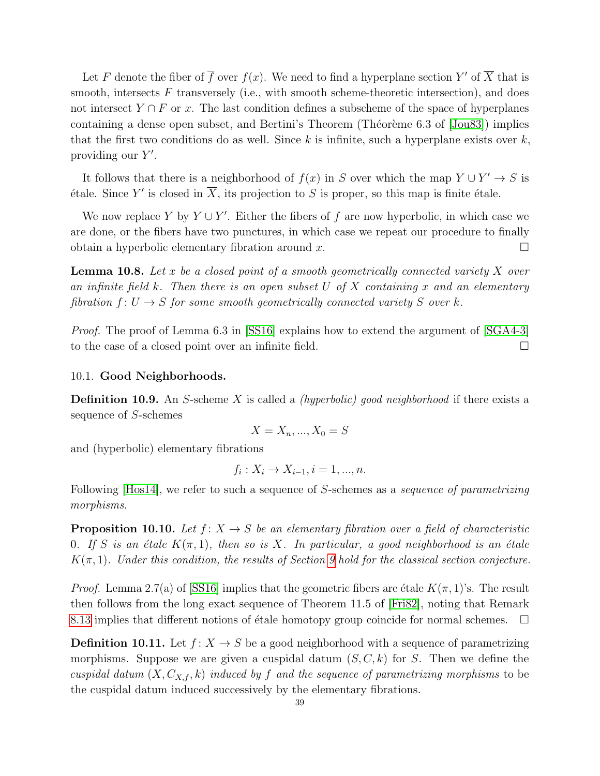Let F denote the fiber of  $\overline{f}$  over  $f(x)$ . We need to find a hyperplane section Y' of  $\overline{X}$  that is smooth, intersects  $F$  transversely (i.e., with smooth scheme-theoretic intersection), and does not intersect  $Y \cap F$  or x. The last condition defines a subscheme of the space of hyperplanes containing a dense open subset, and Bertini's Theorem (Théorème 6.3 of  $[Jou83]$ ) implies that the first two conditions do as well. Since  $k$  is infinite, such a hyperplane exists over  $k$ , providing our  $Y'$ .

It follows that there is a neighborhood of  $f(x)$  in S over which the map  $Y \cup Y' \rightarrow S$  is étale. Since Y' is closed in  $\overline{X}$ , its projection to S is proper, so this map is finite étale.

We now replace Y by  $Y \cup Y'$ . Either the fibers of f are now hyperbolic, in which case we are done, or the fibers have two punctures, in which case we repeat our procedure to finally obtain a hyperbolic elementary fibration around x.  $\square$ 

<span id="page-38-3"></span>**Lemma 10.8.** Let x be a closed point of a smooth geometrically connected variety X over an infinite field k. Then there is an open subset U of X containing x and an elementary fibration  $f: U \to S$  for some smooth geometrically connected variety S over k.

Proof. The proof of Lemma 6.3 in [\[SS16\]](#page-59-12) explains how to extend the argument of [\[SGA4-3\]](#page-59-20) to the case of a closed point over an infinite field.

#### <span id="page-38-0"></span>10.1. Good Neighborhoods.

**Definition 10.9.** An S-scheme X is called a *(hyperbolic) good neighborhood* if there exists a sequence of S-schemes

$$
X = X_n, \dots, X_0 = S
$$

and (hyperbolic) elementary fibrations

$$
f_i: X_i \to X_{i-1}, i = 1, ..., n.
$$

Following [\[Hos14\]](#page-58-16), we refer to such a sequence of S-schemes as a *sequence of parametrizing* morphisms.

<span id="page-38-1"></span>**Proposition 10.10.** Let  $f: X \to S$  be an elementary fibration over a field of characteristic 0. If S is an étale  $K(\pi, 1)$ , then so is X. In particular, a good neighborhood is an étale  $K(\pi, 1)$ . Under this condition, the results of Section [9](#page-31-0) hold for the classical section conjecture.

*Proof.* Lemma 2.7(a) of [\[SS16\]](#page-59-12) implies that the geometric fibers are étale  $K(\pi, 1)$ 's. The result then follows from the long exact sequence of Theorem 11.5 of [\[Fri82\]](#page-58-7), noting that Remark [8.13](#page-27-4) implies that different notions of étale homotopy group coincide for normal schemes.  $\Box$ 

<span id="page-38-2"></span>**Definition 10.11.** Let  $f: X \to S$  be a good neighborhood with a sequence of parametrizing morphisms. Suppose we are given a cuspidal datum  $(S, C, k)$  for S. Then we define the cuspidal datum  $(X, C_{X,f}, k)$  induced by f and the sequence of parametrizing morphisms to be the cuspidal datum induced successively by the elementary fibrations.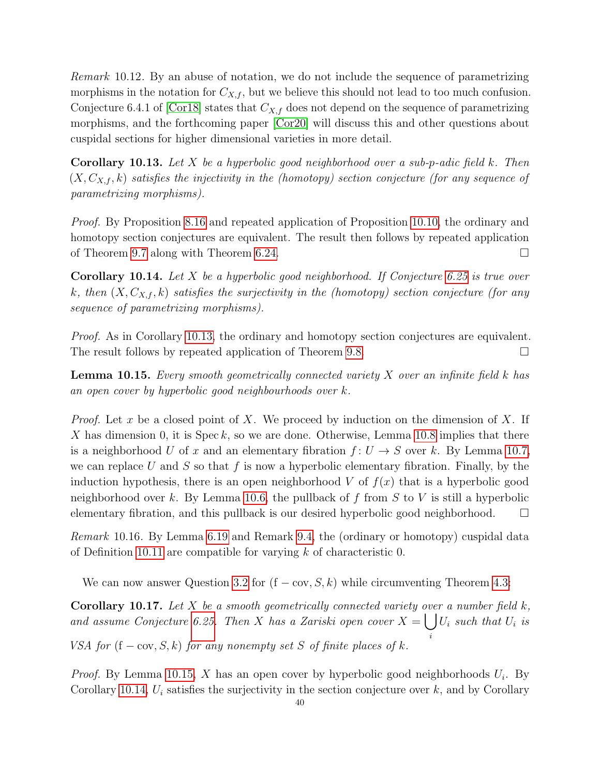Remark 10.12. By an abuse of notation, we do not include the sequence of parametrizing morphisms in the notation for  $C_{X,f}$ , but we believe this should not lead to too much confusion. Conjecture 6.4.1 of [\[Cor18\]](#page-58-17) states that  $C_{X,f}$  does not depend on the sequence of parametrizing morphisms, and the forthcoming paper [\[Cor20\]](#page-58-10) will discuss this and other questions about cuspidal sections for higher dimensional varieties in more detail.

<span id="page-39-1"></span>**Corollary 10.13.** Let  $X$  be a hyperbolic good neighborhood over a sub-p-adic field  $k$ . Then  $(X, C_{X,f}, k)$  satisfies the injectivity in the (homotopy) section conjecture (for any sequence of parametrizing morphisms).

Proof. By Proposition [8.16](#page-27-1) and repeated application of Proposition [10.10,](#page-38-1) the ordinary and homotopy section conjectures are equivalent. The result then follows by repeated application of Theorem [9.7](#page-34-0) along with Theorem [6.24.](#page-22-2)

<span id="page-39-3"></span>**Corollary 10.14.** Let X be a hyperbolic good neighborhood. If Conjecture [6.25](#page-22-1) is true over k, then  $(X, C_{X,f}, k)$  satisfies the surjectivity in the (homotopy) section conjecture (for any sequence of parametrizing morphisms).

Proof. As in Corollary [10.13,](#page-39-1) the ordinary and homotopy section conjectures are equivalent. The result follows by repeated application of Theorem [9.8.](#page-34-1)

<span id="page-39-2"></span>**Lemma 10.15.** Every smooth geometrically connected variety  $X$  over an infinite field  $k$  has an open cover by hyperbolic good neighbourhoods over k.

*Proof.* Let x be a closed point of X. We proceed by induction on the dimension of X. If X has dimension 0, it is  $Spec k$ , so we are done. Otherwise, Lemma [10.8](#page-38-3) implies that there is a neighborhood U of x and an elementary fibration  $f: U \to S$  over k. By Lemma [10.7,](#page-37-2) we can replace U and S so that f is now a hyperbolic elementary fibration. Finally, by the induction hypothesis, there is an open neighborhood  $V$  of  $f(x)$  that is a hyperbolic good neighborhood over k. By Lemma [10.6,](#page-37-3) the pullback of f from S to V is still a hyperbolic elementary fibration, and this pullback is our desired hyperbolic good neighborhood.  $\square$ 

Remark 10.16. By Lemma [6.19](#page-21-1) and Remark [9.4,](#page-32-3) the (ordinary or homotopy) cuspidal data of Definition [10.11](#page-38-2) are compatible for varying  $k$  of characteristic 0.

We can now answer Question [3.2](#page-10-1) for  $(f - cov, S, k)$  while circumventing Theorem [4.3:](#page-14-0)

<span id="page-39-0"></span>**Corollary 10.17.** Let X be a smooth geometrically connected variety over a number field  $k$ , and assume Conjecture [6.25.](#page-22-1) Then X has a Zariski open cover  $X = \bigcup U_i$  such that  $U_i$  is i

VSA for  $(f - cov, S, k)$  for any nonempty set S of finite places of k.

*Proof.* By Lemma [10.15,](#page-39-2) X has an open cover by hyperbolic good neighborhoods  $U_i$ . By Corollary [10.14,](#page-39-3)  $U_i$  satisfies the surjectivity in the section conjecture over k, and by Corollary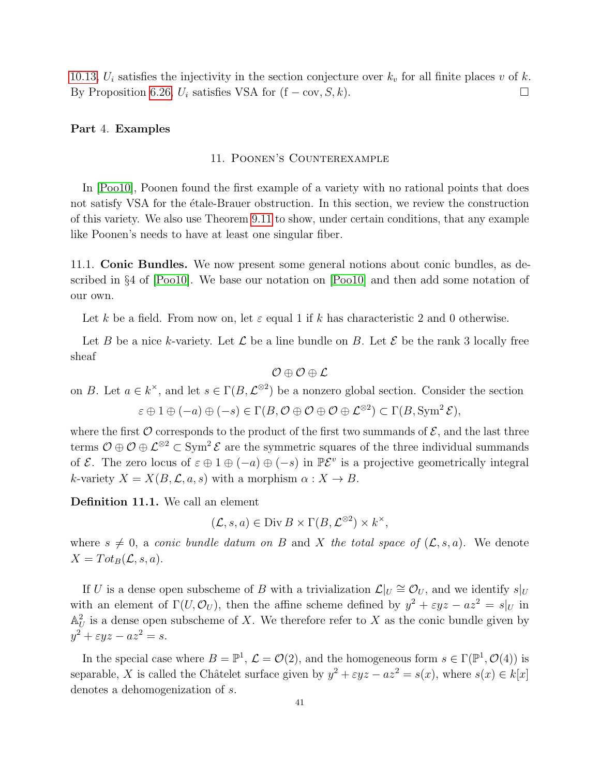[10.13,](#page-39-1)  $U_i$  satisfies the injectivity in the section conjecture over  $k_v$  for all finite places v of k. By Proposition [6.26,](#page-22-3)  $U_i$  satisfies VSA for  $(f - cov, S, k)$ .

## <span id="page-40-1"></span><span id="page-40-0"></span>Part 4. Examples

#### 11. Poonen's Counterexample

In [\[Poo10\]](#page-59-5), Poonen found the first example of a variety with no rational points that does not satisfy VSA for the etale-Brauer obstruction. In this section, we review the construction of this variety. We also use Theorem [9.11](#page-35-0) to show, under certain conditions, that any example like Poonen's needs to have at least one singular fiber.

<span id="page-40-2"></span>11.1. Conic Bundles. We now present some general notions about conic bundles, as described in §4 of [\[Poo10\]](#page-59-5). We base our notation on [\[Poo10\]](#page-59-5) and then add some notation of our own.

Let k be a field. From now on, let  $\varepsilon$  equal 1 if k has characteristic 2 and 0 otherwise.

Let B be a nice k-variety. Let  $\mathcal L$  be a line bundle on B. Let  $\mathcal E$  be the rank 3 locally free sheaf

$$
\mathcal{O}\oplus\mathcal{O}\oplus\mathcal{L}
$$

on B. Let  $a \in k^{\times}$ , and let  $s \in \Gamma(B, \mathcal{L}^{\otimes 2})$  be a nonzero global section. Consider the section

 $\varepsilon \oplus 1 \oplus (-a) \oplus (-s) \in \Gamma(B, \mathcal{O} \oplus \mathcal{O} \oplus \mathcal{O} \oplus \mathcal{L}^{\otimes 2}) \subset \Gamma(B, \mathrm{Sym}^2 \mathcal{E}),$ 

where the first  $\mathcal O$  corresponds to the product of the first two summands of  $\mathcal E$ , and the last three terms  $\mathcal{O} \oplus \mathcal{O} \oplus \mathcal{L}^{\otimes 2} \subset \text{Sym}^2 \mathcal{E}$  are the symmetric squares of the three individual summands of  $\mathcal{E}$ . The zero locus of  $\varepsilon \oplus 1 \oplus (-a) \oplus (-s)$  in  $\mathbb{P}\mathcal{E}^v$  is a projective geometrically integral k-variety  $X = X(B, \mathcal{L}, a, s)$  with a morphism  $\alpha : X \to B$ .

Definition 11.1. We call an element

$$
(\mathcal{L}, s, a) \in \text{Div}\,B \times \Gamma(B, \mathcal{L}^{\otimes 2}) \times k^{\times},
$$

where  $s \neq 0$ , a conic bundle datum on B and X the total space of  $(\mathcal{L}, s, a)$ . We denote  $X = Tot_B(\mathcal{L}, s, a).$ 

If U is a dense open subscheme of B with a trivialization  $\mathcal{L}|_U \cong \mathcal{O}_U$ , and we identify  $s|_U$ with an element of  $\Gamma(U, \mathcal{O}_U)$ , then the affine scheme defined by  $y^2 + \varepsilon yz - az^2 = s|_U$  in  $\mathbb{A}_{U}^{2}$  is a dense open subscheme of X. We therefore refer to X as the conic bundle given by  $y^2 + \varepsilon yz - az^2 = s.$ 

In the special case where  $B = \mathbb{P}^1$ ,  $\mathcal{L} = \mathcal{O}(2)$ , and the homogeneous form  $s \in \Gamma(\mathbb{P}^1, \mathcal{O}(4))$  is separable, X is called the Châtelet surface given by  $y^2 + \varepsilon yz - az^2 = s(x)$ , where  $s(x) \in k[x]$ denotes a dehomogenization of s.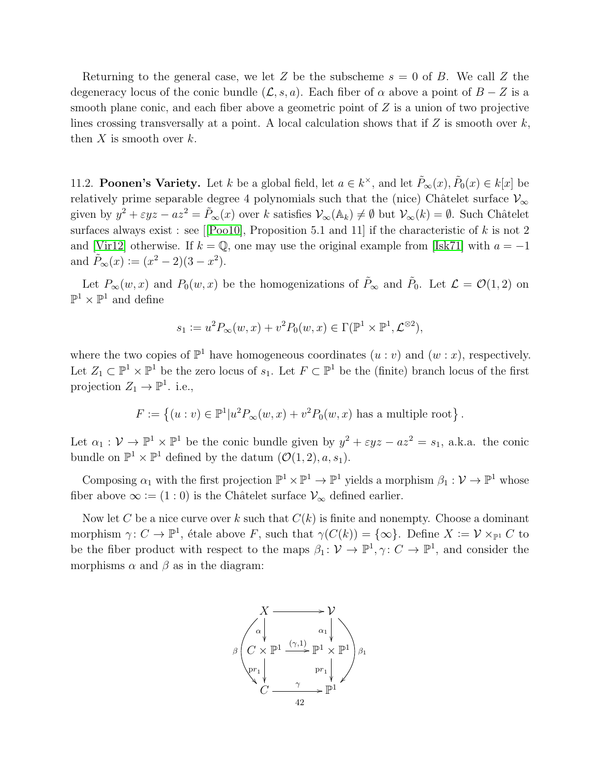Returning to the general case, we let Z be the subscheme  $s = 0$  of B. We call Z the degeneracy locus of the conic bundle  $(\mathcal{L}, s, a)$ . Each fiber of  $\alpha$  above a point of  $B - Z$  is a smooth plane conic, and each fiber above a geometric point of  $Z$  is a union of two projective lines crossing transversally at a point. A local calculation shows that if  $Z$  is smooth over  $k$ , then  $X$  is smooth over  $k$ .

<span id="page-41-0"></span>11.2. **Poonen's Variety.** Let k be a global field, let  $a \in k^{\times}$ , and let  $\tilde{P}_{\infty}(x), \tilde{P}_{0}(x) \in k[x]$  be relatively prime separable degree 4 polynomials such that the (nice) Châtelet surface  $\mathcal{V}_{\infty}$ given by  $y^2 + \varepsilon yz - az^2 = \tilde{P}_{\infty}(x)$  over k satisfies  $\mathcal{V}_{\infty}(\mathbb{A}_k) \neq \emptyset$  but  $\mathcal{V}_{\infty}(k) = \emptyset$ . Such Châtelet surfacesalways exist : see [[\[Poo10\]](#page-59-5), Proposition 5.1 and 11] if the characteristic of  $k$  is not 2 and [\[Vir12\]](#page-59-22) otherwise. If  $k = \mathbb{Q}$ , one may use the original example from [\[Isk71\]](#page-59-23) with  $a = -1$ and  $\tilde{P}_{\infty}(x) := (x^2 - 2)(3 - x^2)$ .

Let  $P_{\infty}(w, x)$  and  $P_0(w, x)$  be the homogenizations of  $\tilde{P}_{\infty}$  and  $\tilde{P}_0$ . Let  $\mathcal{L} = \mathcal{O}(1, 2)$  on  $\mathbb{P}^1 \times \mathbb{P}^1$  and define

$$
s_1 := u^2 P_{\infty}(w, x) + v^2 P_0(w, x) \in \Gamma(\mathbb{P}^1 \times \mathbb{P}^1, \mathcal{L}^{\otimes 2}),
$$

where the two copies of  $\mathbb{P}^1$  have homogeneous coordinates  $(u : v)$  and  $(w : x)$ , respectively. Let  $Z_1 \subset \mathbb{P}^1 \times \mathbb{P}^1$  be the zero locus of  $s_1$ . Let  $F \subset \mathbb{P}^1$  be the (finite) branch locus of the first projection  $Z_1 \to \mathbb{P}^1$ . i.e.,

$$
F := \left\{ (u : v) \in \mathbb{P}^1 | u^2 P_{\infty}(w, x) + v^2 P_0(w, x) \text{ has a multiple root} \right\}.
$$

Let  $\alpha_1 : \mathcal{V} \to \mathbb{P}^1 \times \mathbb{P}^1$  be the conic bundle given by  $y^2 + \varepsilon yz - az^2 = s_1$ , a.k.a. the conic bundle on  $\mathbb{P}^1 \times \mathbb{P}^1$  defined by the datum  $(\mathcal{O}(1, 2), a, s_1)$ .

Composing  $\alpha_1$  with the first projection  $\mathbb{P}^1 \times \mathbb{P}^1 \to \mathbb{P}^1$  yields a morphism  $\beta_1 : \mathcal{V} \to \mathbb{P}^1$  whose fiber above  $\infty := (1:0)$  is the Châtelet surface  $\mathcal{V}_{\infty}$  defined earlier.

Now let C be a nice curve over k such that  $C(k)$  is finite and nonempty. Choose a dominant morphism  $\gamma: C \to \mathbb{P}^1$ , étale above F, such that  $\gamma(C(k)) = {\infty}$ . Define  $X := \mathcal{V} \times_{\mathbb{P}^1} C$  to be the fiber product with respect to the maps  $\beta_1: \mathcal{V} \to \mathbb{P}^1$ ,  $\gamma: C \to \mathbb{P}^1$ , and consider the morphisms  $\alpha$  and  $\beta$  as in the diagram:

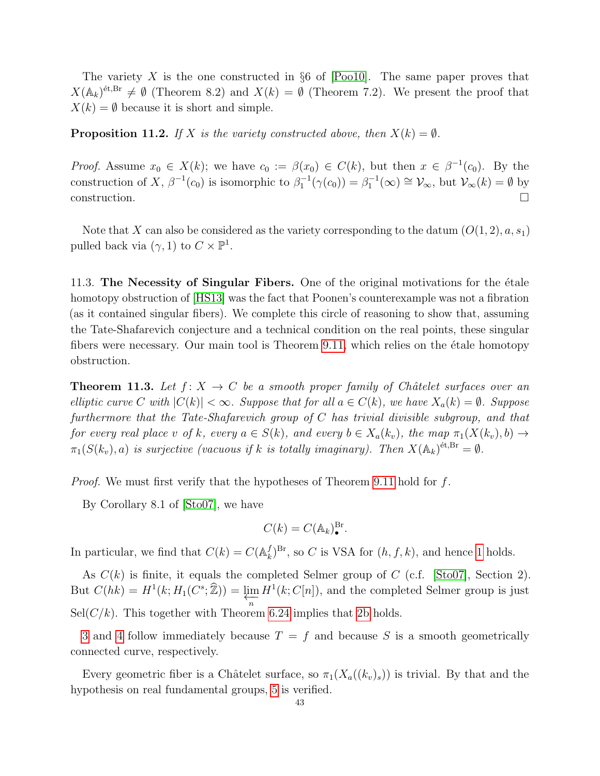The variety  $X$  is the one constructed in §6 of [\[Poo10\]](#page-59-5). The same paper proves that  $X(\mathbb{A}_k)^{\text{\'et},Br} \neq \emptyset$  (Theorem 8.2) and  $X(k) = \emptyset$  (Theorem 7.2). We present the proof that  $X(k) = \emptyset$  because it is short and simple.

<span id="page-42-2"></span>**Proposition 11.2.** If X is the variety constructed above, then  $X(k) = \emptyset$ .

*Proof.* Assume  $x_0 \in X(k)$ ; we have  $c_0 := \beta(x_0) \in C(k)$ , but then  $x \in \beta^{-1}(c_0)$ . By the construction of X,  $\beta^{-1}(c_0)$  is isomorphic to  $\beta_1^{-1}(\gamma(c_0)) = \beta_1^{-1}(\infty) \cong \mathcal{V}_{\infty}$ , but  $\mathcal{V}_{\infty}(k) = \emptyset$  by  $\Box$ construction.

Note that X can also be considered as the variety corresponding to the datum  $(O(1, 2), a, s_1)$ pulled back via  $(\gamma, 1)$  to  $C \times \mathbb{P}^1$ .

<span id="page-42-0"></span>11.3. The Necessity of Singular Fibers. One of the original motivations for the etale homotopy obstruction of [\[HS13\]](#page-58-0) was the fact that Poonen's counterexample was not a fibration (as it contained singular fibers). We complete this circle of reasoning to show that, assuming the Tate-Shafarevich conjecture and a technical condition on the real points, these singular fibers were necessary. Our main tool is Theorem  $9.11$ , which relies on the étale homotopy obstruction.

<span id="page-42-1"></span>**Theorem 11.3.** Let  $f: X \to C$  be a smooth proper family of Châtelet surfaces over an elliptic curve C with  $|C(k)| < \infty$ . Suppose that for all  $a \in C(k)$ , we have  $X_a(k) = \emptyset$ . Suppose furthermore that the Tate-Shafarevich group of C has trivial divisible subgroup, and that for every real place v of k, every  $a \in S(k)$ , and every  $b \in X_a(k_v)$ , the map  $\pi_1(X(k_v), b) \to$  $\pi_1(S(k_v), a)$  is surjective (vacuous if k is totally imaginary). Then  $X(\mathbb{A}_k)^{\text{\'et}, \text{Br}} = \emptyset$ .

*Proof.* We must first verify that the hypotheses of Theorem [9.11](#page-35-0) hold for  $f$ .

By Corollary 8.1 of [\[Sto07\]](#page-59-8), we have

$$
C(k) = C(\mathbb{A}_k)^{\mathrm{Br}}_{\bullet}.
$$

In particular, we find that  $C(k) = C(\mathbb{A}_k^f)$  $\mathcal{L}_k^{f}$ <sup>Br</sup>, so *C* is VSA for  $(h, f, k)$ , and hence [1](#page-35-6) holds.

As  $C(k)$  is finite, it equals the completed Selmer group of C (c.f. [\[Sto07\]](#page-59-8), Section 2). But  $C(hk) = H^1(k; H_1(C^s; \widehat{\mathbb{Z}})) = \varprojlim_n H^1(k; C[n]),$  and the completed Selmer group is just  $\text{Sel}(C/k)$ . This together with Theorem [6.24](#page-22-2) implies that [2b](#page-35-4) holds.

[3](#page-35-7) and [4](#page-35-8) follow immediately because  $T = f$  and because S is a smooth geometrically connected curve, respectively.

Every geometric fiber is a Châtelet surface, so  $\pi_1(X_a((k_v)_s))$  is trivial. By that and the hypothesis on real fundamental groups, [5](#page-35-9) is verified.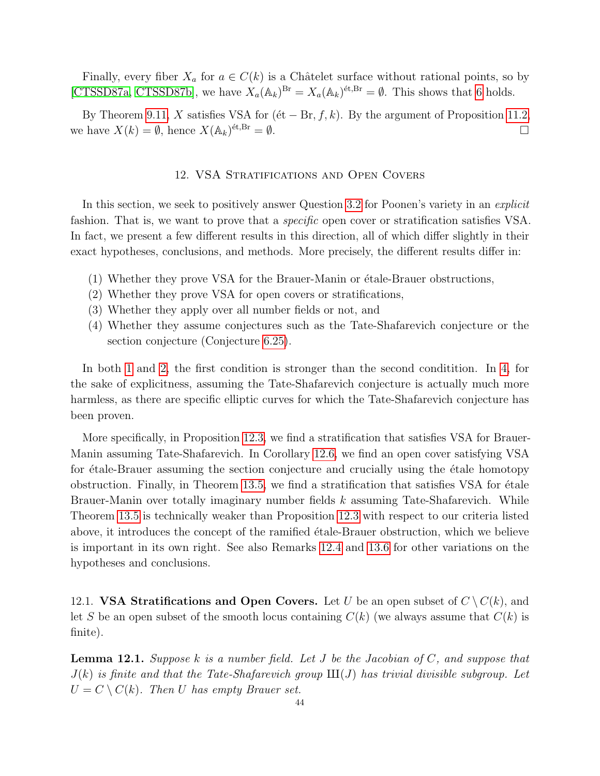Finally, every fiber  $X_a$  for  $a \in C(k)$  is a Châtelet surface without rational points, so by [\[CTSSD87a,](#page-58-18) [CTSSD87b\]](#page-58-19), we have  $X_a(\mathbb{A}_k)^{Br} = X_a(\mathbb{A}_k)^{\text{\'et},Br} = \emptyset$ . This shows that [6](#page-36-0) holds.

By Theorem [9.11,](#page-35-0) X satisfies VSA for ( $\acute{e}t - Br, f, k$ ). By the argument of Proposition [11.2,](#page-42-2) we have  $X(k) = \emptyset$ , hence  $X(\mathbb{A}_k)^{\text{\'et},Br} = \emptyset$ .

## 12. VSA Stratifications and Open Covers

<span id="page-43-0"></span>In this section, we seek to positively answer Question [3.2](#page-10-1) for Poonen's variety in an *explicit* fashion. That is, we want to prove that a *specific* open cover or stratification satisfies VSA. In fact, we present a few different results in this direction, all of which differ slightly in their exact hypotheses, conclusions, and methods. More precisely, the different results differ in:

- <span id="page-43-2"></span> $(1)$  Whether they prove VSA for the Brauer-Manin or étale-Brauer obstructions,
- <span id="page-43-3"></span>(2) Whether they prove VSA for open covers or stratifications,
- (3) Whether they apply over all number fields or not, and
- <span id="page-43-4"></span>(4) Whether they assume conjectures such as the Tate-Shafarevich conjecture or the section conjecture (Conjecture [6.25\)](#page-22-1).

In both [1](#page-43-2) and [2,](#page-43-3) the first condition is stronger than the second condition. In [4,](#page-43-4) for the sake of explicitness, assuming the Tate-Shafarevich conjecture is actually much more harmless, as there are specific elliptic curves for which the Tate-Shafarevich conjecture has been proven.

More specifically, in Proposition [12.3,](#page-44-1) we find a stratification that satisfies VSA for Brauer-Manin assuming Tate-Shafarevich. In Corollary [12.6,](#page-45-3) we find an open cover satisfying VSA for etale-Brauer assuming the section conjecture and crucially using the etale homotopy obstruction. Finally, in Theorem  $13.5$ , we find a stratification that satisfies VSA for  $\acute{e}t$ ale Brauer-Manin over totally imaginary number fields k assuming Tate-Shafarevich. While Theorem [13.5](#page-47-2) is technically weaker than Proposition [12.3](#page-44-1) with respect to our criteria listed above, it introduces the concept of the ramified etale-Brauer obstruction, which we believe is important in its own right. See also Remarks [12.4](#page-44-2) and [13.6](#page-47-3) for other variations on the hypotheses and conclusions.

<span id="page-43-1"></span>12.1. **VSA Stratifications and Open Covers.** Let U be an open subset of  $C \setminus C(k)$ , and let S be an open subset of the smooth locus containing  $C(k)$  (we always assume that  $C(k)$  is finite).

<span id="page-43-5"></span>**Lemma 12.1.** Suppose k is a number field. Let J be the Jacobian of C, and suppose that  $J(k)$  is finite and that the Tate-Shafarevich group  $III(J)$  has trivial divisible subgroup. Let  $U = C \setminus C(k)$ . Then U has empty Brauer set.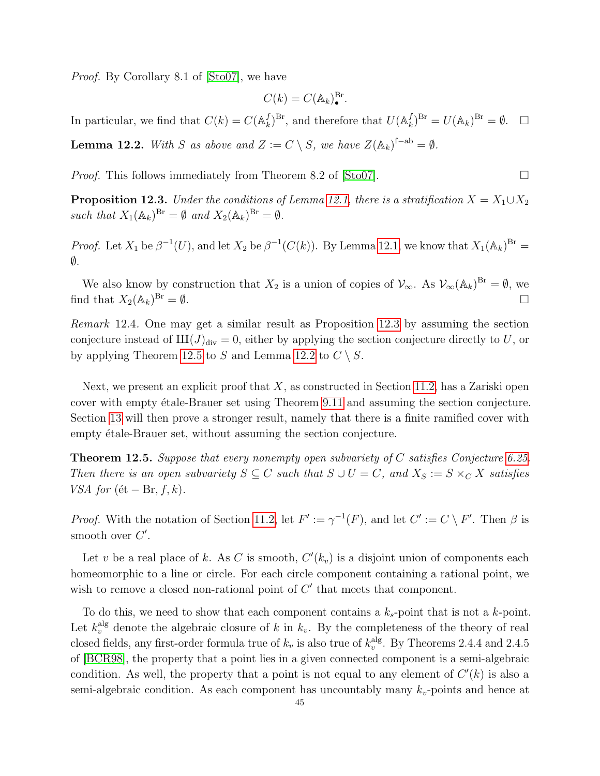Proof. By Corollary 8.1 of [\[Sto07\]](#page-59-8), we have

$$
C(k) = C(\mathbb{A}_k)^{\mathrm{Br}}_{\bullet}.
$$

In particular, we find that  $C(k) = C(\mathbb{A}_k^f)$  $(k)$ <sup>Br</sup>, and therefore that  $U(\mathbb{A}_k^f)$  $\binom{f}{k}^{\text{Br}} = U(\mathbb{A}_k)^{\text{Br}} = \emptyset. \quad \Box$ 

<span id="page-44-3"></span>**Lemma 12.2.** With S as above and  $Z := C \setminus S$ , we have  $Z(\mathbb{A}_k)^{f-ab} = \emptyset$ .

*Proof.* This follows immediately from Theorem 8.2 of [\[Sto07\]](#page-59-8).  $\Box$ 

<span id="page-44-1"></span>**Proposition 12.3.** Under the conditions of Lemma [12.1,](#page-43-5) there is a stratification  $X = X_1 \cup X_2$ such that  $X_1(\mathbb{A}_k)^{Br} = \emptyset$  and  $X_2(\mathbb{A}_k)^{Br} = \emptyset$ .

*Proof.* Let  $X_1$  be  $\beta^{-1}(U)$ , and let  $X_2$  be  $\beta^{-1}(C(k))$ . By Lemma [12.1,](#page-43-5) we know that  $X_1(\mathbb{A}_k)^{Br}$  =  $\emptyset$ .

We also know by construction that  $X_2$  is a union of copies of  $\mathcal{V}_{\infty}$ . As  $\mathcal{V}_{\infty}(\mathbb{A}_k)^{Br} = \emptyset$ , we find that  $X_2(\mathbb{A}_k)^{Br} = \emptyset$ .  $B_r = \emptyset.$ 

<span id="page-44-2"></span>Remark 12.4. One may get a similar result as Proposition [12.3](#page-44-1) by assuming the section conjecture instead of  $III(J)_{div} = 0$ , either by applying the section conjecture directly to U, or by applying Theorem [12.5](#page-44-0) to S and Lemma [12.2](#page-44-3) to  $C \setminus S$ .

Next, we present an explicit proof that  $X$ , as constructed in Section [11.2,](#page-41-0) has a Zariski open cover with empty étale-Brauer set using Theorem [9.11](#page-35-0) and assuming the section conjecture. Section [13](#page-45-0) will then prove a stronger result, namely that there is a finite ramified cover with empty étale-Brauer set, without assuming the section conjecture.

<span id="page-44-0"></span>**Theorem 12.5.** Suppose that every nonempty open subvariety of C satisfies Conjecture [6.25.](#page-22-1) Then there is an open subvariety  $S \subseteq C$  such that  $S \cup U = C$ , and  $X_S := S \times_C X$  satisfies VSA for  $(\text{\'et} - \text{Br}, f, k)$ .

*Proof.* With the notation of Section [11.2,](#page-41-0) let  $F' := \gamma^{-1}(F)$ , and let  $C' := C \setminus F'$ . Then  $\beta$  is smooth over  $C'$ .

Let v be a real place of k. As C is smooth,  $C'(k_v)$  is a disjoint union of components each homeomorphic to a line or circle. For each circle component containing a rational point, we wish to remove a closed non-rational point of  $C'$  that meets that component.

To do this, we need to show that each component contains a  $k_s$ -point that is not a k-point. Let  $k_v^{\text{alg}}$  denote the algebraic closure of k in  $k_v$ . By the completeness of the theory of real closed fields, any first-order formula true of  $k_v$  is also true of  $k_v^{\text{alg}}$ . By Theorems 2.4.4 and 2.4.5 of [\[BCR98\]](#page-58-20), the property that a point lies in a given connected component is a semi-algebraic condition. As well, the property that a point is not equal to any element of  $C'(k)$  is also a semi-algebraic condition. As each component has uncountably many  $k_v$ -points and hence at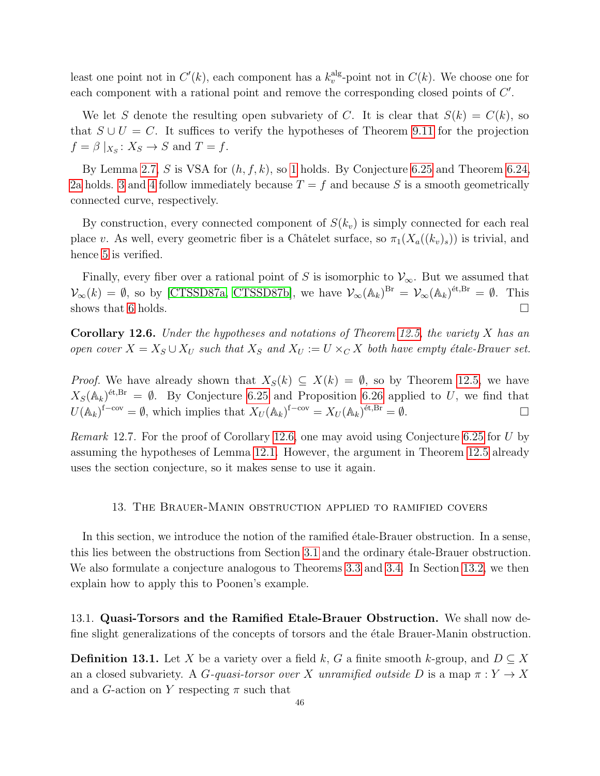least one point not in  $C'(k)$ , each component has a  $k_v^{\text{alg}}$ -point not in  $C(k)$ . We choose one for each component with a rational point and remove the corresponding closed points of  $C'$ .

We let S denote the resulting open subvariety of C. It is clear that  $S(k) = C(k)$ , so that  $S \cup U = C$ . It suffices to verify the hypotheses of Theorem [9.11](#page-35-0) for the projection  $f = \beta \mid_{X_S}: X_S \to S$  and  $T = f$ .

By Lemma [2.7,](#page-6-1) S is VSA for  $(h, f, k)$ , so [1](#page-35-6) holds. By Conjecture [6.25](#page-22-1) and Theorem [6.24,](#page-22-2) [2a](#page-35-3) holds. [3](#page-35-7) and [4](#page-35-8) follow immediately because  $T = f$  and because S is a smooth geometrically connected curve, respectively.

By construction, every connected component of  $S(k_v)$  is simply connected for each real place v. As well, every geometric fiber is a Châtelet surface, so  $\pi_1(X_a((k_v)_s))$  is trivial, and hence [5](#page-35-9) is verified.

Finally, every fiber over a rational point of S is isomorphic to  $\mathcal{V}_{\infty}$ . But we assumed that  $\mathcal{V}_{\infty}(k) = \emptyset$ , so by [\[CTSSD87a,](#page-58-18) [CTSSD87b\]](#page-58-19), we have  $\mathcal{V}_{\infty}(\mathbb{A}_k)^{Br} = \mathcal{V}_{\infty}(\mathbb{A}_k)^{\text{\'et},Br} = \emptyset$ . This shows that [6](#page-36-0) holds.  $\square$ 

<span id="page-45-3"></span>**Corollary 12.6.** Under the hypotheses and notations of Theorem [12.5,](#page-44-0) the variety  $X$  has an open cover  $X = X_S \cup X_U$  such that  $X_S$  and  $X_U := U \times_C X$  both have empty étale-Brauer set.

*Proof.* We have already shown that  $X_S(k) \subseteq X(k) = \emptyset$ , so by Theorem [12.5,](#page-44-0) we have  $X_S(\mathbb{A}_k)^{\'{e}t, Br} = \emptyset$ . By Conjecture [6.25](#page-22-1) and Proposition [6.26](#page-22-3) applied to U, we find that  $U(\mathbb{A}_k)^{\text{f-cov}} = \emptyset$ , which implies that  $X_U(\mathbb{A}_k)^{\text{f-cov}} = X_U(\mathbb{A}_k)^{\text{\'et}, \text{Br}} = \emptyset$ .

*Remark* 12.7. For the proof of Corollary [12.6,](#page-45-3) one may avoid using Conjecture [6.25](#page-22-1) for U by assuming the hypotheses of Lemma [12.1.](#page-43-5) However, the argument in Theorem [12.5](#page-44-0) already uses the section conjecture, so it makes sense to use it again.

#### 13. The Brauer-Manin obstruction applied to ramified covers

<span id="page-45-0"></span>In this section, we introduce the notion of the ramified etale-Brauer obstruction. In a sense, this lies between the obstructions from Section [3.1](#page-11-0) and the ordinary etale-Brauer obstruction. We also formulate a conjecture analogous to Theorems [3.3](#page-10-0) and [3.4.](#page-10-3) In Section [13.2,](#page-47-0) we then explain how to apply this to Poonen's example.

<span id="page-45-1"></span>13.1. Quasi-Torsors and the Ramified Etale-Brauer Obstruction. We shall now define slight generalizations of the concepts of torsors and the etale Brauer-Manin obstruction.

<span id="page-45-2"></span>**Definition 13.1.** Let X be a variety over a field k, G a finite smooth k-group, and  $D \subseteq X$ an a closed subvariety. A G-quasi-torsor over X unramified outside D is a map  $\pi: Y \to X$ and a G-action on Y respecting  $\pi$  such that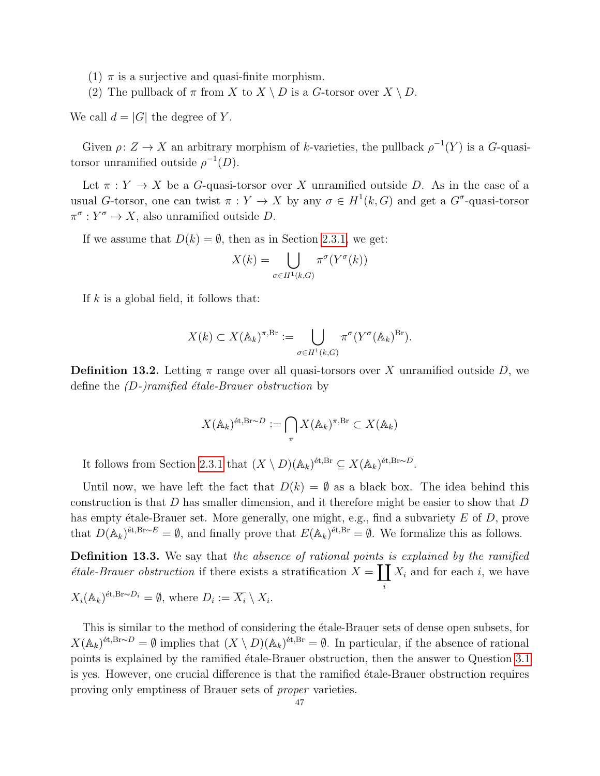- (1)  $\pi$  is a surjective and quasi-finite morphism.
- (2) The pullback of  $\pi$  from  $X$  to  $X \setminus D$  is a G-torsor over  $X \setminus D$ .

We call  $d = |G|$  the degree of Y.

Given  $\rho: Z \to X$  an arbitrary morphism of k-varieties, the pullback  $\rho^{-1}(Y)$  is a G-quasitorsor unramified outside  $\rho^{-1}(D)$ .

Let  $\pi: Y \to X$  be a G-quasi-torsor over X unramified outside D. As in the case of a usual G-torsor, one can twist  $\pi: Y \to X$  by any  $\sigma \in H^1(k, G)$  and get a  $G^{\sigma}$ -quasi-torsor  $\pi^{\sigma}: Y^{\sigma} \to X$ , also unramified outside D.

If we assume that  $D(k) = \emptyset$ , then as in Section [2.3.1,](#page-8-1) we get:

$$
X(k) = \bigcup_{\sigma \in H^1(k, G)} \pi^{\sigma}(Y^{\sigma}(k))
$$

If  $k$  is a global field, it follows that:

$$
X(k) \subset X(\mathbb{A}_k)^{\pi, \mathrm{Br}} := \bigcup_{\sigma \in H^1(k, G)} \pi^{\sigma} (Y^{\sigma}(\mathbb{A}_k)^{\mathrm{Br}}).
$$

<span id="page-46-0"></span>**Definition 13.2.** Letting  $\pi$  range over all quasi-torsors over X unramified outside D, we define the  $(D-)ramified$  étale-Brauer obstruction by

$$
X(\mathbb{A}_k)^{\text{\'et}, \text{Br}\sim D} := \bigcap_{\pi} X(\mathbb{A}_k)^{\pi, \text{Br}} \subset X(\mathbb{A}_k)
$$

It follows from Section [2.3.1](#page-8-1) that  $(X \setminus D)(\mathbb{A}_k)^{\text{\'et}, \text{Br}} \subseteq X(\mathbb{A}_k)^{\text{\'et}, \text{Br} \sim D}$ .

Until now, we have left the fact that  $D(k) = \emptyset$  as a black box. The idea behind this construction is that  $D$  has smaller dimension, and it therefore might be easier to show that  $D$ has empty étale-Brauer set. More generally, one might, e.g., find a subvariety  $E$  of  $D$ , prove that  $D(\mathbb{A}_k)^{\text{\'et}, \text{Br}\sim E} = \emptyset$ , and finally prove that  $E(\mathbb{A}_k)^{\text{\'et}, \text{Br}} = \emptyset$ . We formalize this as follows.

**Definition 13.3.** We say that the absence of rational points is explained by the ramified *étale-Brauer obstruction* if there exists a stratification  $X = \prod X_i$  and for each *i*, we have i

$$
X_i(\mathbb{A}_k)^{\text{\'et}, \text{Br}\sim D_i} = \emptyset
$$
, where  $D_i := \overline{X_i} \setminus X_i$ .

This is similar to the method of considering the etale-Brauer sets of dense open subsets, for  $X(\mathbb{A}_k)^{\text{\'et}, \text{Br}\sim D} = \emptyset$  implies that  $(X \setminus D)(\mathbb{A}_k)^{\text{\'et}, \text{Br}} = \emptyset$ . In particular, if the absence of rational points is explained by the ramified étale-Brauer obstruction, then the answer to Question [3.1](#page-10-2) is yes. However, one crucial difference is that the ramified etale-Brauer obstruction requires proving only emptiness of Brauer sets of proper varieties.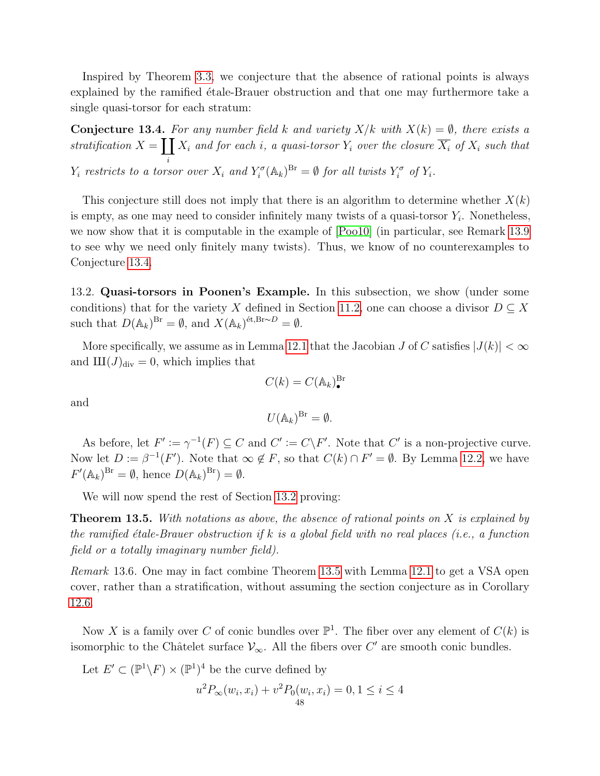Inspired by Theorem [3.3,](#page-10-0) we conjecture that the absence of rational points is always explained by the ramified  $\acute{e}$ tale-Brauer obstruction and that one may furthermore take a single quasi-torsor for each stratum:

<span id="page-47-1"></span>**Conjecture 13.4.** For any number field k and variety  $X/k$  with  $X(k) = \emptyset$ , there exists a stratification  $X = \prod X_i$  and for each i, a quasi-torsor  $Y_i$  over the closure  $\overline{X_i}$  of  $X_i$  such that i  $Y_i$  restricts to a torsor over  $X_i$  and  $Y_i^{\sigma}(\mathbb{A}_k)^{Br} = \emptyset$  for all twists  $Y_i^{\sigma}$  of  $Y_i$ .

This conjecture still does not imply that there is an algorithm to determine whether  $X(k)$ is empty, as one may need to consider infinitely many twists of a quasi-torsor  $Y_i$ . Nonetheless, we now show that it is computable in the example of [\[Poo10\]](#page-59-5) (in particular, see Remark [13.9](#page-49-0) to see why we need only finitely many twists). Thus, we know of no counterexamples to Conjecture [13.4.](#page-47-1)

<span id="page-47-0"></span>13.2. Quasi-torsors in Poonen's Example. In this subsection, we show (under some conditions) that for the variety X defined in Section [11.2,](#page-41-0) one can choose a divisor  $D \subseteq X$ such that  $D(\mathbb{A}_k)^{Br} = \emptyset$ , and  $X(\mathbb{A}_k)^{\text{\'et},Br\sim D} = \emptyset$ .

More specifically, we assume as in Lemma [12.1](#page-43-5) that the Jacobian J of C satisfies  $|J(k)| < \infty$ and  $III(J)<sub>div</sub> = 0$ , which implies that

and

$$
U(\mathbb{A}_k)^{\mathrm{Br}}=\emptyset.
$$

 $C(k) = C(\mathbb{A}_k)_\bullet^{\text{Br}}$ 

As before, let  $F' := \gamma^{-1}(F) \subseteq C$  and  $C' := C \backslash F'$ . Note that  $C'$  is a non-projective curve. Now let  $D := \beta^{-1}(F')$ . Note that  $\infty \notin F$ , so that  $C(k) \cap F' = \emptyset$ . By Lemma [12.2,](#page-44-3) we have  $F'(\mathbb{A}_k)^{Br} = \emptyset$ , hence  $D(\mathbb{A}_k)^{Br} = \emptyset$ .

We will now spend the rest of Section [13.2](#page-47-0) proving:

<span id="page-47-2"></span>**Theorem 13.5.** With notations as above, the absence of rational points on  $X$  is explained by the ramified étale-Brauer obstruction if k is a global field with no real places (i.e., a function field or a totally imaginary number field).

<span id="page-47-3"></span>Remark 13.6. One may in fact combine Theorem [13.5](#page-47-2) with Lemma [12.1](#page-43-5) to get a VSA open cover, rather than a stratification, without assuming the section conjecture as in Corollary [12.6.](#page-45-3)

Now X is a family over C of conic bundles over  $\mathbb{P}^1$ . The fiber over any element of  $C(k)$  is isomorphic to the Châtelet surface  $\mathcal{V}_{\infty}$ . All the fibers over C' are smooth conic bundles.

Let  $E' \subset (\mathbb{P}^1 \backslash F) \times (\mathbb{P}^1)^4$  be the curve defined by

$$
u^{2}P_{\infty}(w_{i}, x_{i}) + v^{2}P_{0}(w_{i}, x_{i}) = 0, 1 \leq i \leq 4
$$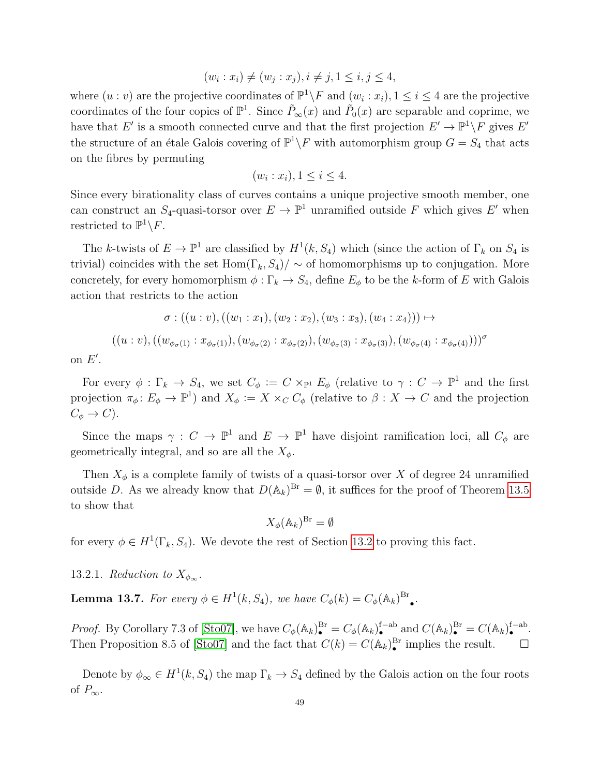$$
(w_i : x_i) \neq (w_j : x_j), i \neq j, 1 \leq i, j \leq 4,
$$

where  $(u : v)$  are the projective coordinates of  $\mathbb{P}^1 \backslash F$  and  $(w_i : x_i)$ ,  $1 \le i \le 4$  are the projective coordinates of the four copies of  $\mathbb{P}^1$ . Since  $\tilde{P}_\infty(x)$  and  $\tilde{P}_0(x)$  are separable and coprime, we have that E' is a smooth connected curve and that the first projection  $E' \to \mathbb{P}^1 \backslash F$  gives E' the structure of an étale Galois covering of  $\mathbb{P}^1 \backslash F$  with automorphism group  $G = S_4$  that acts on the fibres by permuting

$$
(w_i : x_i), 1 \le i \le 4.
$$

Since every birationality class of curves contains a unique projective smooth member, one can construct an  $S_4$ -quasi-torsor over  $E \to \mathbb{P}^1$  unramified outside F which gives E' when restricted to  $\mathbb{P}^1 \backslash F$ .

The k-twists of  $E \to \mathbb{P}^1$  are classified by  $H^1(k, S_4)$  which (since the action of  $\Gamma_k$  on  $S_4$  is trivial) coincides with the set Hom( $\Gamma_k$ ,  $S_4$ )/  $\sim$  of homomorphisms up to conjugation. More concretely, for every homomorphism  $\phi : \Gamma_k \to S_4$ , define  $E_{\phi}$  to be the k-form of E with Galois action that restricts to the action

$$
\sigma : ((u : v), ((w_1 : x_1), (w_2 : x_2), (w_3 : x_3), (w_4 : x_4))) \mapsto
$$
  

$$
((u : v), ((w_{\phi_{\sigma}(1)} : x_{\phi_{\sigma}(1)}), (w_{\phi_{\sigma}(2)} : x_{\phi_{\sigma}(2)}), (w_{\phi_{\sigma}(3)} : x_{\phi_{\sigma}(3)}), (w_{\phi_{\sigma}(4)} : x_{\phi_{\sigma}(4)})))^{\sigma}
$$

on  $E'$ .

For every  $\phi : \Gamma_k \to S_4$ , we set  $C_{\phi} := C \times_{\mathbb{P}^1} E_{\phi}$  (relative to  $\gamma : C \to \mathbb{P}^1$  and the first projection  $\pi_{\phi}: E_{\phi} \to \mathbb{P}^{1}$  and  $X_{\phi} := X \times_{C} C_{\phi}$  (relative to  $\beta: X \to C$  and the projection  $C_{\phi} \rightarrow C$ ).

Since the maps  $\gamma: C \to \mathbb{P}^1$  and  $E \to \mathbb{P}^1$  have disjoint ramification loci, all  $C_{\phi}$  are geometrically integral, and so are all the  $X_{\phi}$ .

Then  $X_{\phi}$  is a complete family of twists of a quasi-torsor over X of degree 24 unramified outside D. As we already know that  $D(A_k)^{Br} = \emptyset$ , it suffices for the proof of Theorem [13.5](#page-47-2) to show that

$$
X_{\phi}(\mathbb{A}_k)^{\mathrm{Br}} = \emptyset
$$

for every  $\phi \in H^1(\Gamma_k, S_4)$ . We devote the rest of Section [13.2](#page-47-0) to proving this fact.

13.2.1. Reduction to  $X_{\phi_{\infty}}$ .

<span id="page-48-0"></span>**Lemma 13.7.** For every  $\phi \in H^1(k, S_4)$ , we have  $C_{\phi}(k) = C_{\phi}(\mathbb{A}_k)^{Br}$ • .

*Proof.* By Corollary 7.3 of [\[Sto07\]](#page-59-8), we have  $C_{\phi}(\mathbb{A}_k)^{Br}_{\bullet} = C_{\phi}(\mathbb{A}_k)^{f-ab}_{\bullet}$  and  $C(\mathbb{A}_k)^{Br}_{\bullet} = C(\mathbb{A}_k)^{f-ab}_{\bullet}$ . Then Proposition 8.5 of [\[Sto07\]](#page-59-8) and the fact that  $C(k) = C(\mathbb{A}_k)_\bullet^{\text{Br}}$  implies the result.  $\Box$ 

Denote by  $\phi_{\infty} \in H^1(k, S_4)$  the map  $\Gamma_k \to S_4$  defined by the Galois action on the four roots of  $P_{\infty}$ .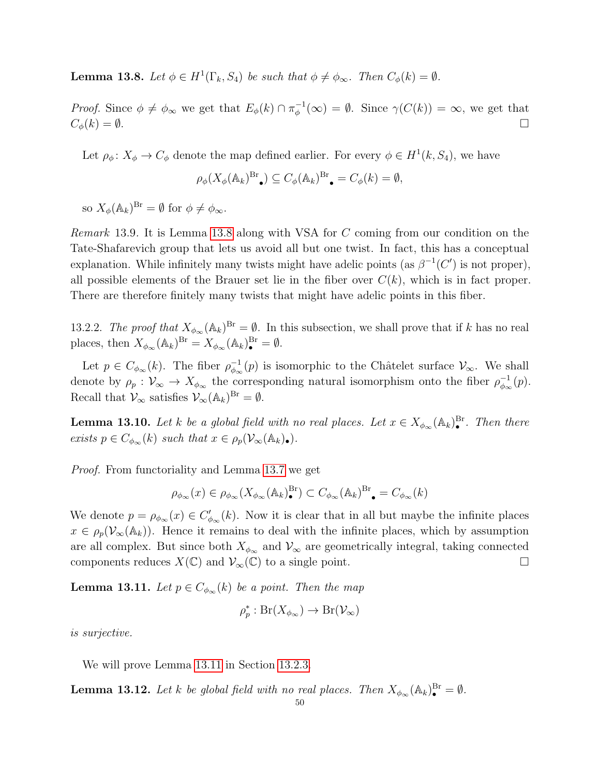<span id="page-49-1"></span>**Lemma 13.8.** Let  $\phi \in H^1(\Gamma_k, S_4)$  be such that  $\phi \neq \phi_{\infty}$ . Then  $C_{\phi}(k) = \emptyset$ .

*Proof.* Since  $\phi \neq \phi_{\infty}$  we get that  $E_{\phi}(k) \cap \pi_{\phi}^{-1}$  $\phi^{-1}(\infty) = \emptyset$ . Since  $\gamma(C(k)) = \infty$ , we get that  $C_{\phi}(k) = \emptyset.$ 

Let  $\rho_{\phi} \colon X_{\phi} \to C_{\phi}$  denote the map defined earlier. For every  $\phi \in H^{1}(k, S_{4})$ , we have

$$
\rho_{\phi}(X_{\phi}(\mathbb{A}_{k})^{\text{Br}}_{\bullet}) \subseteq C_{\phi}(\mathbb{A}_{k})^{\text{Br}}_{\bullet} = C_{\phi}(k) = \emptyset,
$$

so  $X_{\phi}(\mathbb{A}_k)^{Br} = \emptyset$  for  $\phi \neq \phi_{\infty}$ .

<span id="page-49-0"></span>Remark 13.9. It is Lemma [13.8](#page-49-1) along with VSA for C coming from our condition on the Tate-Shafarevich group that lets us avoid all but one twist. In fact, this has a conceptual explanation. While infinitely many twists might have adelic points (as  $\beta^{-1}(C')$  is not proper), all possible elements of the Brauer set lie in the fiber over  $C(k)$ , which is in fact proper. There are therefore finitely many twists that might have adelic points in this fiber.

13.2.2. The proof that  $X_{\phi_\infty}(\mathbb{A}_k)^{Br} = \emptyset$ . In this subsection, we shall prove that if k has no real places, then  $X_{\phi_{\infty}}(\mathbb{A}_k)^{Br} = X_{\phi_{\infty}}(\mathbb{A}_k)^{Br}_{\bullet} = \emptyset$ .

Let  $p \in C_{\phi_{\infty}}(k)$ . The fiber  $\rho_{\phi_{\infty}}^{-1}$  $\varphi_{\infty}^{-1}(p)$  is isomorphic to the Châtelet surface  $\mathcal{V}_{\infty}$ . We shall denote by  $\rho_p : \mathcal{V}_{\infty} \to X_{\phi_{\infty}}$  the corresponding natural isomorphism onto the fiber  $\rho_{\phi_{\infty}}^{-1}$  $_{\phi_{\infty}}^{-1}(p).$ Recall that  $\mathcal{V}_{\infty}$  satisfies  $\mathcal{V}_{\infty}(\mathbb{A}_{k})^{\text{Br}} = \emptyset$ .

<span id="page-49-3"></span>**Lemma 13.10.** Let k be a global field with no real places. Let  $x \in X_{\phi_{\infty}}(\mathbb{A}_k)^{\text{Br}}_{\bullet}$ . Then there exists  $p \in C_{\phi_{\infty}}(k)$  such that  $x \in \rho_p(\mathcal{V}_{\infty}(\mathbb{A}_k))$ .

Proof. From functoriality and Lemma [13.7](#page-48-0) we get

$$
\rho_{\phi_\infty}(x)\in\rho_{\phi_\infty}(X_{\phi_\infty}(\mathbb{A}_k)^{\mathrm{Br}}_\bullet)\subset C_{\phi_\infty}(\mathbb{A}_k)^{\mathrm{Br}}_\bullet=C_{\phi_\infty}(k)
$$

We denote  $p = \rho_{\phi_{\infty}}(x) \in C'_{\phi_{\infty}}(k)$ . Now it is clear that in all but maybe the infinite places  $x \in \rho_p(\mathcal{V}_{\infty}(\mathbb{A}_k))$ . Hence it remains to deal with the infinite places, which by assumption are all complex. But since both  $X_{\phi_{\infty}}$  and  $\mathcal{V}_{\infty}$  are geometrically integral, taking connected components reduces  $X(\mathbb{C})$  and  $\mathcal{V}_{\infty}(\mathbb{C})$  to a single point.

<span id="page-49-2"></span>**Lemma 13.11.** Let  $p \in C_{\phi_{\infty}}(k)$  be a point. Then the map

$$
\rho_p^* : Br(X_{\phi_\infty}) \to Br(\mathcal{V}_\infty)
$$

is surjective.

We will prove Lemma [13.11](#page-49-2) in Section [13.2.3.](#page-50-0)

**Lemma 13.12.** Let k be global field with no real places. Then  $X_{\phi_{\infty}}(\mathbb{A}_k)^{\text{Br}} = \emptyset$ .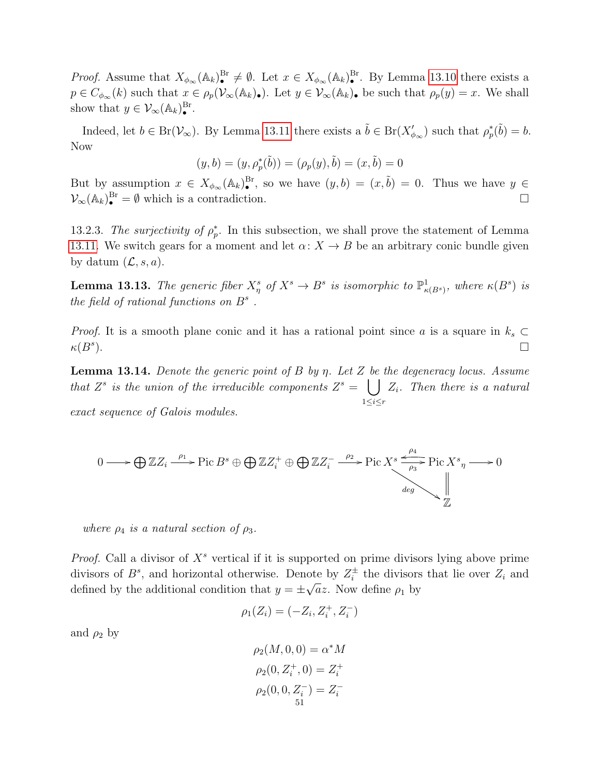*Proof.* Assume that  $X_{\phi_{\infty}}(\mathbb{A}_k)^{B_r} \neq \emptyset$ . Let  $x \in X_{\phi_{\infty}}(\mathbb{A}_k)^{B_r}$ . By Lemma [13.10](#page-49-3) there exists a  $p \in C_{\phi_{\infty}}(k)$  such that  $x \in \rho_p(\mathcal{V}_{\infty}(\mathbb{A}_k))$ . Let  $y \in \mathcal{V}_{\infty}(\mathbb{A}_k)$  be such that  $\rho_p(y) = x$ . We shall show that  $y \in \mathcal{V}_{\infty}(\mathbb{A}_k)^{\mathrm{Br}}_{\bullet}$ .

Indeed, let  $b \in Br(\mathcal{V}_{\infty})$ . By Lemma [13.11](#page-49-2) there exists a  $\tilde{b} \in Br(X'_{\phi_{\infty}})$  such that  $\rho_p^*(\tilde{b}) = b$ . Now

$$
(y, b) = (y, \rho_p^*(\tilde{b})) = (\rho_p(y), \tilde{b}) = (x, \tilde{b}) = 0
$$

But by assumption  $x \in X_{\phi_\infty}(\mathbb{A}_k)^{\text{Br}}_{\bullet}$ , so we have  $(y, b) = (x, \tilde{b}) = 0$ . Thus we have  $y \in$  $\mathcal{V}_{\infty}(\mathbb{A}_k)^{\text{Br}}_{\bullet} = \emptyset$  which is a contradiction.

<span id="page-50-0"></span>13.2.3. The surjectivity of  $\rho_p^*$ . In this subsection, we shall prove the statement of Lemma [13.11.](#page-49-2) We switch gears for a moment and let  $\alpha: X \to B$  be an arbitrary conic bundle given by datum  $(\mathcal{L}, s, a)$ .

**Lemma 13.13.** The generic fiber  $X^s_\eta$  of  $X^s \to B^s$  is isomorphic to  $\mathbb{P}^1_{\kappa(B^s)}$ , where  $\kappa(B^s)$  is the field of rational functions on  $B^s$ .

*Proof.* It is a smooth plane conic and it has a rational point since a is a square in  $k_s \subset$  $\kappa(B^s)$  $\Box$ 

**Lemma 13.14.** Denote the generic point of B by  $\eta$ . Let Z be the degeneracy locus. Assume that  $Z^s$  is the union of the irreducible components  $Z^s = \begin{bmatrix} \end{bmatrix}$  $1 \leq i \leq r$  $Z_i$ . Then there is a natural exact sequence of Galois modules.

$$
0 \longrightarrow \bigoplus \mathbb{Z}Z_i \xrightarrow{\rho_1} \text{Pic }B^s \oplus \bigoplus \mathbb{Z}Z_i^+ \oplus \bigoplus \mathbb{Z}Z_i^- \xrightarrow{\rho_2} \text{Pic }X^s \xrightarrow{\rho_4} \text{Pic }X^s \xrightarrow{\rho_3} \text{Pic }X^s \xrightarrow{\rho_4} 0
$$

where  $\rho_4$  is a natural section of  $\rho_3$ .

*Proof.* Call a divisor of  $X^s$  vertical if it is supported on prime divisors lying above prime divisors of  $B^s$ , and horizontal otherwise. Denote by  $Z_i^{\pm}$ ote by  $Z_i^{\pm}$  the divisors that lie over  $Z_i$  and defined by the additional condition that  $y = \pm \sqrt{a}z$ . Now define  $\rho_1$  by

$$
\rho_1(Z_i) = (-Z_i, Z_i^+, Z_i^-)
$$

and  $\rho_2$  by

$$
\rho_2(M, 0, 0) = \alpha^* M
$$
  
\n
$$
\rho_2(0, Z_i^+, 0) = Z_i^+
$$
  
\n
$$
\rho_2(0, 0, Z_i^-) = Z_i^-
$$
  
\n51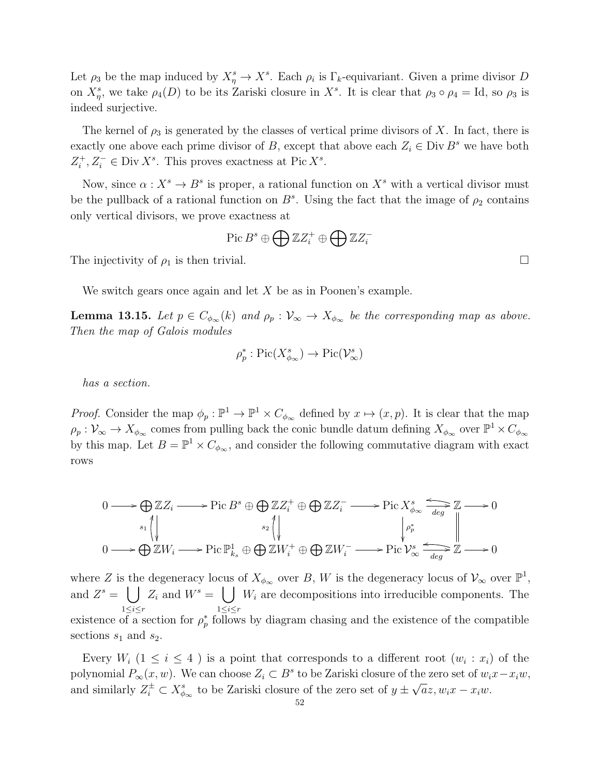Let  $\rho_3$  be the map induced by  $X^s_\eta \to X^s$ . Each  $\rho_i$  is  $\Gamma_k$ -equivariant. Given a prime divisor D on  $X^s_\eta$ , we take  $\rho_4(D)$  to be its Zariski closure in  $X^s$ . It is clear that  $\rho_3 \circ \rho_4 = \text{Id}$ , so  $\rho_3$  is indeed surjective.

The kernel of  $\rho_3$  is generated by the classes of vertical prime divisors of X. In fact, there is exactly one above each prime divisor of B, except that above each  $Z_i \in \text{Div } B^s$  we have both  $Z_i^+$ <sup> $i$ </sup>,  $Z_i^-$  ∈ Div  $X^s$ . This proves exactness at Pic  $X^s$ .

Now, since  $\alpha: X^s \to B^s$  is proper, a rational function on  $X^s$  with a vertical divisor must be the pullback of a rational function on  $B^s$ . Using the fact that the image of  $\rho_2$  contains only vertical divisors, we prove exactness at

$$
\operatorname{Pic}B^s\oplus\bigoplus \mathbb{Z} Z^+_i\oplus\bigoplus \mathbb{Z} Z^-_i
$$

The injectivity of  $\rho_1$  is then trivial.

We switch gears once again and let  $X$  be as in Poonen's example.

**Lemma 13.15.** Let  $p \in C_{\phi_{\infty}}(k)$  and  $\rho_p : V_{\infty} \to X_{\phi_{\infty}}$  be the corresponding map as above. Then the map of Galois modules

$$
\rho_p^*:\mathrm{Pic}(X^s_{\phi_\infty})\to \mathrm{Pic}(\mathcal{V}^s_\infty)
$$

has a section.

*Proof.* Consider the map  $\phi_p : \mathbb{P}^1 \to \mathbb{P}^1 \times C_{\phi_\infty}$  defined by  $x \mapsto (x, p)$ . It is clear that the map  $\rho_p: \mathcal{V}_{\infty} \to X_{\phi_{\infty}}$  comes from pulling back the conic bundle datum defining  $X_{\phi_{\infty}}$  over  $\mathbb{P}^1 \times C_{\phi_{\infty}}$ by this map. Let  $B = \mathbb{P}^1 \times C_{\phi_{\infty}}$ , and consider the following commutative diagram with exact rows

$$
0 \longrightarrow \bigoplus_{s_1} \mathbb{Z} Z_i \longrightarrow \text{Pic } B^s \oplus \bigoplus_{s_2} \mathbb{Z} Z_i^+ \oplus \bigoplus \mathbb{Z} Z_i^- \longrightarrow \text{Pic } X^s_{\phi_{\infty}} \xrightarrow[d_{\text{deg}}]{} \mathbb{Z} \longrightarrow 0
$$
  

$$
0 \longrightarrow \bigoplus \mathbb{Z} W_i \longrightarrow \text{Pic } \mathbb{P}^1_{k_s} \oplus \bigoplus \mathbb{Z} W_i^+ \oplus \bigoplus \mathbb{Z} W_i^- \longrightarrow \text{Pic } \mathcal{V}^s_{\infty} \xrightarrow[d_{\text{deg}}]{} \mathbb{Z} \longrightarrow 0
$$

where Z is the degeneracy locus of  $X_{\phi_{\infty}}$  over B, W is the degeneracy locus of  $\mathcal{V}_{\infty}$  over  $\mathbb{P}^{1}$ , and  $Z^s = \begin{bmatrix} \ \ \end{bmatrix}$  $1 \leq i \leq r$  $Z_i$  and  $W^s = \left( \int W_i \right)$  are decompositions into irreducible components. The  $1{\le}i{\le}r$ existence of a section for  $\rho_p^*$  follows by diagram chasing and the existence of the compatible sections  $s_1$  and  $s_2$ .

Every  $W_i$  ( $1 \leq i \leq 4$ ) is a point that corresponds to a different root  $(w_i : x_i)$  of the polynomial  $P_{\infty}(x, w)$ . We can choose  $Z_i \subset B^s$  to be Zariski closure of the zero set of  $w_i x - x_i w$ , and similarly  $Z_i^{\pm} \subset X_{\phi_{\infty}}^s$  to be Zariski closure of the zero set of  $y \pm \sqrt{a}z, w_i x - x_i w$ .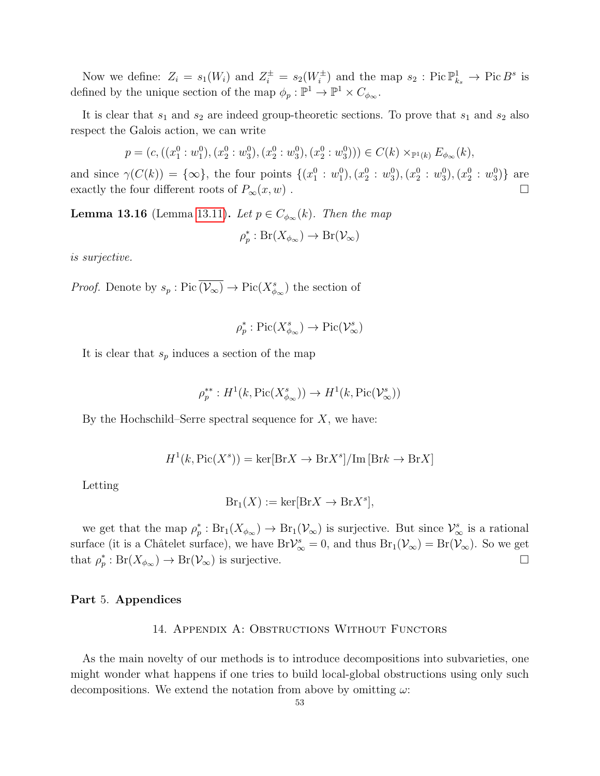Now we define:  $Z_i = s_1(W_i)$  and  $Z_i^{\pm} = s_2(W_i^{\pm})$  and the map  $s_2$ : Pic  $\mathbb{P}^1_{k_s} \to \text{Pic } B^s$  is defined by the unique section of the map  $\phi_p : \mathbb{P}^1 \to \mathbb{P}^1 \times C_{\phi_\infty}$ .

It is clear that  $s_1$  and  $s_2$  are indeed group-theoretic sections. To prove that  $s_1$  and  $s_2$  also respect the Galois action, we can write

$$
p = (c, ((x_1^0 : w_1^0), (x_2^0 : w_3^0), (x_2^0 : w_3^0), (x_2^0 : w_3^0))) \in C(k) \times_{\mathbb{P}^1(k)} E_{\phi_\infty}(k),
$$

and since  $\gamma(C(k)) = {\infty}$ , the four points  $\{(x_1^0 : w_1^0), (x_2^0 : w_3^0), (x_2^0 : w_3^0), (x_2^0 : w_3^0)\}$  are exactly the four different roots of  $P_{\infty}(x, w)$ .

**Lemma 13.16** (Lemma [13.11\)](#page-49-2). Let  $p \in C_{\phi_{\infty}}(k)$ . Then the map

$$
\rho_p^* : Br(X_{\phi_\infty}) \to Br(\mathcal{V}_\infty)
$$

is surjective.

*Proof.* Denote by  $s_p : Pic(\overline{\mathcal{V}_{\infty}}) \to Pic(X_{\phi_{\infty}}^s)$  the section of

$$
\rho_p^* : \mathrm{Pic}(X_{\phi_\infty}^s) \to \mathrm{Pic}(\mathcal{V}_\infty^s)
$$

It is clear that  $s_p$  induces a section of the map

$$
\rho_p^{**}: H^1(k, \mathrm{Pic}(X^s_{\phi_\infty})) \to H^1(k, \mathrm{Pic}(\mathcal{V}^s_\infty))
$$

By the Hochschild–Serre spectral sequence for  $X$ , we have:

$$
H^{1}(k, \text{Pic}(X^{s})) = \ker[\text{Br} X \to \text{Br} X^{s}]/\text{Im} [\text{Br} k \to \text{Br} X]
$$

Letting

$$
Br_1(X) := \ker[BrX \to BrX^s],
$$

we get that the map  $\rho_p^* : Br_1(X_{\phi_\infty}) \to Br_1(\mathcal{V}_\infty)$  is surjective. But since  $\mathcal{V}_\infty^s$  is a rational surface (it is a Châtelet surface), we have  $Br\mathcal{V}_{\infty}^s=0$ , and thus  $Br_1(\mathcal{V}_{\infty})=Br(\mathcal{V}_{\infty})$ . So we get that  $\rho_p^* : Br(X_{\phi_\infty}) \to Br(\mathcal{V}_\infty)$  is surjective.

## <span id="page-52-1"></span><span id="page-52-0"></span>Part 5. Appendices

#### 14. Appendix A: Obstructions Without Functors

As the main novelty of our methods is to introduce decompositions into subvarieties, one might wonder what happens if one tries to build local-global obstructions using only such decompositions. We extend the notation from above by omitting  $\omega$ :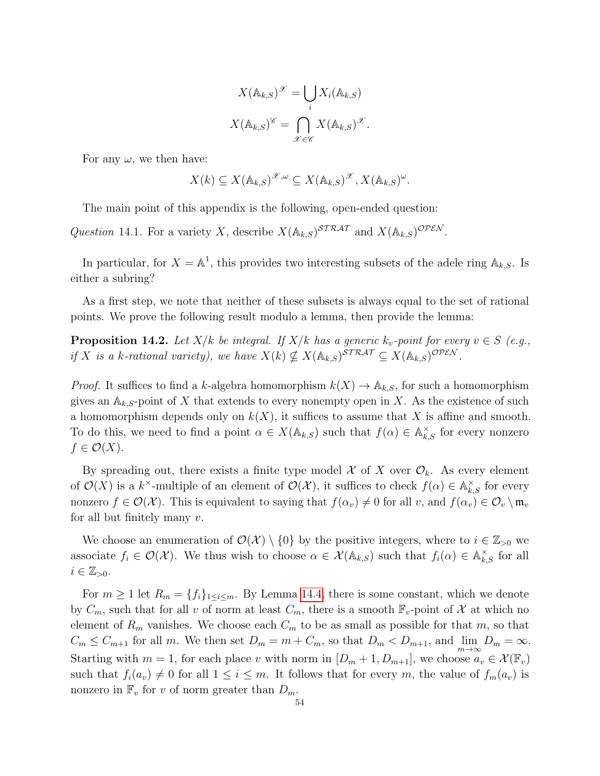$$
X(\mathbb{A}_{k,S})^{\mathscr{X}} = \bigcup_{i} X_i(\mathbb{A}_{k,S})
$$

$$
X(\mathbb{A}_{k,S})^{\mathscr{C}} = \bigcap_{\mathscr{X} \in \mathscr{C}} X(\mathbb{A}_{k,S})^{\mathscr{X}}.
$$

For any  $\omega$ , we then have:

$$
X(k) \subseteq X(\mathbb{A}_{k,S})^{\mathscr{X},\omega} \subseteq X(\mathbb{A}_{k,S})^{\mathscr{X}}, X(\mathbb{A}_{k,S})^{\omega}.
$$

The main point of this appendix is the following, open-ended question:

<span id="page-53-1"></span>Question 14.1. For a variety X, describe  $X(\mathbb{A}_{k,S})^{STRAT}$  and  $X(\mathbb{A}_{k,S})^{OPEN}$ .

In particular, for  $X = \mathbb{A}^1$ , this provides two interesting subsets of the adele ring  $\mathbb{A}_{k,S}$ . Is either a subring?

As a first step, we note that neither of these subsets is always equal to the set of rational points. We prove the following result modulo a lemma, then provide the lemma:

<span id="page-53-0"></span>**Proposition 14.2.** Let  $X/k$  be integral. If  $X/k$  has a generic  $k_v$ -point for every  $v \in S$  (e.g., if X is a k-rational variety), we have  $X(k) \nsubseteq X(\mathbb{A}_{k,S})^{\text{STRAT}} \subseteq X(\mathbb{A}_{k,S})^{\text{OPEN}}$ .

*Proof.* It suffices to find a k-algebra homomorphism  $k(X) \to \mathbb{A}_{k,S}$ , for such a homomorphism gives an  $A_{k,S}$ -point of X that extends to every nonempty open in X. As the existence of such a homomorphism depends only on  $k(X)$ , it suffices to assume that X is affine and smooth. To do this, we need to find a point  $\alpha \in X(\mathbb{A}_{k,S})$  such that  $f(\alpha) \in \mathbb{A}_{k,S}^{\times}$  for every nonzero  $f \in \mathcal{O}(X)$ .

By spreading out, there exists a finite type model X of X over  $\mathcal{O}_k$ . As every element of  $\mathcal{O}(X)$  is a k<sup>x</sup>-multiple of an element of  $\mathcal{O}(\mathcal{X})$ , it suffices to check  $f(\alpha) \in \mathbb{A}_{k,S}^{\times}$  for every nonzero  $f \in \mathcal{O}(\mathcal{X})$ . This is equivalent to saying that  $f(\alpha_v) \neq 0$  for all v, and  $f(\alpha_v) \in \mathcal{O}_v \setminus \mathfrak{m}_v$ for all but finitely many  $v$ .

We choose an enumeration of  $\mathcal{O}(\mathcal{X}) \setminus \{0\}$  by the positive integers, where to  $i \in \mathbb{Z}_{>0}$  we associate  $f_i \in \mathcal{O}(\mathcal{X})$ . We thus wish to choose  $\alpha \in \mathcal{X}(\mathbb{A}_{k,S})$  such that  $f_i(\alpha) \in \mathbb{A}_{k,S}^{\times}$  for all  $i \in \mathbb{Z}_{>0}$ .

For  $m \geq 1$  let  $R_m = \{f_i\}_{1 \leq i \leq m}$ . By Lemma [14.4,](#page-54-1) there is some constant, which we denote by  $C_m$ , such that for all v of norm at least  $C_m$ , there is a smooth  $\mathbb{F}_v$ -point of X at which no element of  $R_m$  vanishes. We choose each  $C_m$  to be as small as possible for that m, so that  $C_m \leq C_{m+1}$  for all m. We then set  $D_m = m + C_m$ , so that  $D_m < D_{m+1}$ , and  $\lim_{m \to \infty} D_m = \infty$ . Starting with  $m = 1$ , for each place v with norm in  $[D_m + 1, D_{m+1}]$ , we choose  $a_v \in \mathcal{X}(\mathbb{F}_v)$ such that  $f_i(a_v) \neq 0$  for all  $1 \leq i \leq m$ . It follows that for every m, the value of  $f_m(a_v)$  is nonzero in  $\mathbb{F}_v$  for v of norm greater than  $D_m$ .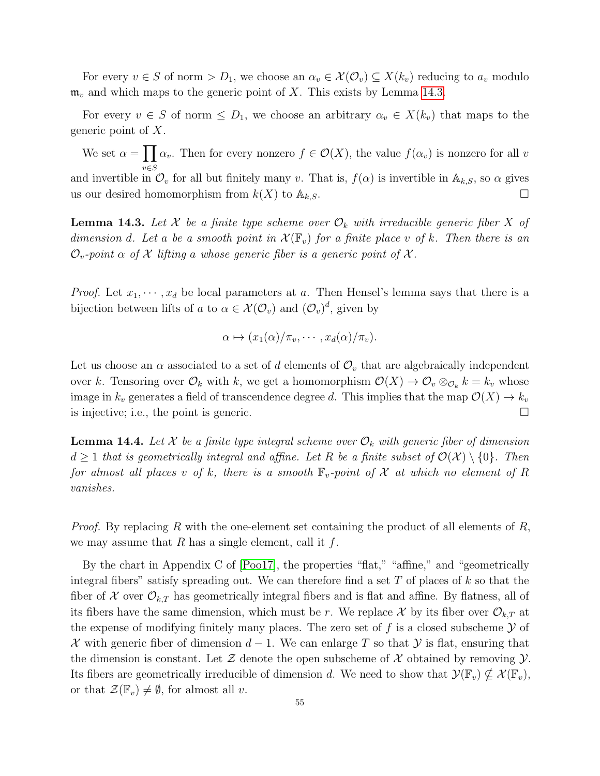For every  $v \in S$  of norm  $D_1$ , we choose an  $\alpha_v \in \mathcal{X}(\mathcal{O}_v) \subseteq X(k_v)$  reducing to  $a_v$  modulo  $\mathfrak{m}_v$  and which maps to the generic point of X. This exists by Lemma [14.3.](#page-54-0)

For every  $v \in S$  of norm  $\leq D_1$ , we choose an arbitrary  $\alpha_v \in X(k_v)$  that maps to the generic point of X.

We set  $\alpha = \prod_{v} \alpha_v$ . Then for every nonzero  $f \in \mathcal{O}(X)$ , the value  $f(\alpha_v)$  is nonzero for all v and invertible in  $\mathcal{O}_v$  for all but finitely many v. That is,  $f(\alpha)$  is invertible in  $\mathbb{A}_{k,S}$ , so  $\alpha$  gives us our desired homomorphism from  $k(X)$  to  $\mathbb{A}_{k,S}$ .

<span id="page-54-0"></span>**Lemma 14.3.** Let X be a finite type scheme over  $\mathcal{O}_k$  with irreducible generic fiber X of dimension d. Let a be a smooth point in  $\mathcal{X}(\mathbb{F}_v)$  for a finite place v of k. Then there is an  $\mathcal{O}_v$ -point  $\alpha$  of X lifting a whose generic fiber is a generic point of X.

*Proof.* Let  $x_1, \dots, x_d$  be local parameters at a. Then Hensel's lemma says that there is a bijection between lifts of a to  $\alpha \in \mathcal{X}(\mathcal{O}_v)$  and  $(\mathcal{O}_v)^d$ , given by

$$
\alpha \mapsto (x_1(\alpha)/\pi_v, \cdots, x_d(\alpha)/\pi_v).
$$

Let us choose an  $\alpha$  associated to a set of d elements of  $\mathcal{O}_v$  that are algebraically independent over k. Tensoring over  $\mathcal{O}_k$  with k, we get a homomorphism  $\mathcal{O}(X) \to \mathcal{O}_v \otimes_{\mathcal{O}_k} k = k_v$  whose image in  $k_v$  generates a field of transcendence degree d. This implies that the map  $\mathcal{O}(X) \to k_v$ is injective; i.e., the point is generic.  $\Box$ 

<span id="page-54-1"></span>**Lemma 14.4.** Let X be a finite type integral scheme over  $\mathcal{O}_k$  with generic fiber of dimension  $d \geq 1$  that is geometrically integral and affine. Let R be a finite subset of  $\mathcal{O}(\mathcal{X}) \setminus \{0\}$ . Then for almost all places v of k, there is a smooth  $\mathbb{F}_v$ -point of X at which no element of R vanishes.

*Proof.* By replacing R with the one-element set containing the product of all elements of R, we may assume that  $R$  has a single element, call it  $f$ .

By the chart in Appendix C of [\[Poo17\]](#page-59-7), the properties "flat," "affine," and "geometrically integral fibers" satisfy spreading out. We can therefore find a set  $T$  of places of  $k$  so that the fiber of X over  $\mathcal{O}_{k,T}$  has geometrically integral fibers and is flat and affine. By flatness, all of its fibers have the same dimension, which must be r. We replace X by its fiber over  $\mathcal{O}_{k,T}$  at the expense of modifying finitely many places. The zero set of f is a closed subscheme  $\mathcal Y$  of X with generic fiber of dimension  $d-1$ . We can enlarge T so that Y is flat, ensuring that the dimension is constant. Let  $\mathcal Z$  denote the open subscheme of  $\mathcal X$  obtained by removing  $\mathcal Y$ . Its fibers are geometrically irreducible of dimension d. We need to show that  $\mathcal{Y}(\mathbb{F}_v) \nsubseteq \mathcal{X}(\mathbb{F}_v)$ , or that  $\mathcal{Z}(\mathbb{F}_v) \neq \emptyset$ , for almost all v.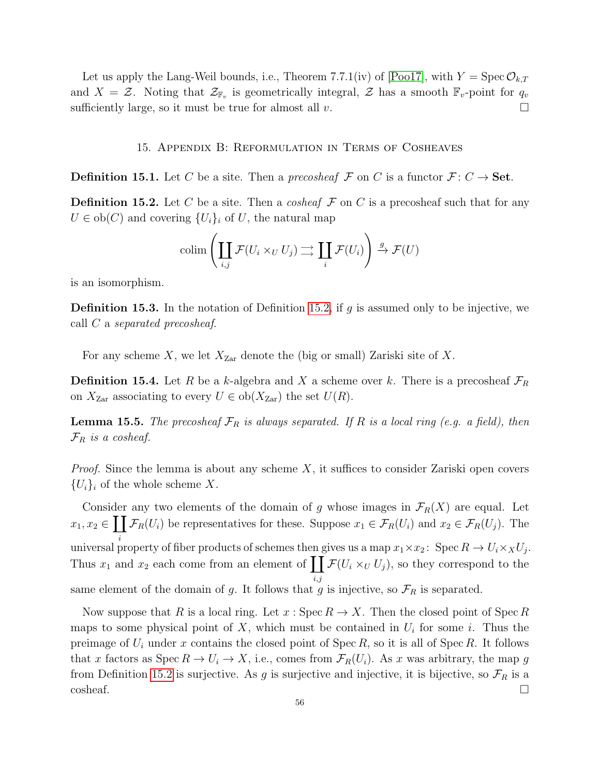Let us apply the Lang-Weil bounds, i.e., Theorem 7.7.1(iv) of [\[Poo17\]](#page-59-7), with  $Y = \text{Spec } \mathcal{O}_{k,T}$ and  $X = \mathcal{Z}$ . Noting that  $\mathcal{Z}_{\mathbb{F}_v}$  is geometrically integral,  $\mathcal{Z}$  has a smooth  $\mathbb{F}_v$ -point for  $q_v$ sufficiently large, so it must be true for almost all  $v$ .

#### 15. Appendix B: Reformulation in Terms of Cosheaves

<span id="page-55-0"></span>**Definition 15.1.** Let C be a site. Then a precosheaf F on C is a functor  $\mathcal{F}: C \to \mathbf{Set}$ .

<span id="page-55-1"></span>**Definition 15.2.** Let C be a site. Then a cosheaf  $\mathcal F$  on C is a precosheaf such that for any  $U \in ob(C)$  and covering  $\{U_i\}_i$  of U, the natural map

$$
\operatorname{colim}\left(\coprod_{i,j} \mathcal{F}(U_i \times_U U_j) \longrightarrow \coprod_i \mathcal{F}(U_i)\right) \stackrel{g}{\rightarrow} \mathcal{F}(U)
$$

is an isomorphism.

**Definition 15.3.** In the notation of Definition [15.2,](#page-55-1) if g is assumed only to be injective, we call C a separated precosheaf.

For any scheme X, we let  $X_{\text{Zar}}$  denote the (big or small) Zariski site of X.

**Definition 15.4.** Let R be a k-algebra and X a scheme over k. There is a precosheaf  $\mathcal{F}_R$ on  $X_{\text{Zar}}$  associating to every  $U \in ob(X_{\text{Zar}})$  the set  $U(R)$ .

<span id="page-55-2"></span>**Lemma 15.5.** The precosheaf  $\mathcal{F}_R$  is always separated. If R is a local ring (e.g. a field), then  $\mathcal{F}_R$  is a cosheaf.

*Proof.* Since the lemma is about any scheme  $X$ , it suffices to consider Zariski open covers  ${U_i}_i$  of the whole scheme X.

Consider any two elements of the domain of g whose images in  $\mathcal{F}_R(X)$  are equal. Let  $x_1, x_2 \in \prod \mathcal{F}_R(U_i)$  be representatives for these. Suppose  $x_1 \in \mathcal{F}_R(U_i)$  and  $x_2 \in \mathcal{F}_R(U_j)$ . The universal property of fiber products of schemes then gives us a map  $x_1 \times x_2$ : Spec  $R \to U_i \times_X U_j$ . Thus  $x_1$  and  $x_2$  each come from an element of  $\prod \mathcal{F}(U_i \times_U U_j)$ , so they correspond to the i,j same element of the domain of g. It follows that g is injective, so  $\mathcal{F}_R$  is separated.

Now suppose that R is a local ring. Let  $x : \mathrm{Spec} R \to X$ . Then the closed point of Spec R maps to some physical point of X, which must be contained in  $U_i$  for some i. Thus the preimage of  $U_i$  under x contains the closed point of Spec R, so it is all of Spec R. It follows that x factors as Spec  $R \to U_i \to X$ , i.e., comes from  $\mathcal{F}_R(U_i)$ . As x was arbitrary, the map g from Definition [15.2](#page-55-1) is surjective. As g is surjective and injective, it is bijective, so  $\mathcal{F}_R$  is a  $\Box$ cosheaf.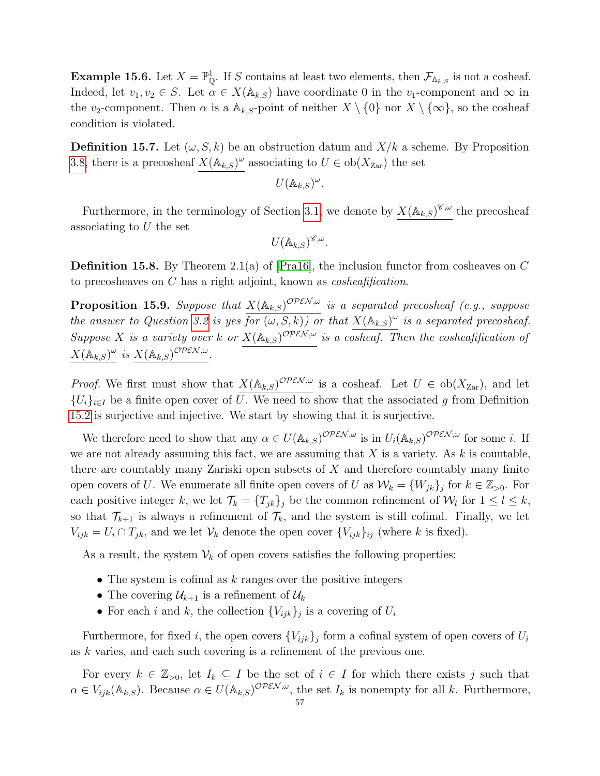**Example 15.6.** Let  $X = \mathbb{P}_{\mathbb{Q}}^1$ . If S contains at least two elements, then  $\mathcal{F}_{A_{k,S}}$  is not a cosheaf. Indeed, let  $v_1, v_2 \in S$ . Let  $\alpha \in X(\mathbb{A}_{k,S})$  have coordinate 0 in the  $v_1$ -component and  $\infty$  in the v<sub>2</sub>-component. Then  $\alpha$  is a  $\mathbb{A}_{k,S}$ -point of neither  $X \setminus \{0\}$  nor  $X \setminus \{\infty\}$ , so the cosheaf condition is violated.

**Definition 15.7.** Let  $(\omega, S, k)$  be an obstruction datum and  $X/k$  a scheme. By Proposition [3.8,](#page-12-0) there is a precosheaf  $X(\mathbb{A}_{k,S})^{\omega}$  associating to  $U \in ob(X_{\text{Zar}})$  the set

$$
U(\mathbb{A}_{k,S})^{\omega}.
$$

Furthermore, in the terminology of Section [3.1,](#page-11-0) we denote by  $X(\mathbb{A}_{k,S})^{\mathscr{C},\omega}$  the precosheaf associating to  $U$  the set

$$
U(\mathbb{A}_{k,S})^{\mathscr{C},\omega}.
$$

**Definition 15.8.** By Theorem 2.1(a) of  $[Pra16]$ , the inclusion functor from cosheaves on C to precosheaves on C has a right adjoint, known as cosheafification.

<span id="page-56-0"></span>**Proposition 15.9.** Suppose that  $X(\mathbb{A}_{k,S})^{\text{OPEN},\omega}$  is a separated precosheaf (e.g., suppose the answer to Question [3.2](#page-10-1) is yes  $\overline{for(\omega, S, k))}$  or that  $X(\mathbb{A}_{k,S})^{\omega}$  is a separated precosheaf. Suppose X is a variety over k or  $X(\mathbb{A}_{k,S})^{\mathcal{OPEN},\omega}$  is a cosheaf. Then the cosheafification of  $X(\mathbb{A}_{k,S})^{\omega}$  is  $X(\mathbb{A}_{k,S})^{\mathcal{OPEN},\omega}$ .

*Proof.* We first must show that  $X(\mathbb{A}_{k,S})^{\mathcal{OPEN},\omega}$  is a cosheaf. Let  $U \in ob(X_{\text{Zar}})$ , and let  ${U_i}_{i\in I}$  be a finite open cover of  $\overline{U}$ . We need to show that the associated g from Definition [15.2](#page-55-1) is surjective and injective. We start by showing that it is surjective.

We therefore need to show that any  $\alpha \in U(\mathbb{A}_{k,S})^{\mathcal{OPEN},\omega}$  is in  $U_i(\mathbb{A}_{k,S})^{\mathcal{OPEN},\omega}$  for some *i*. If we are not already assuming this fact, we are assuming that  $X$  is a variety. As  $k$  is countable, there are countably many Zariski open subsets of X and therefore countably many finite open covers of U. We enumerate all finite open covers of U as  $\mathcal{W}_k = \{W_{jk}\}_j$  for  $k \in \mathbb{Z}_{>0}$ . For each positive integer k, we let  $\mathcal{T}_k = \{T_{jk}\}_j$  be the common refinement of  $\mathcal{W}_l$  for  $1 \leq l \leq k$ , so that  $\mathcal{T}_{k+1}$  is always a refinement of  $\mathcal{T}_k$ , and the system is still cofinal. Finally, we let  $V_{ijk} = U_i \cap T_{jk}$ , and we let  $V_k$  denote the open cover  $\{V_{ijk}\}_{ij}$  (where k is fixed).

As a result, the system  $\mathcal{V}_k$  of open covers satisfies the following properties:

- The system is cofinal as  $k$  ranges over the positive integers
- The covering  $\mathcal{U}_{k+1}$  is a refinement of  $\mathcal{U}_k$
- For each i and k, the collection  $\{V_{ijk}\}_j$  is a covering of  $U_i$

Furthermore, for fixed i, the open covers  ${V_{ijk}}_j$  form a cofinal system of open covers of  $U_i$ as k varies, and each such covering is a refinement of the previous one.

For every  $k \in \mathbb{Z}_{>0}$ , let  $I_k \subseteq I$  be the set of  $i \in I$  for which there exists j such that  $\alpha \in V_{ijk}(\mathbb{A}_{k,S})$ . Because  $\alpha \in U(\mathbb{A}_{k,S})^{\mathcal{OPEN},\omega}$ , the set  $I_k$  is nonempty for all k. Furthermore,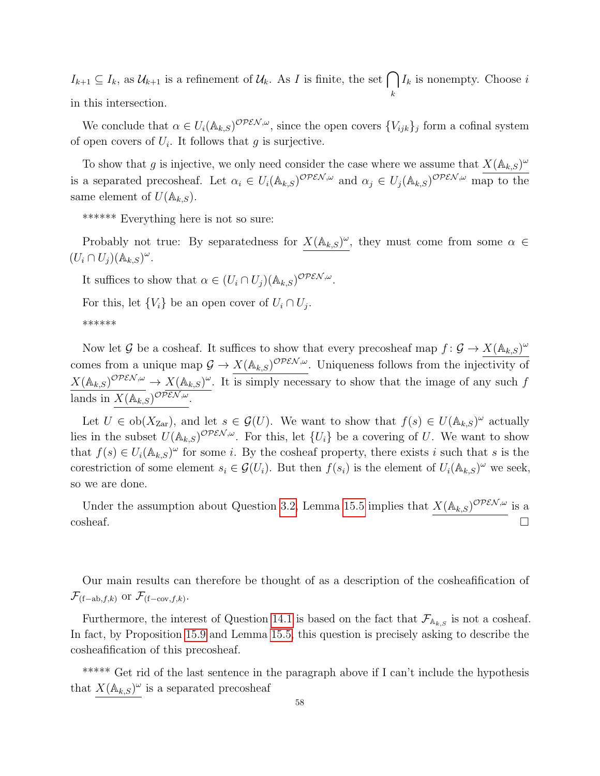$I_{k+1} \subseteq I_k$ , as  $\mathcal{U}_{k+1}$  is a refinement of  $\mathcal{U}_k$ . As I is finite, the set  $\bigcap I_k$  is nonempty. Choose i k in this intersection.

We conclude that  $\alpha \in U_i(\mathbb{A}_{k,S})^{\mathcal{OPEN},\omega}$ , since the open covers  $\{V_{ijk}\}_j$  form a cofinal system of open covers of  $U_i$ . It follows that g is surjective.

To show that g is injective, we only need consider the case where we assume that  $X(\mathbb{A}_{k,S})^{\omega}$ is a separated precosheaf. Let  $\alpha_i \in U_i(\mathbb{A}_{k,S})^{\mathcal{OPEN},\omega}$  and  $\alpha_j \in U_j(\mathbb{A}_{k,S})^{\mathcal{OPEN},\omega}$  map to the same element of  $U(\mathbb{A}_{k,S})$ .

\*\*\*\*\*\* Everything here is not so sure:

Probably not true: By separatedness for  $X(\mathbb{A}_{k,S})^{\omega}$ , they must come from some  $\alpha \in$  $(U_i \cap U_j)(\mathbb{A}_{k,S})^{\omega}.$ 

It suffices to show that  $\alpha \in (U_i \cap U_j)(\mathbb{A}_{k,S})^{\text{OPEN},\omega}$ .

For this, let  $\{V_i\}$  be an open cover of  $U_i \cap U_j$ .

\*\*\*\*\*\*

Now let G be a cosheaf. It suffices to show that every precosheaf map  $f: \mathcal{G} \to X(\mathbb{A}_{k,S})^{\omega}$ comes from a unique map  $\mathcal{G} \to X(\mathbb{A}_{k,S})^{\mathcal{OPEN},\omega}$ . Uniqueness follows from the injectivity of  $X(\mathbb{A}_{k,S})^{\mathcal{OPEN},\omega} \to X(\mathbb{A}_{k,S})^{\omega}$ . It is simply necessary to show that the image of any such f lands in  $X(\mathbb{A}_{k,S})^{\mathcal{OPEN},\omega}$ .

Let  $U \in ob(X_{\text{Zar}})$ , and let  $s \in \mathcal{G}(U)$ . We want to show that  $f(s) \in U(\mathbb{A}_{k,S})^{\omega}$  actually lies in the subset  $U(\mathbb{A}_{k,S})^{\mathcal{OPEN},\omega}$ . For this, let  $\{U_i\}$  be a covering of U. We want to show that  $f(s) \in U_i(\mathbb{A}_{k,S})^\omega$  for some *i*. By the cosheaf property, there exists *i* such that *s* is the corestriction of some element  $s_i \in \mathcal{G}(U_i)$ . But then  $f(s_i)$  is the element of  $U_i(\mathbb{A}_{k,S})^\omega$  we seek, so we are done.

Under the assumption about Question [3.2,](#page-10-1) Lemma [15.5](#page-55-2) implies that  $X(\mathbb{A}_{k,S})^{\mathcal{OPEN},\omega}$  is a  $\overline{\phantom{a}}$   $\Box$ 

Our main results can therefore be thought of as a description of the cosheafification of  $\mathcal{F}_{(f-ab,f,k)}$  or  $\mathcal{F}_{(f-cov,f,k)}$ .

Furthermore, the interest of Question [14.1](#page-53-1) is based on the fact that  $\mathcal{F}_{A_{k,S}}$  is not a cosheaf. In fact, by Proposition [15.9](#page-56-0) and Lemma [15.5,](#page-55-2) this question is precisely asking to describe the cosheafification of this precosheaf.

\*\*\*\*\* Get rid of the last sentence in the paragraph above if I can't include the hypothesis that  $X(\mathbb{A}_{k,S})^\omega$  is a separated precosheaf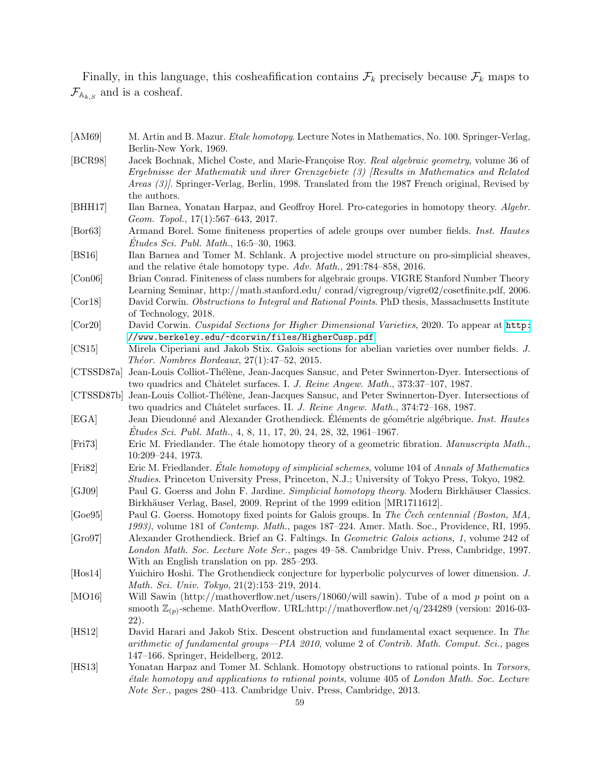Finally, in this language, this cosheafification contains  $\mathcal{F}_k$  precisely because  $\mathcal{F}_k$  maps to  $\mathcal{F}_{A_{k,s}}$  and is a cosheaf.

- <span id="page-58-8"></span>[AM69] M. Artin and B. Mazur. *Etale homotopy*. Lecture Notes in Mathematics, No. 100. Springer-Verlag, Berlin-New York, 1969.
- <span id="page-58-20"></span>[BCR98] Jacek Bochnak, Michel Coste, and Marie-Françoise Roy. Real algebraic geometry, volume 36 of Ergebnisse der Mathematik und ihrer Grenzgebiete (3) [Results in Mathematics and Related Areas (3)]. Springer-Verlag, Berlin, 1998. Translated from the 1987 French original, Revised by the authors.
- <span id="page-58-14"></span>[BHH17] Ilan Barnea, Yonatan Harpaz, and Geoffroy Horel. Pro-categories in homotopy theory. Algebr. Geom. Topol., 17(1):567–643, 2017.
- <span id="page-58-3"></span>[Bor63] Armand Borel. Some finiteness properties of adele groups over number fields. Inst. Hautes  $\acute{E}tudes\, Sci.\, Publ.\, Math.,\, 16:5–30,\, 1963.$
- <span id="page-58-9"></span>[BS16] Ilan Barnea and Tomer M. Schlank. A projective model structure on pro-simplicial sheaves, and the relative étale homotopy type.  $Adv. Math., 291:784-858, 2016.$
- <span id="page-58-4"></span>[Con06] Brian Conrad. Finiteness of class numbers for algebraic groups. VIGRE Stanford Number Theory Learning Seminar, http://math.stanford.edu/ conrad/vigregroup/vigre02/cosetfinite.pdf, 2006.
- <span id="page-58-17"></span>[Cor18] David Corwin. Obstructions to Integral and Rational Points. PhD thesis, Massachusetts Institute of Technology, 2018.
- <span id="page-58-10"></span>[Cor20] David Corwin. Cuspidal Sections for Higher Dimensional Varieties, 2020. To appear at [http:](http://www.berkeley.edu/~dcorwin/files/HigherCusp.pdf) [//www.berkeley.edu/~dcorwin/files/HigherCusp.pdf](http://www.berkeley.edu/~dcorwin/files/HigherCusp.pdf).
- <span id="page-58-6"></span>[CS15] Mirela Ciperiani and Jakob Stix. Galois sections for abelian varieties over number fields. J.  $Theorem.$  Nombres Bordeaux,  $27(1):47-52$ ,  $2015$ .
- <span id="page-58-18"></span>[CTSSD87a] Jean-Louis Colliot-Thélène, Jean-Jacques Sansuc, and Peter Swinnerton-Dyer. Intersections of two quadrics and Châtelet surfaces. I. J. Reine Angew. Math., 373:37–107, 1987.
- <span id="page-58-19"></span>[CTSSD87b] Jean-Louis Colliot-Th´el`ene, Jean-Jacques Sansuc, and Peter Swinnerton-Dyer. Intersections of two quadrics and Châtelet surfaces. II. J. Reine Angew. Math., 374:72–168, 1987.
- <span id="page-58-15"></span>[EGA] Jean Dieudonné and Alexander Grothendieck. Eléments de géométrie algébrique. Inst. Hautes  $\acute{E}tudes \, Sci. \, Publ. \, Math., \, 4, \, 8, \, 11, \, 17, \, 20, \, 24, \, 28, \, 32, \, 1961-1967.$
- <span id="page-58-13"></span>[Fri73] Eric M. Friedlander. The étale homotopy theory of a geometric fibration. Manuscripta Math., 10:209–244, 1973.
- <span id="page-58-7"></span>[Fri82] Eric M. Friedlander. Etale homotopy of simplicial schemes, volume 104 of Annals of Mathematics Studies. Princeton University Press, Princeton, N.J.; University of Tokyo Press, Tokyo, 1982.
- <span id="page-58-12"></span>[GJ09] Paul G. Goerss and John F. Jardine. Simplicial homotopy theory. Modern Birkhäuser Classics. Birkhäuser Verlag, Basel, 2009. Reprint of the 1999 edition [MR1711612].
- <span id="page-58-11"></span>[Goe95] Paul G. Goerss. Homotopy fixed points for Galois groups. In The Cech centennial (Boston, MA, 1993), volume 181 of Contemp. Math., pages 187–224. Amer. Math. Soc., Providence, RI, 1995.
- <span id="page-58-5"></span>[Gro97] Alexander Grothendieck. Brief an G. Faltings. In Geometric Galois actions, 1, volume 242 of London Math. Soc. Lecture Note Ser., pages 49–58. Cambridge Univ. Press, Cambridge, 1997. With an English translation on pp. 285–293.
- <span id="page-58-16"></span>[Hos14] Yuichiro Hoshi. The Grothendieck conjecture for hyperbolic polycurves of lower dimension. J. Math. Sci. Univ. Tokyo, 21(2):153–219, 2014.
- <span id="page-58-1"></span>[MO16] Will Sawin (http://mathoverflow.net/users/18060/will sawin). Tube of a mod p point on a smooth  $\mathbb{Z}_{(p)}$ -scheme. MathOverflow. URL:http://mathoverflow.net/q/234289 (version: 2016-03-22).
- <span id="page-58-2"></span>[HS12] David Harari and Jakob Stix. Descent obstruction and fundamental exact sequence. In The arithmetic of fundamental groups—PIA 2010, volume 2 of Contrib. Math. Comput. Sci., pages 147–166. Springer, Heidelberg, 2012.
- <span id="page-58-0"></span>[HS13] Yonatan Harpaz and Tomer M. Schlank. Homotopy obstructions to rational points. In Torsors, ´etale homotopy and applications to rational points, volume 405 of London Math. Soc. Lecture Note Ser., pages 280–413. Cambridge Univ. Press, Cambridge, 2013.